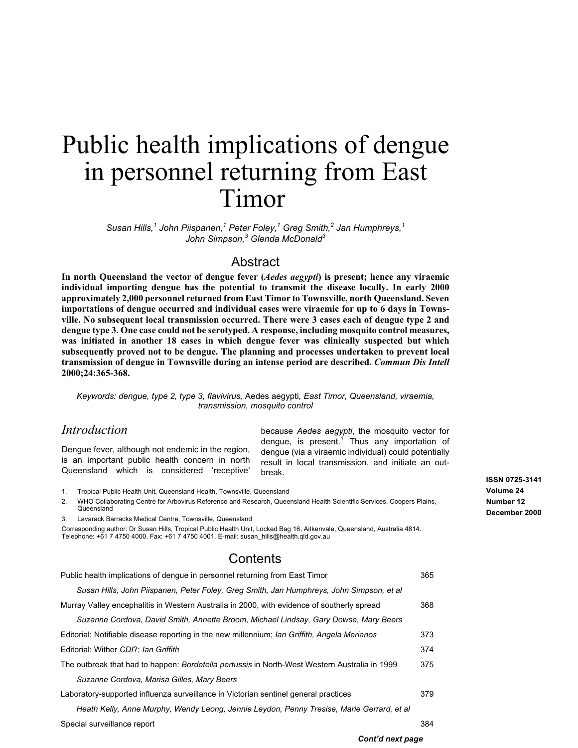# <span id="page-0-0"></span>Public health implications of dengue in personnel returning from East Timor

*Susan Hills,<sup>1</sup> John Piispanen,<sup>1</sup> Peter Foley,<sup>1</sup> Greg Smith,<sup>2</sup> Jan Humphreys,<sup>1</sup> John Simpson,<sup>3</sup> Glenda McDonald<sup>3</sup>*

# Abstract

**In north Queensland the vector of dengue fever (***Aedes aegypti***) is present; hence any viraemic individual importing dengue has the potential to transmit the disease locally. In early 2000 approximately 2,000 personnel returned from East Timor to Townsville, north Queensland. Seven importations of dengue occurred and individual cases were viraemic for up to 6 days in Townsville. No subsequent local transmission occurred. There were 3 cases each of dengue type 2 and dengue type 3. One case could not be serotyped. A response, including mosquito control measures, was initiated in another 18 cases in which dengue fever was clinically suspected but which subsequently proved not to be dengue. The planning and processes undertaken to prevent local transmission of dengue in Townsville during an intense period are described.** *Commun Dis Intell* **2000;24:365-368.**

*Keywords: dengue, type 2, type 3, flavivirus,* Aedes aegypti*, East Timor, Queensland, viraemia, transmission, mosquito control*

# *Introduction*

Dengue fever, although not endemic in the region, is an important public health concern in north Queensland which is considered 'receptive'

because *Aedes aegypti*, the mosquito vector for dengue, is present.<sup>1</sup> Thus any importation of dengue (via a viraemic individual) could potentially result in local transmission, and initiate an outbreak.

1. Tropical Public Health Unit, Queensland Health, Townsville, Queensland

2. WHO Collaborating Centre for Arbovirus Reference and Research, Queensland Health Scientific Services, Coopers Plains, Queensland

3. Lavarack Barracks Medical Centre, Townsville, Queensland

Corresponding author: Dr Susan Hills, Tropical Public Health Unit, Locked Bag 16, Aitkenvale, Queensland, Australia 4814. Telephone: +61 7 4750 4000. Fax: +61 7 4750 4001. E-mail: susan\_hills@health.qld.gov.au

# **Contents**

| Public health implications of dengue in personnel returning from East Timor                          | 365 |
|------------------------------------------------------------------------------------------------------|-----|
| Susan Hills, John Piispanen, Peter Foley, Greg Smith, Jan Humphreys, John Simpson, et al             |     |
| Murray Valley encephalitis in Western Australia in 2000, with evidence of southerly spread           | 368 |
| Suzanne Cordova, David Smith, Annette Broom, Michael Lindsay, Gary Dowse, Mary Beers                 |     |
| Editorial: Notifiable disease reporting in the new millennium; Ian Griffith, Angela Merianos         | 373 |
| Editorial: Wither CDI?; Ian Griffith                                                                 | 374 |
| The outbreak that had to happen: <i>Bordetella pertussis</i> in North-West Western Australia in 1999 | 375 |
| Suzanne Cordova, Marisa Gilles, Mary Beers                                                           |     |
| Laboratory-supported influenza surveillance in Victorian sentinel general practices                  | 379 |
| Heath Kelly, Anne Murphy, Wendy Leong, Jennie Leydon, Penny Tresise, Marie Gerrard, et al            |     |
| Special surveillance report                                                                          | 384 |
|                                                                                                      |     |

### **ISSN 0725-3141 Volume 24 Number 12 December 2000**

*Cont'd next page*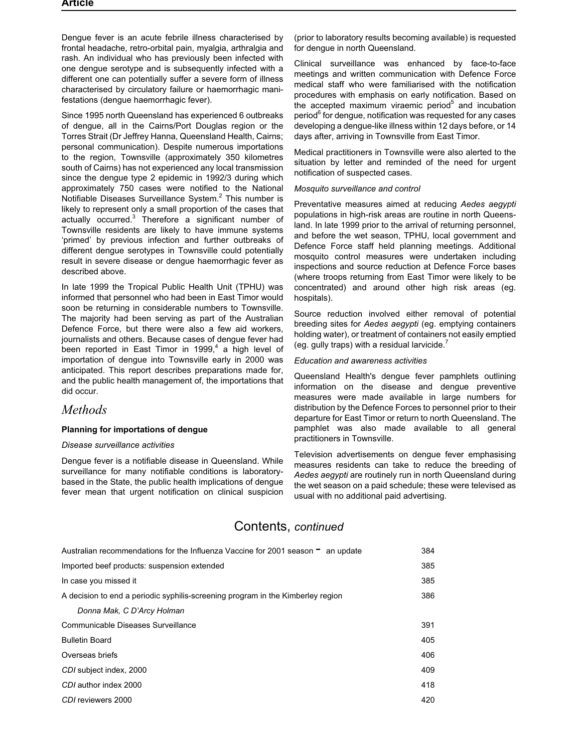Dengue fever is an acute febrile illness characterised by frontal headache, retro-orbital pain, myalgia, arthralgia and rash. An individual who has previously been infected with one dengue serotype and is subsequently infected with a different one can potentially suffer a severe form of illness characterised by circulatory failure or haemorrhagic manifestations (dengue haemorrhagic fever).

Since 1995 north Queensland has experienced 6 outbreaks of dengue, all in the Cairns/Port Douglas region or the Torres Strait (Dr Jeffrey Hanna, Queensland Health, Cairns; personal communication). Despite numerous importations to the region, Townsville (approximately 350 kilometres south of Cairns) has not experienced any local transmission since the dengue type 2 epidemic in 1992/3 during which approximately 750 cases were notified to the National Notifiable Diseases Surveillance System.<sup>2</sup> This number is likely to represent only a small proportion of the cases that actually occurred.<sup>3</sup> Therefore a significant number of Townsville residents are likely to have immune systems 'primed' by previous infection and further outbreaks of different dengue serotypes in Townsville could potentially result in severe disease or dengue haemorrhagic fever as described above.

In late 1999 the Tropical Public Health Unit (TPHU) was informed that personnel who had been in East Timor would soon be returning in considerable numbers to Townsville. The majority had been serving as part of the Australian Defence Force, but there were also a few aid workers, journalists and others. Because cases of dengue fever had been reported in East Timor in 1999, $4$  a high level of importation of dengue into Townsville early in 2000 was anticipated. This report describes preparations made for, and the public health management of, the importations that did occur.

# *Methods*

### **Planning for importations of dengue**

#### *Disease surveillance activities*

Dengue fever is a notifiable disease in Queensland. While surveillance for many notifiable conditions is laboratorybased in the State, the public health implications of dengue fever mean that urgent notification on clinical suspicion (prior to laboratory results becoming available) is requested for dengue in north Queensland.

Clinical surveillance was enhanced by face-to-face meetings and written communication with Defence Force medical staff who were familiarised with the notification procedures with emphasis on early notification. Based on the accepted maximum viraemic period $5$  and incubation period<sup>6</sup> for dengue, notification was requested for any cases developing a dengue-like illness within 12 days before, or 14 days after, arriving in Townsville from East Timor.

Medical practitioners in Townsville were also alerted to the situation by letter and reminded of the need for urgent notification of suspected cases.

#### *Mosquito surveillance and control*

Preventative measures aimed at reducing *Aedes aegypti* populations in high-risk areas are routine in north Queensland. In late 1999 prior to the arrival of returning personnel, and before the wet season, TPHU, local government and Defence Force staff held planning meetings. Additional mosquito control measures were undertaken including inspections and source reduction at Defence Force bases (where troops returning from East Timor were likely to be concentrated) and around other high risk areas (eg. hospitals).

Source reduction involved either removal of potential breeding sites for *Aedes aegypti* (eg. emptying containers holding water), or treatment of containers not easily emptied (eg. gully traps) with a residual larvicide.<sup>7</sup>

#### *Education and awareness activities*

Queensland Health's dengue fever pamphlets outlining information on the disease and dengue preventive measures were made available in large numbers for distribution by the Defence Forces to personnel prior to their departure for East Timor or return to north Queensland. The pamphlet was also made available to all general practitioners in Townsville.

Television advertisements on dengue fever emphasising measures residents can take to reduce the breeding of *Aedes aegypti* are routinely run in north Queensland during the wet season on a paid schedule; these were televised as usual with no additional paid advertising.

# [Contents,](#page-19-0) *continued*

| Australian recommendations for the Influenza Vaccine for 2001 season<br>an update | 384 |
|-----------------------------------------------------------------------------------|-----|
| Imported beef products: suspension extended                                       | 385 |
| In case you missed it                                                             | 385 |
| A decision to end a periodic syphilis-screening program in the Kimberley region   | 386 |
| Donna Mak, C D'Arcy Holman                                                        |     |
| Communicable Diseases Surveillance                                                | 391 |
| <b>Bulletin Board</b>                                                             | 405 |
| Overseas briefs                                                                   | 406 |
| CDI subject index, 2000                                                           | 409 |
| CDI author index 2000                                                             | 418 |
| CDI reviewers 2000                                                                | 420 |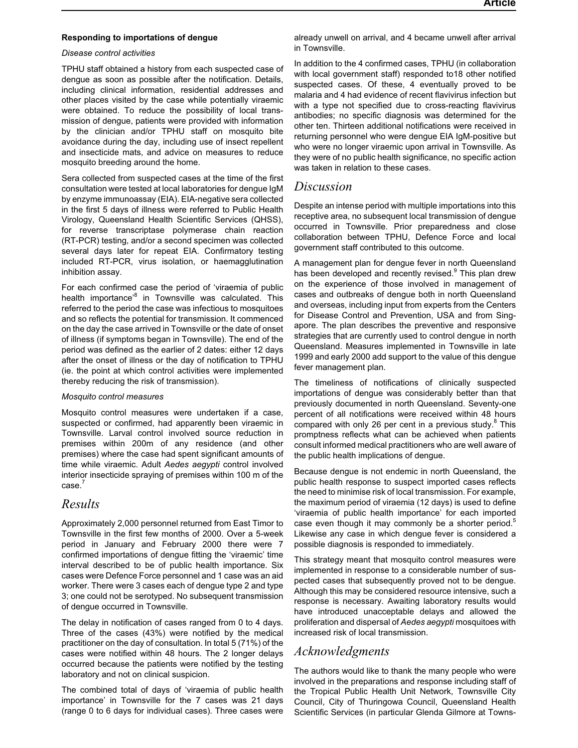#### **Responding to importations of dengue**

#### *Disease control activities*

TPHU staff obtained a history from each suspected case of dengue as soon as possible after the notification. Details, including clinical information, residential addresses and other places visited by the case while potentially viraemic were obtained. To reduce the possibility of local transmission of dengue, patients were provided with information by the clinician and/or TPHU staff on mosquito bite avoidance during the day, including use of insect repellent and insecticide mats, and advice on measures to reduce mosquito breeding around the home.

Sera collected from suspected cases at the time of the first consultation were tested at local laboratories for dengue IgM by enzyme immunoassay (EIA). EIA-negative sera collected in the first 5 days of illness were referred to Public Health Virology, Queensland Health Scientific Services (QHSS), for reverse transcriptase polymerase chain reaction (RT-PCR) testing, and/or a second specimen was collected several days later for repeat EIA. Confirmatory testing included RT-PCR, virus isolation, or haemagglutination inhibition assay.

For each confirmed case the period of 'viraemia of public health importance<sup>8</sup> in Townsville was calculated. This referred to the period the case was infectious to mosquitoes and so reflects the potential for transmission. It commenced on the day the case arrived in Townsville or the date of onset of illness (if symptoms began in Townsville). The end of the period was defined as the earlier of 2 dates: either 12 days after the onset of illness or the day of notification to TPHU (ie. the point at which control activities were implemented thereby reducing the risk of transmission).

#### *Mosquito control measures*

Mosquito control measures were undertaken if a case, suspected or confirmed, had apparently been viraemic in Townsville. Larval control involved source reduction in premises within 200m of any residence (and other premises) where the case had spent significant amounts of time while viraemic. Adult *Aedes aegypti* control involved interior insecticide spraying of premises within 100 m of the case.<sup>7</sup>

## *Results*

Approximately 2,000 personnel returned from East Timor to Townsville in the first few months of 2000. Over a 5-week period in January and February 2000 there were 7 confirmed importations of dengue fitting the 'viraemic' time interval described to be of public health importance. Six cases were Defence Force personnel and 1 case was an aid worker. There were 3 cases each of dengue type 2 and type 3; one could not be serotyped. No subsequent transmission of dengue occurred in Townsville.

The delay in notification of cases ranged from 0 to 4 days. Three of the cases (43%) were notified by the medical practitioner on the day of consultation. In total 5 (71%) of the cases were notified within 48 hours. The 2 longer delays occurred because the patients were notified by the testing laboratory and not on clinical suspicion.

The combined total of days of 'viraemia of public health importance' in Townsville for the 7 cases was 21 days (range 0 to 6 days for individual cases). Three cases were

already unwell on arrival, and 4 became unwell after arrival in Townsville.

In addition to the 4 confirmed cases, TPHU (in collaboration with local government staff) responded to18 other notified suspected cases. Of these, 4 eventually proved to be malaria and 4 had evidence of recent flavivirus infection but with a type not specified due to cross-reacting flavivirus antibodies; no specific diagnosis was determined for the other ten. Thirteen additional notifications were received in returning personnel who were dengue EIA IgM-positive but who were no longer viraemic upon arrival in Townsville. As they were of no public health significance, no specific action was taken in relation to these cases.

### *Discussion*

Despite an intense period with multiple importations into this receptive area, no subsequent local transmission of dengue occurred in Townsville. Prior preparedness and close collaboration between TPHU, Defence Force and local government staff contributed to this outcome.

A management plan for dengue fever in north Queensland has been developed and recently revised.<sup>9</sup> This plan drew on the experience of those involved in management of cases and outbreaks of dengue both in north Queensland and overseas, including input from experts from the Centers for Disease Control and Prevention, USA and from Singapore. The plan describes the preventive and responsive strategies that are currently used to control dengue in north Queensland. Measures implemented in Townsville in late 1999 and early 2000 add support to the value of this dengue fever management plan.

The timeliness of notifications of clinically suspected importations of dengue was considerably better than that previously documented in north Queensland. Seventy-one percent of all notifications were received within 48 hours compared with only 26 per cent in a previous study. $8$  This promptness reflects what can be achieved when patients consult informed medical practitioners who are well aware of the public health implications of dengue.

Because dengue is not endemic in north Queensland, the public health response to suspect imported cases reflects the need to minimise risk of local transmission. For example, the maximum period of viraemia (12 days) is used to define 'viraemia of public health importance' for each imported case even though it may commonly be a shorter period. $5$ Likewise any case in which dengue fever is considered a possible diagnosis is responded to immediately.

This strategy meant that mosquito control measures were implemented in response to a considerable number of suspected cases that subsequently proved not to be dengue. Although this may be considered resource intensive, such a response is necessary. Awaiting laboratory results would have introduced unacceptable delays and allowed the proliferation and dispersal of *Aedes aegypti* mosquitoes with increased risk of local transmission.

# *Acknowledgments*

The authors would like to thank the many people who were involved in the preparations and response including staff of the Tropical Public Health Unit Network, Townsville City Council, City of Thuringowa Council, Queensland Health Scientific Services (in particular Glenda Gilmore at Towns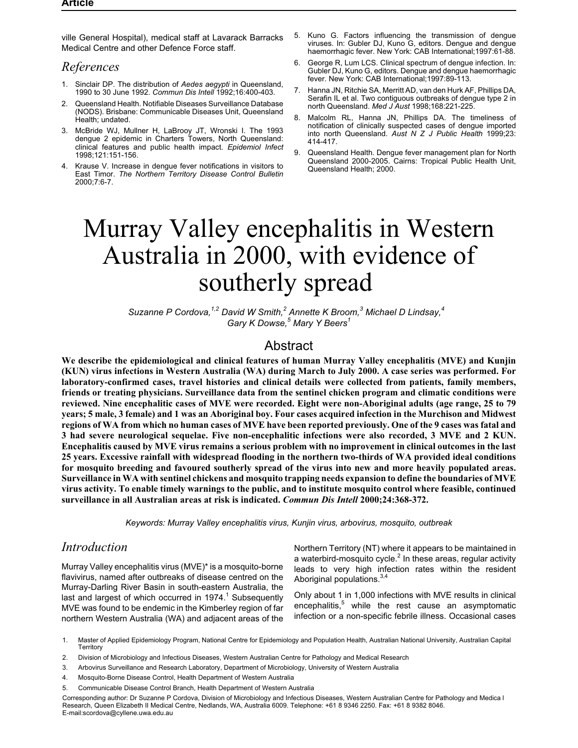<span id="page-3-0"></span>ville General Hospital), medical staff at Lavarack Barracks Medical Centre and other Defence Force staff.

# *References*

- 1. Sinclair DP. The distribution of *Aedes aegypti* in Queensland, 1990 to 30 June 1992. *Commun Dis Intell* 1992;16:400-403.
- 2. Queensland Health. Notifiable Diseases Surveillance Database (NODS). Brisbane: Communicable Diseases Unit, Queensland Health; undated.
- 3. McBride WJ, Mullner H, LaBrooy JT, Wronski I. The 1993 dengue 2 epidemic in Charters Towers, North Queensland: clinical features and public health impact. *Epidemiol Infect* 1998;121:151-156.
- Krause V. Increase in dengue fever notifications in visitors to East Timor. *The Northern Territory Disease Control Bulletin* 2000;7:6-7.
- 5. Kuno G. Factors influencing the transmission of dengue viruses. In: Gubler DJ, Kuno G, editors. Dengue and dengue haemorrhagic fever. New York: CAB International; 1997: 61-88.
- 6. George R, Lum LCS. Clinical spectrum of dengue infection. In: Gubler DJ, Kuno G, editors. Dengue and dengue haemorrhagic fever. New York: CAB International;1997:89-113.
- 7. Hanna JN, Ritchie SA, Merritt AD, van den Hurk AF, Phillips DA, Serafin IL et al. Two contiguous outbreaks of dengue type 2 in north Queensland. *Med J Aust* 1998;168:221-225.
- 8. Malcolm RL, Hanna JN, Phillips DA. The timeliness of notification of clinically suspected cases of dengue imported into north Queensland. *Aust N Z J Public Health* 1999;23: 414-417.
- 9. Queensland Health. Dengue fever management plan for North Queensland 2000-2005. Cairns: Tropical Public Health Unit, Queensland Health; 2000.

# Murray Valley encephalitis in Western Australia in 2000, with evidence of southerly spread

*Suzanne P Cordova,1,2 David W Smith,<sup>2</sup> Annette K Broom,<sup>3</sup> Michael D Lindsay,<sup>4</sup> Gary K Dowse,<sup>5</sup> Mary Y Beers<sup>1</sup>*

# Abstract

**We describe the epidemiological and clinical features of human Murray Valley encephalitis (MVE) and Kunjin (KUN) virus infections in Western Australia (WA) during March to July 2000. A case series was performed. For laboratory-confirmed cases, travel histories and clinical details were collected from patients, family members, friends or treating physicians. Surveillance data from the sentinel chicken program and climatic conditions were reviewed. Nine encephalitic cases of MVE were recorded. Eight were non-Aboriginal adults (age range, 25 to 79 years; 5 male, 3 female) and 1 was an Aboriginal boy. Four cases acquired infection in the Murchison and Midwest regions of WA from which no human cases of MVE have been reported previously. One of the 9 cases was fatal and 3 had severe neurological sequelae. Five non-encephalitic infections were also recorded, 3 MVE and 2 KUN. Encephalitis caused by MVE virus remains a serious problem with no improvement in clinical outcomes in the last 25 years. Excessive rainfall with widespread flooding in the northern two-thirds of WA provided ideal conditions for mosquito breeding and favoured southerly spread of the virus into new and more heavily populated areas. Surveillance in WA with sentinel chickens and mosquito trapping needs expansion to define the boundaries of MVE virus activity. To enable timely warnings to the public, and to institute mosquito control where feasible, continued surveillance in all Australian areas at risk is indicated.** *Commun Dis Intell* **2000;24:368-372.**

*Keywords: Murray Valley encephalitis virus, Kunjin virus, arbovirus, mosquito, outbreak*

# *Introduction*

Murray Valley encephalitis virus (MVE)\* is a mosquito-borne flavivirus, named after outbreaks of disease centred on the Murray-Darling River Basin in south-eastern Australia, the last and largest of which occurred in  $1974<sup>1</sup>$  Subsequently MVE was found to be endemic in the Kimberley region of far northern Western Australia (WA) and adjacent areas of the

Northern Territory (NT) where it appears to be maintained in a waterbird-mosquito cycle. $^2$  In these areas, regular activity leads to very high infection rates within the resident Aboriginal populations.<sup>3,4</sup>

Only about 1 in 1,000 infections with MVE results in clinical encephalitis, $5$  while the rest cause an asymptomatic infection or a non-specific febrile illness. Occasional cases

1. Master of Applied Epidemiology Program, National Centre for Epidemiology and Population Health, Australian National University, Australian Capital **Territory** 

- 2. Division of Microbiology and Infectious Diseases, Western Australian Centre for Pathology and Medical Research
- 3. Arbovirus Surveillance and Research Laboratory, Department of Microbiology, University of Western Australia
- 4. Mosquito-Borne Disease Control, Health Department of Western Australia
- 5. Communicable Disease Control Branch, Health Department of Western Australia

Corresponding author: Dr Suzanne P Cordova, Division of Microbiology and Infectious Diseases, Western Australian Centre for Pathology and Medica l Research, Queen Elizabeth II Medical Centre, Nedlands, WA, Australia 6009. Telephone: +61 8 9346 2250. Fax: +61 8 9382 8046. E-mail:scordova@cyllene.uwa.edu.au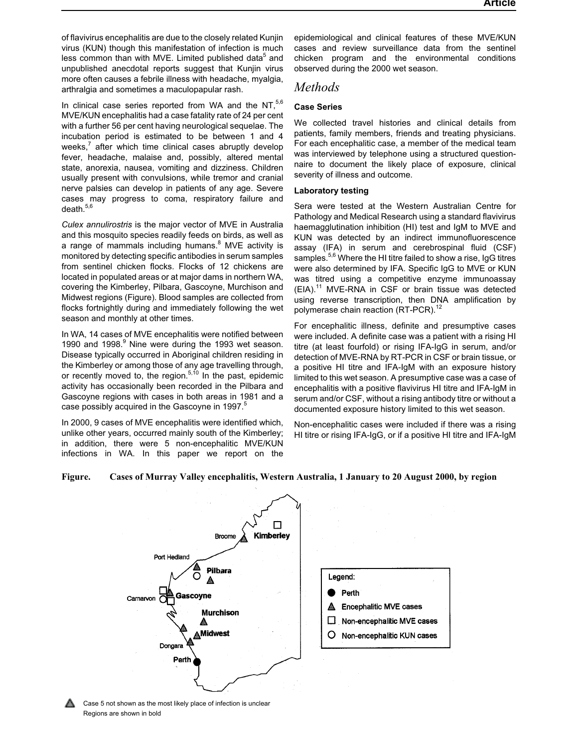of flavivirus encephalitis are due to the closely related Kunjin virus (KUN) though this manifestation of infection is much less common than with MVE. Limited published data<sup>5</sup> and unpublished anecdotal reports suggest that Kunjin virus more often causes a febrile illness with headache, myalgia, arthralgia and sometimes a maculopapular rash.

In clinical case series reported from WA and the NT, $5,6$ MVE/KUN encephalitis had a case fatality rate of 24 per cent with a further 56 per cent having neurological sequelae. The incubation period is estimated to be between 1 and 4 weeks, $<sup>7</sup>$  after which time clinical cases abruptly develop</sup> fever, headache, malaise and, possibly, altered mental state, anorexia, nausea, vomiting and dizziness. Children usually present with convulsions, while tremor and cranial nerve palsies can develop in patients of any age. Severe cases may progress to coma, respiratory failure and death.<sup>5,6</sup>

*Culex annulirostris* is the major vector of MVE in Australia and this mosquito species readily feeds on birds, as well as a range of mammals including humans. $8\text{ MVE}$  activity is monitored by detecting specific antibodies in serum samples from sentinel chicken flocks. Flocks of 12 chickens are located in populated areas or at major dams in northern WA, covering the Kimberley, Pilbara, Gascoyne, Murchison and Midwest regions (Figure). Blood samples are collected from flocks fortnightly during and immediately following the wet season and monthly at other times.

In WA, 14 cases of MVE encephalitis were notified between 1990 and 1998.<sup>9</sup> Nine were during the 1993 wet season. Disease typically occurred in Aboriginal children residing in the Kimberley or among those of any age travelling through, or recently moved to, the region. $5,10$  In the past, epidemic activity has occasionally been recorded in the Pilbara and Gascoyne regions with cases in both areas in 1981 and a case possibly acquired in the Gascoyne in 1997.<sup>5</sup>

In 2000, 9 cases of MVE encephalitis were identified which, unlike other years, occurred mainly south of the Kimberley; in addition, there were 5 non-encephalitic MVE/KUN infections in WA. In this paper we report on the epidemiological and clinical features of these MVE/KUN cases and review surveillance data from the sentinel chicken program and the environmental conditions observed during the 2000 wet season.

# *Methods*

## **Case Series**

We collected travel histories and clinical details from patients, family members, friends and treating physicians. For each encephalitic case, a member of the medical team was interviewed by telephone using a structured questionnaire to document the likely place of exposure, clinical severity of illness and outcome.

### **Laboratory testing**

Sera were tested at the Western Australian Centre for Pathology and Medical Research using a standard flavivirus haemagglutination inhibition (HI) test and IgM to MVE and KUN was detected by an indirect immunofluorescence assay (IFA) in serum and cerebrospinal fluid (CSF) samples.<sup>5,6</sup> Where the HI titre failed to show a rise, IgG titres were also determined by IFA. Specific IgG to MVE or KUN was titred using a competitive enzyme immunoassay  $(EIA).<sup>11</sup>$  MVE-RNA in CSF or brain tissue was detected using reverse transcription, then DNA amplification by polymerase chain reaction (RT-PCR).<sup>12</sup>

For encephalitic illness, definite and presumptive cases were included. A definite case was a patient with a rising HI titre (at least fourfold) or rising IFA-IgG in serum, and/or detection of MVE-RNA by RT-PCR in CSF or brain tissue, or a positive HI titre and IFA-IgM with an exposure history limited to this wet season. A presumptive case was a case of encephalitis with a positive flavivirus HI titre and IFA-IgM in serum and/or CSF, without a rising antibody titre or without a documented exposure history limited to this wet season.

Non-encephalitic cases were included if there was a rising HI titre or rising IFA-IgG, or if a positive HI titre and IFA-IgM

### **Figure. Cases of Murray Valley encephalitis, Western Australia, 1 January to 20 August 2000, by region**



Case 5 not shown as the most likely place of infection is unclear Regions are shown in bold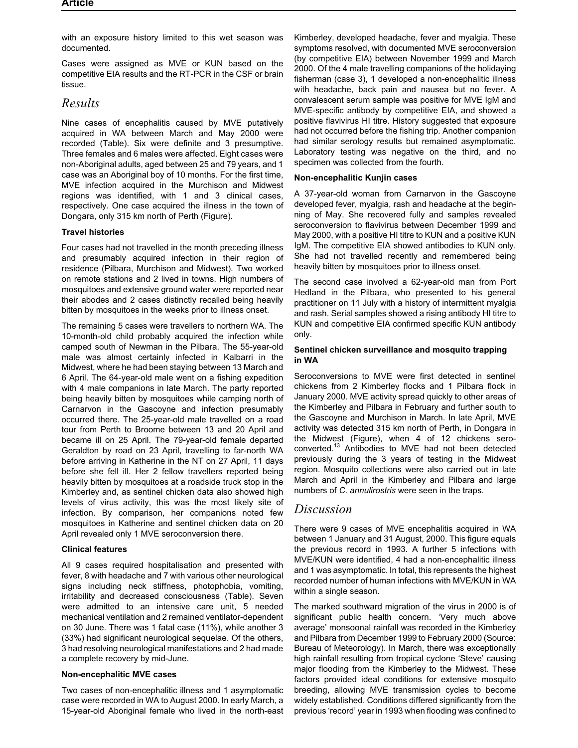with an exposure history limited to this wet season was documented.

Cases were assigned as MVE or KUN based on the competitive EIA results and the RT-PCR in the CSF or brain tissue.

# *Results*

Nine cases of encephalitis caused by MVE putatively acquired in WA between March and May 2000 were recorded (Table). Six were definite and 3 presumptive. Three females and 6 males were affected. Eight cases were non-Aboriginal adults, aged between 25 and 79 years, and 1 case was an Aboriginal boy of 10 months. For the first time, MVE infection acquired in the Murchison and Midwest regions was identified, with 1 and 3 clinical cases, respectively. One case acquired the illness in the town of Dongara, only 315 km north of Perth (Figure).

### **Travel histories**

Four cases had not travelled in the month preceding illness and presumably acquired infection in their region of residence (Pilbara, Murchison and Midwest). Two worked on remote stations and 2 lived in towns. High numbers of mosquitoes and extensive ground water were reported near their abodes and 2 cases distinctly recalled being heavily bitten by mosquitoes in the weeks prior to illness onset.

The remaining 5 cases were travellers to northern WA. The 10-month-old child probably acquired the infection while camped south of Newman in the Pilbara. The 55-year-old male was almost certainly infected in Kalbarri in the Midwest, where he had been staying between 13 March and 6 April. The 64-year-old male went on a fishing expedition with 4 male companions in late March. The party reported being heavily bitten by mosquitoes while camping north of Carnarvon in the Gascoyne and infection presumably occurred there. The 25-year-old male travelled on a road tour from Perth to Broome between 13 and 20 April and became ill on 25 April. The 79-year-old female departed Geraldton by road on 23 April, travelling to far-north WA before arriving in Katherine in the NT on 27 April, 11 days before she fell ill. Her 2 fellow travellers reported being heavily bitten by mosquitoes at a roadside truck stop in the Kimberley and, as sentinel chicken data also showed high levels of virus activity, this was the most likely site of infection. By comparison, her companions noted few mosquitoes in Katherine and sentinel chicken data on 20 April revealed only 1 MVE seroconversion there.

#### **Clinical features**

All 9 cases required hospitalisation and presented with fever, 8 with headache and 7 with various other neurological signs including neck stiffness, photophobia, vomiting, irritability and decreased consciousness (Table). Seven were admitted to an intensive care unit, 5 needed mechanical ventilation and 2 remained ventilator-dependent on 30 June. There was 1 fatal case (11%), while another 3 (33%) had significant neurological sequelae. Of the others, 3 had resolving neurological manifestations and 2 had made a complete recovery by mid-June.

#### **Non-encephalitic MVE cases**

Two cases of non-encephalitic illness and 1 asymptomatic case were recorded in WA to August 2000. In early March, a 15-year-old Aboriginal female who lived in the north-east Kimberley, developed headache, fever and myalgia. These symptoms resolved, with documented MVE seroconversion (by competitive EIA) between November 1999 and March 2000. Of the 4 male travelling companions of the holidaying fisherman (case 3), 1 developed a non-encephalitic illness with headache, back pain and nausea but no fever. A convalescent serum sample was positive for MVE IgM and MVE-specific antibody by competitive EIA, and showed a positive flavivirus HI titre. History suggested that exposure had not occurred before the fishing trip. Another companion had similar serology results but remained asymptomatic. Laboratory testing was negative on the third, and no specimen was collected from the fourth.

#### **Non-encephalitic Kunjin cases**

A 37-year-old woman from Carnarvon in the Gascoyne developed fever, myalgia, rash and headache at the beginning of May. She recovered fully and samples revealed seroconversion to flavivirus between December 1999 and May 2000, with a positive HI titre to KUN and a positive KUN IgM. The competitive EIA showed antibodies to KUN only. She had not travelled recently and remembered being heavily bitten by mosquitoes prior to illness onset.

The second case involved a 62-year-old man from Port Hedland in the Pilbara, who presented to his general practitioner on 11 July with a history of intermittent myalgia and rash. Serial samples showed a rising antibody HI titre to KUN and competitive EIA confirmed specific KUN antibody only.

#### **Sentinel chicken surveillance and mosquito trapping in WA**

Seroconversions to MVE were first detected in sentinel chickens from 2 Kimberley flocks and 1 Pilbara flock in January 2000. MVE activity spread quickly to other areas of the Kimberley and Pilbara in February and further south to the Gascoyne and Murchison in March. In late April, MVE activity was detected 315 km north of Perth, in Dongara in the Midwest (Figure), when 4 of 12 chickens seroconverted.<sup>13</sup> Antibodies to MVE had not been detected previously during the 3 years of testing in the Midwest region. Mosquito collections were also carried out in late March and April in the Kimberley and Pilbara and large numbers of *C. annulirostris* were seen in the traps.

# *Discussion*

There were 9 cases of MVE encephalitis acquired in WA between 1 January and 31 August, 2000. This figure equals the previous record in 1993. A further 5 infections with MVE/KUN were identified, 4 had a non-encephalitic illness and 1 was asymptomatic. In total, this represents the highest recorded number of human infections with MVE/KUN in WA within a single season.

The marked southward migration of the virus in 2000 is of significant public health concern. 'Very much above average' monsoonal rainfall was recorded in the Kimberley and Pilbara from December 1999 to February 2000 (Source: Bureau of Meteorology). In March, there was exceptionally high rainfall resulting from tropical cyclone 'Steve' causing major flooding from the Kimberley to the Midwest. These factors provided ideal conditions for extensive mosquito breeding, allowing MVE transmission cycles to become widely established. Conditions differed significantly from the previous 'record' year in 1993 when flooding was confined to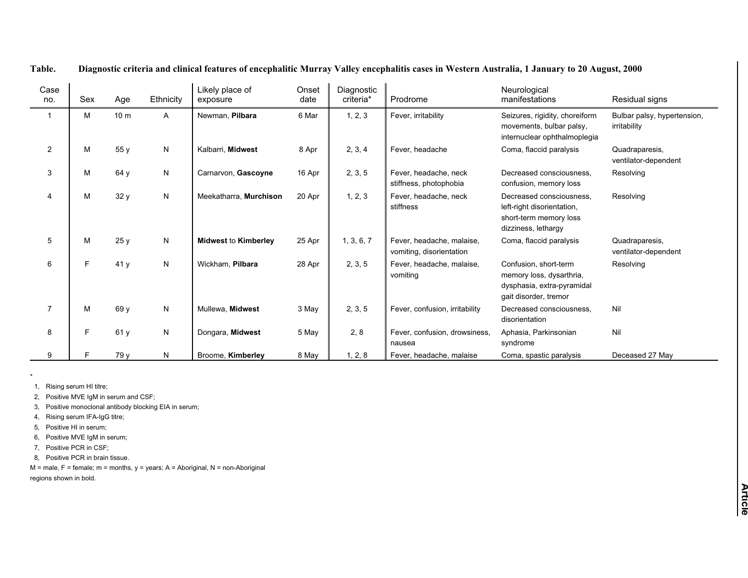| Case<br>no.    | Sex | Age             | Ethnicity    | Likely place of<br>exposure | Onset<br>date | Diagnostic<br>criteria* | Prodrome                                              | Neurological<br>manifestations                                                                           | Residual signs                              |
|----------------|-----|-----------------|--------------|-----------------------------|---------------|-------------------------|-------------------------------------------------------|----------------------------------------------------------------------------------------------------------|---------------------------------------------|
|                | М   | 10 <sub>m</sub> | A            | Newman, Pilbara             | 6 Mar         | 1, 2, 3                 | Fever, irritability                                   | Seizures, rigidity, choreiform<br>movements, bulbar palsy,<br>internuclear ophthalmoplegia               | Bulbar palsy, hypertension,<br>irritability |
| $\overline{2}$ | M   | 55 y            | ${\sf N}$    | Kalbarri, Midwest           | 8 Apr         | 2, 3, 4                 | Fever, headache                                       | Coma, flaccid paralysis                                                                                  | Quadraparesis,<br>ventilator-dependent      |
| 3              | М   | 64 y            | $\mathsf{N}$ | Carnarvon, Gascoyne         | 16 Apr        | 2, 3, 5                 | Fever, headache, neck<br>stiffness, photophobia       | Decreased consciousness.<br>confusion, memory loss                                                       | Resolving                                   |
| 4              | М   | 32 y            | N            | Meekatharra, Murchison      | 20 Apr        | 1, 2, 3                 | Fever, headache, neck<br>stiffness                    | Decreased consciousness.<br>left-right disorientation,<br>short-term memory loss<br>dizziness, lethargy  | Resolving                                   |
| 5              | M   | 25 y            | N            | <b>Midwest to Kimberley</b> | 25 Apr        | 1, 3, 6, 7              | Fever, headache, malaise,<br>vomiting, disorientation | Coma, flaccid paralysis                                                                                  | Quadraparesis,<br>ventilator-dependent      |
| 6              | F   | 41 y            | N            | Wickham. Pilbara            | 28 Apr        | 2, 3, 5                 | Fever, headache, malaise,<br>vomiting                 | Confusion, short-term<br>memory loss, dysarthria,<br>dysphasia, extra-pyramidal<br>gait disorder, tremor | Resolving                                   |
| $\overline{7}$ | M   | 69 y            | N            | Mullewa, Midwest            | 3 May         | 2, 3, 5                 | Fever, confusion, irritability                        | Decreased consciousness,<br>disorientation                                                               | Nil                                         |
| 8              | F   | 61 y            | N            | Dongara, Midwest            | 5 May         | 2, 8                    | Fever, confusion, drowsiness,<br>nausea               | Aphasia, Parkinsonian<br>syndrome                                                                        | Nil                                         |
| 9              |     | 79 y            | N            | Broome, Kimberley           | 8 May         | 1, 2, 8                 | Fever, headache, malaise                              | Coma, spastic paralysis                                                                                  | Deceased 27 May                             |

#### **Table.**Diagnostic criteria and clinical features of encephalitic Murray Valley encephalitis cases in Western Australia, 1 January to 20 August, 2000

1, Rising serum HI titre;

\*

2, Positive MVE IgM in serum and CSF;

3, Positive monoclonal antibody blocking EIA in serum;

4, Rising serum IFA-IgG titre;

5, Positive HI in serum;

6, Positive MVE IgM in serum;

7, Positive PCR in CSF;

8, Positive PCR in brain tissue.

 $M$  = male, F = female; m = months, y = years; A = Aboriginal, N = non-Aboriginal regions shown in bold.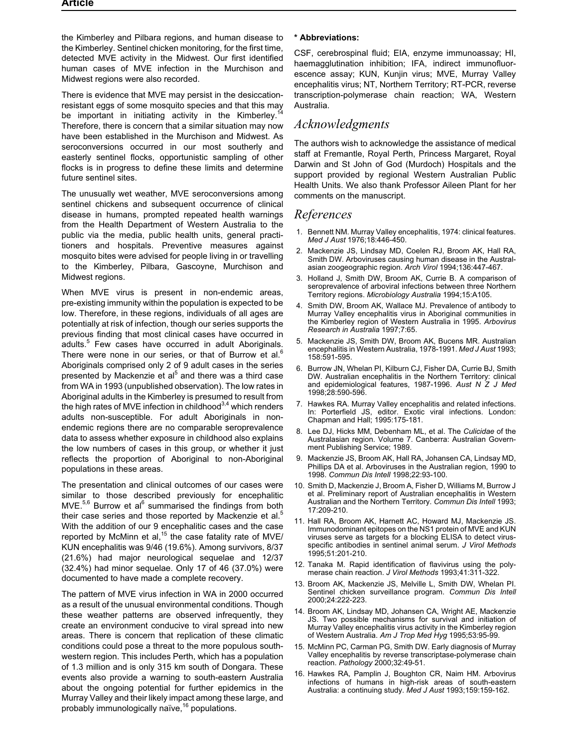the Kimberley and Pilbara regions, and human disease to the Kimberley. Sentinel chicken monitoring, for the first time, detected MVE activity in the Midwest. Our first identified human cases of MVE infection in the Murchison and Midwest regions were also recorded.

There is evidence that MVE may persist in the desiccationresistant eggs of some mosquito species and that this may be important in initiating activity in the Kimberley.<sup>1</sup> Therefore, there is concern that a similar situation may now have been established in the Murchison and Midwest. As seroconversions occurred in our most southerly and easterly sentinel flocks, opportunistic sampling of other flocks is in progress to define these limits and determine future sentinel sites.

The unusually wet weather, MVE seroconversions among sentinel chickens and subsequent occurrence of clinical disease in humans, prompted repeated health warnings from the Health Department of Western Australia to the public via the media, public health units, general practitioners and hospitals. Preventive measures against mosquito bites were advised for people living in or travelling to the Kimberley, Pilbara, Gascoyne, Murchison and Midwest regions.

When MVE virus is present in non-endemic areas, pre-existing immunity within the population is expected to be low. Therefore, in these regions, individuals of all ages are potentially at risk of infection, though our series supports the previous finding that most clinical cases have occurred in adults.<sup>5</sup> Few cases have occurred in adult Aboriginals. There were none in our series, or that of Burrow et al. $<sup>6</sup>$ </sup> Aboriginals comprised only 2 of 9 adult cases in the series presented by Mackenzie et al<sup>5</sup> and there was a third case from WA in 1993 (unpublished observation). The low rates in Aboriginal adults in the Kimberley is presumed to result from the high rates of MVE infection in childhood $3,4$  which renders adults non-susceptible. For adult Aboriginals in nonendemic regions there are no comparable seroprevalence data to assess whether exposure in childhood also explains the low numbers of cases in this group, or whether it just reflects the proportion of Aboriginal to non-Aboriginal populations in these areas.

The presentation and clinical outcomes of our cases were similar to those described previously for encephalitic  $MVE.<sup>5,6</sup>$  Burrow et al<sup>6</sup> summarised the findings from both their case series and those reported by Mackenzie et al. $5$ With the addition of our 9 encephalitic cases and the case reported by McMinn et al,<sup>15</sup> the case fatality rate of MVE/ KUN encephalitis was 9/46 (19.6%). Among survivors, 8/37 (21.6%) had major neurological sequelae and 12/37 (32.4%) had minor sequelae. Only 17 of 46 (37.0%) were documented to have made a complete recovery.

The pattern of MVE virus infection in WA in 2000 occurred as a result of the unusual environmental conditions. Though these weather patterns are observed infrequently, they create an environment conducive to viral spread into new areas. There is concern that replication of these climatic conditions could pose a threat to the more populous southwestern region. This includes Perth, which has a population of 1.3 million and is only 315 km south of Dongara. These events also provide a warning to south-eastern Australia about the ongoing potential for further epidemics in the Murray Valley and their likely impact among these large, and probably immunologically naïve, $16$  populations.

#### **\* Abbreviations:**

CSF, cerebrospinal fluid; EIA, enzyme immunoassay; HI, haemagglutination inhibition; IFA, indirect immunofluorescence assay; KUN, Kunjin virus; MVE, Murray Valley encephalitis virus; NT, Northern Territory; RT-PCR, reverse transcription-polymerase chain reaction; WA, Western Australia.

## *Acknowledgments*

The authors wish to acknowledge the assistance of medical staff at Fremantle, Royal Perth, Princess Margaret, Royal Darwin and St John of God (Murdoch) Hospitals and the support provided by regional Western Australian Public Health Units. We also thank Professor Aileen Plant for her comments on the manuscript.

# *References*

- 1. Bennett NM. Murray Valley encephalitis, 1974: clinical features. *Med J Aust* 1976;18:446-450.
- 2. Mackenzie JS, Lindsay MD, Coelen RJ, Broom AK, Hall RA, Smith DW. Arboviruses causing human disease in the Australasian zoogeographic region. *Arch Virol* 1994;136:447-467.
- 3. Holland J, Smith DW, Broom AK, Currie B. A comparison of seroprevalence of arboviral infections between three Northern Territory regions. *Microbiology Australia* 1994;15:A105.
- 4. Smith DW, Broom AK, Wallace MJ. Prevalence of antibody to Murray Valley encephalitis virus in Aboriginal communities in the Kimberley region of Western Australia in 1995. *Arbovirus Research in Australia* 1997;7:65.
- 5. Mackenzie JS, Smith DW, Broom AK, Bucens MR. Australian encephalitis in Western Australia, 1978-1991. *Med J Aust* 1993; 158:591-595.
- 6. Burrow JN, Whelan PI, Kilburn CJ, Fisher DA, Currie BJ, Smith DW. Australian encephalitis in the Northern Territory: clinical and epidemiological features, 1987-1996. *Aust N Z J Med* 1998;28:590-596.
- 7. Hawkes RA. Murray Valley encephalitis and related infections. In: Porterfield JS, editor. Exotic viral infections. London: Chapman and Hall; 1995:175-181.
- 8. Lee DJ, Hicks MM, Debenham ML, et al. The *Culicidae* of the Australasian region. Volume 7. Canberra: Australian Government Publishing Service; 1989.
- 9. Mackenzie JS, Broom AK, Hall RA, Johansen CA, Lindsay MD, Phillips DA et al. Arboviruses in the Australian region, 1990 to 1998. *Commun Dis Intell* 1998;22:93-100.
- 10. Smith D, Mackenzie J, Broom A, Fisher D, Williams M, Burrow J et al. Preliminary report of Australian encephalitis in Western Australian and the Northern Territory. *Commun Dis Intell* 1993; 17:209-210.
- 11. Hall RA, Broom AK, Harnett AC, Howard MJ, Mackenzie JS. Immunodominant epitopes on the NS1 protein of MVE and KUN viruses serve as targets for a blocking ELISA to detect virusspecific antibodies in sentinel animal serum. *J Virol Methods* 1995;51:201-210.
- 12. Tanaka M. Rapid identification of flavivirus using the polymerase chain reaction. *J Virol Methods* 1993;41:311-322.
- 13. Broom AK, Mackenzie JS, Melville L, Smith DW, Whelan PI. Sentinel chicken surveillance program. *Commun Dis Intell* 2000;24:222-223.
- 14. Broom AK, Lindsay MD, Johansen CA, Wright AE, Mackenzie JS. Two possible mechanisms for survival and initiation of Murray Valley encephalitis virus activity in the Kimberley region of Western Australia. *Am J Trop Med Hyg* 1995;53:95-99.
- 15. McMinn PC, Carman PG, Smith DW. Early diagnosis of Murray Valley encephalitis by reverse transcriptase-polymerase chain reaction. *Pathology* 2000;32:49-51.
- 16. Hawkes RA, Pamplin J, Boughton CR, Naim HM. Arbovirus infections of humans in high-risk areas of south-eastern Australia: a continuing study. *Med J Aust* 1993;159:159-162.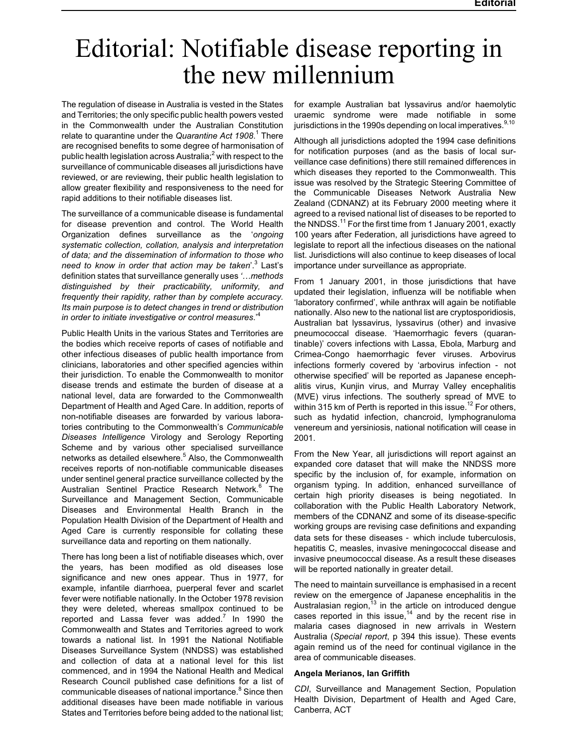# <span id="page-8-0"></span>Editorial: Notifiable disease reporting in the new millennium

The regulation of disease in Australia is vested in the States and Territories; the only specific public health powers vested in the Commonwealth under the Australian Constitution relate to quarantine under the *Quarantine Act 1908*. <sup>1</sup> There are recognised benefits to some degree of harmonisation of public health legislation across Australia; $^2$  with respect to the surveillance of communicable diseases all jurisdictions have reviewed, or are reviewing, their public health legislation to allow greater flexibility and responsiveness to the need for rapid additions to their notifiable diseases list.

The surveillance of a communicable disease is fundamental for disease prevention and control. The World Health Organization defines surveillance as the '*ongoing systematic collection, collation, analysis and interpretation of data; and the dissemination of information to those who need to know in order that action may be taken*'.<sup>3</sup> Last's definition states that surveillance generally uses *'…methods distinguished by their practicability, uniformity, and frequently their rapidity, rather than by complete accuracy. Its main purpose is to detect changes in trend or distribution in order to initiate investigative or control measures*.'<sup>4</sup>

Public Health Units in the various States and Territories are the bodies which receive reports of cases of notifiable and other infectious diseases of public health importance from clinicians, laboratories and other specified agencies within their jurisdiction. To enable the Commonwealth to monitor disease trends and estimate the burden of disease at a national level, data are forwarded to the Commonwealth Department of Health and Aged Care. In addition, reports of non-notifiable diseases are forwarded by various laboratories contributing to the Commonwealth's *Communicable Diseases Intelligence* Virology and Serology Reporting Scheme and by various other specialised surveillance networks as detailed elsewhere.<sup>5</sup> Also, the Commonwealth receives reports of non-notifiable communicable diseases under sentinel general practice surveillance collected by the Australian Sentinel Practice Research Network.<sup>6</sup> The Surveillance and Management Section, Communicable Diseases and Environmental Health Branch in the Population Health Division of the Department of Health and Aged Care is currently responsible for collating these surveillance data and reporting on them nationally.

There has long been a list of notifiable diseases which, over the years, has been modified as old diseases lose significance and new ones appear. Thus in 1977, for example, infantile diarrhoea, puerperal fever and scarlet fever were notifiable nationally. In the October 1978 revision they were deleted, whereas smallpox continued to be reported and Lassa fever was added. $<sup>7</sup>$  In 1990 the</sup> Commonwealth and States and Territories agreed to work towards a national list. In 1991 the National Notifiable Diseases Surveillance System (NNDSS) was established and collection of data at a national level for this list commenced, and in 1994 the National Health and Medical Research Council published case definitions for a list of communicable diseases of national importance.<sup>8</sup> Since then additional diseases have been made notifiable in various States and Territories before being added to the national list;

for example Australian bat lyssavirus and/or haemolytic uraemic syndrome were made notifiable in some jurisdictions in the 1990s depending on local imperatives. $^{9,10}$ 

Although all jurisdictions adopted the 1994 case definitions for notification purposes (and as the basis of local surveillance case definitions) there still remained differences in which diseases they reported to the Commonwealth. This issue was resolved by the Strategic Steering Committee of the Communicable Diseases Network Australia New Zealand (CDNANZ) at its February 2000 meeting where it agreed to a revised national list of diseases to be reported to the NNDSS.<sup>11</sup> For the first time from 1 January 2001, exactly 100 years after Federation, all jurisdictions have agreed to legislate to report all the infectious diseases on the national list. Jurisdictions will also continue to keep diseases of local importance under surveillance as appropriate.

From 1 January 2001, in those jurisdictions that have updated their legislation, influenza will be notifiable when 'laboratory confirmed', while anthrax will again be notifiable nationally. Also new to the national list are cryptosporidiosis, Australian bat lyssavirus, lyssavirus (other) and invasive pneumococcal disease. 'Haemorrhagic fevers (quarantinable)' covers infections with Lassa, Ebola, Marburg and Crimea-Congo haemorrhagic fever viruses. Arbovirus infections formerly covered by 'arbovirus infection not otherwise specified' will be reported as Japanese encephalitis virus, Kunjin virus, and Murray Valley encephalitis (MVE) virus infections. The southerly spread of MVE to within 315 km of Perth is reported in this issue.<sup>12</sup> For others, such as hydatid infection, chancroid, lymphogranuloma venereum and yersiniosis, national notification will cease in 2001.

From the New Year, all jurisdictions will report against an expanded core dataset that will make the NNDSS more specific by the inclusion of, for example, information on organism typing. In addition, enhanced surveillance of certain high priority diseases is being negotiated. In collaboration with the Public Health Laboratory Network, members of the CDNANZ and some of its disease-specific working groups are revising case definitions and expanding data sets for these diseases which include tuberculosis, hepatitis C, measles, invasive meningococcal disease and invasive pneumococcal disease. As a result these diseases will be reported nationally in greater detail.

The need to maintain surveillance is emphasised in a recent review on the emergence of Japanese encephalitis in the Australasian region, $13$  in the article on introduced dengue cases reported in this issue,<sup>14</sup> and by the recent rise in malaria cases diagnosed in new arrivals in Western Australia (*Special report*, p 394 this issue). These events again remind us of the need for continual vigilance in the area of communicable diseases.

#### **Angela Merianos, Ian Griffith**

*CDI*, Surveillance and Management Section, Population Health Division, Department of Health and Aged Care, Canberra, ACT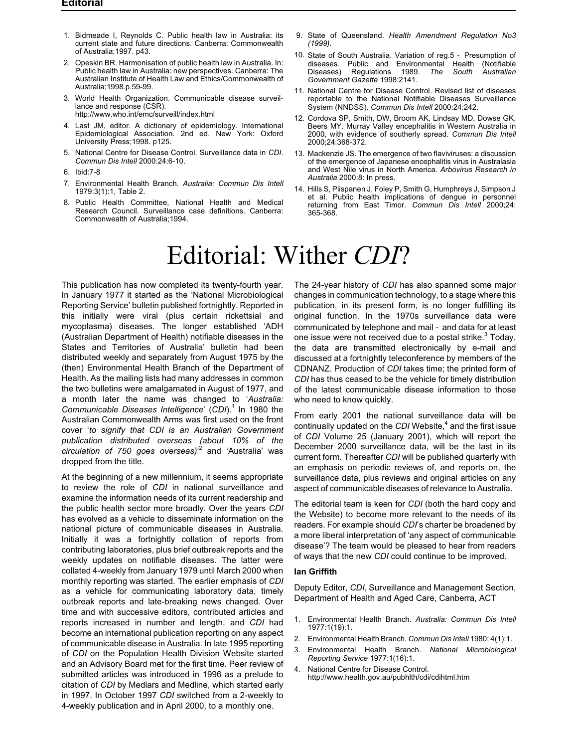#### <span id="page-9-0"></span>**Editorial**

- 1. Bidmeade I, Reynolds C. Public health law in Australia: its current state and future directions. Canberra: Commonwealth of Australia;1997. p43.
- 2. Opeskin BR. Harmonisation of public health law in Australia. In: Public health law in Australia: new perspectives. Canberra: The Australian Institute of Health Law and Ethics/Commonwealth of Australia;1998.p.59-99.
- 3. World Health Organization. Communicable disease surveillance and response (CSR). http://www.who.int/emc/surveill/index.html
- 4. Last JM, editor. A dictionary of epidemiology. International Epidemiological Association. 2nd ed. New York: Oxford University Press;1998. p125.
- 5. National Centre for Disease Control. Surveillance data in *CDI*. *Commun Dis Intell* 2000:24:6-10.
- 6. Ibid:7-8
- 7. Environmental Health Branch. *Australia: Commun Dis Intell* 1979:3(1):1, Table 2.
- 8. Public Health Committee, National Health and Medical Research Council. Surveillance case definitions. Canberra: Commonwealth of Australia;1994.
- 9. State of Queensland. *Health Amendment Regulation No3 (1999).*
- 10. State of South Australia. Variation of reg.5 Presumption of diseases. Public and Environmental Health (Notifiable<br>Diseases) Regulations 1989. The South Australian  $Regulations$ *Government Gazette* 1998:2141.
- 11. National Centre for Disease Control. Revised list of diseases reportable to the National Notifiable Diseases Surveillance System (NNDSS). *Commun Dis Intell* 2000:24:242.
- 12. Cordova SP, Smith, DW, Broom AK, Lindsay MD, Dowse GK, Beers MY. Murray Valley encephalitis in Western Australia in 2000, with evidence of southerly spread. *Commun Dis Intell* 2000;24:368-372.
- 13. Mackenzie JS. The emergence of two flaviviruses: a discussion of the emergence of Japanese encephalitis virus in Australasia and West Nile virus in North America. *Arbovirus Research in Australia* 2000;8: In press.
- 14. Hills S, Piispanen J, Foley P, Smith G, Humphreys J, Simpson J et al. Public health implications of dengue in personnel returning from East Timor. *Commun Dis Intell* 2000;24: 365-368.

# Editorial: Wither *CDI*?

This publication has now completed its twenty-fourth year. In January 1977 it started as the 'National Microbiological Reporting Service' bulletin published fortnightly. Reported in this initially were viral (plus certain rickettsial and mycoplasma) diseases. The longer established 'ADH (Australian Department of Health) notifiable diseases in the States and Territories of Australia' bulletin had been distributed weekly and separately from August 1975 by the (then) Environmental Health Branch of the Department of Health. As the mailing lists had many addresses in common the two bulletins were amalgamated in August of 1977, and a month later the name was changed to '*Australia: Communicable Diseases Intelligence' (CDI).<sup>1</sup> In 1980 the* Australian Commonwealth Arms was first used on the front cover '*to signify that CDI is an Australian Government publication distributed overseas (about 10% of the circulation of 750 goes overseas)*' <sup>2</sup> and 'Australia' was dropped from the title.

At the beginning of a new millennium, it seems appropriate to review the role of *CDI* in national surveillance and examine the information needs of its current readership and the public health sector more broadly. Over the years *CDI* has evolved as a vehicle to disseminate information on the national picture of communicable diseases in Australia. Initially it was a fortnightly collation of reports from contributing laboratories, plus brief outbreak reports and the weekly updates on notifiable diseases. The latter were collated 4-weekly from January 1979 until March 2000 when monthly reporting was started. The earlier emphasis of *CDI* as a vehicle for communicating laboratory data, timely outbreak reports and late-breaking news changed. Over time and with successive editors, contributed articles and reports increased in number and length, and *CDI* had become an international publication reporting on any aspect of communicable disease in Australia. In late 1995 reporting of *CDI* on the Population Health Division Website started and an Advisory Board met for the first time. Peer review of submitted articles was introduced in 1996 as a prelude to citation of *CDI* by Medlars and Medline, which started early in 1997. In October 1997 *CDI* switched from a 2-weekly to 4-weekly publication and in April 2000, to a monthly one.

The 24-year history of *CDI* has also spanned some major changes in communication technology, to a stage where this publication, in its present form, is no longer fulfilling its original function. In the 1970s surveillance data were communicated by telephone and mail and data for at least one issue were not received due to a postal strike. $3$  Today, the data are transmitted electronically by e-mail and discussed at a fortnightly teleconference by members of the CDNANZ. Production of *CDI* takes time; the printed form of *CDI* has thus ceased to be the vehicle for timely distribution of the latest communicable disease information to those who need to know quickly.

From early 2001 the national surveillance data will be continually updated on the *CDI* Website,<sup>4</sup> and the first issue of *CDI* Volume 25 (January 2001), which will report the December 2000 surveillance data, will be the last in its current form. Thereafter *CDI* will be published quarterly with an emphasis on periodic reviews of, and reports on, the surveillance data, plus reviews and original articles on any aspect of communicable diseases of relevance to Australia.

The editorial team is keen for *CDI* (both the hard copy and the Website) to become more relevant to the needs of its readers. For example should *CDI*'s charter be broadened by a more liberal interpretation of 'any aspect of communicable disease'? The team would be pleased to hear from readers of ways that the new *CDI* could continue to be improved.

#### **Ian Griffith**

Deputy Editor, *CDI*, Surveillance and Management Section, Department of Health and Aged Care, Canberra, ACT

- 1. Environmental Health Branch. *Australia: Commun Dis Intell* 1977:1(19):1.
- 2. Environmental Health Branch. *Commun Dis Intell* 1980: 4(1):1.
- 3. Environmental Health Branch. *National Microbiological Reporting Service* 1977:1(16):1.
- 4. National Centre for Disease Control. http://www.health.gov.au/pubhlth/cdi/cdihtml.htm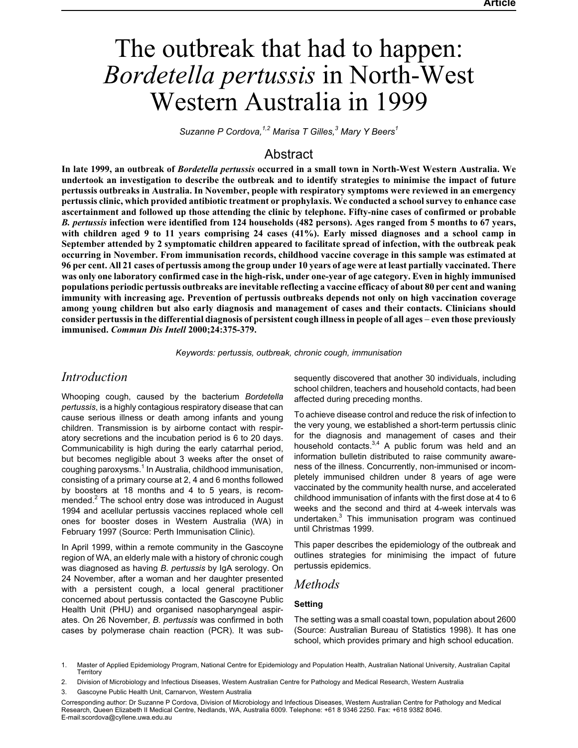# <span id="page-10-0"></span>The outbreak that had to happen: *Bordetella pertussis* in North-West Western Australia in 1999

*Suzanne P Cordova,1,2 Marisa T Gilles,<sup>3</sup> Mary Y Beers<sup>1</sup>*

# **Abstract**

**In late 1999, an outbreak of** *Bordetella pertussis* **occurred in a small town in North-West Western Australia. We undertook an investigation to describe the outbreak and to identify strategies to minimise the impact of future pertussis outbreaks in Australia. In November, people with respiratory symptoms were reviewed in an emergency pertussis clinic, which provided antibiotic treatment or prophylaxis. We conducted a school survey to enhance case ascertainment and followed up those attending the clinic by telephone. Fifty-nine cases of confirmed or probable** *B. pertussis* **infection were identified from 124 households (482 persons). Ages ranged from 5 months to 67 years, with children aged 9 to 11 years comprising 24 cases (41%). Early missed diagnoses and a school camp in September attended by 2 symptomatic children appeared to facilitate spread of infection, with the outbreak peak occurring in November. From immunisation records, childhood vaccine coverage in this sample was estimated at 96 per cent. All 21 cases of pertussis among the group under 10 years of age were at least partially vaccinated. There was only one laboratory confirmed case in the high-risk, under one-year of age category. Even in highly immunised populations periodic pertussis outbreaks are inevitable reflecting a vaccine efficacy of about 80 per cent and waning immunity with increasing age. Prevention of pertussis outbreaks depends not only on high vaccination coverage among young children but also early diagnosis and management of cases and their contacts. Clinicians should consider pertussis in the differential diagnosis of persistent cough illness in people of all ages even those previously immunised.** *Commun Dis Intell* **2000;24:375-379.**

*Keywords: pertussis, outbreak, chronic cough, immunisation*

# *Introduction*

Whooping cough, caused by the bacterium *Bordetella pertussis*, is a highly contagious respiratory disease that can cause serious illness or death among infants and young children. Transmission is by airborne contact with respiratory secretions and the incubation period is 6 to 20 days. Communicability is high during the early catarrhal period, but becomes negligible about 3 weeks after the onset of coughing paroxysms.<sup>1</sup> In Australia, childhood immunisation, consisting of a primary course at 2, 4 and 6 months followed by boosters at 18 months and 4 to 5 years, is recommended.<sup>2</sup> The school entry dose was introduced in August 1994 and acellular pertussis vaccines replaced whole cell ones for booster doses in Western Australia (WA) in February 1997 (Source: Perth Immunisation Clinic).

In April 1999, within a remote community in the Gascoyne region of WA, an elderly male with a history of chronic cough was diagnosed as having *B. pertussis* by IgA serology. On 24 November, after a woman and her daughter presented with a persistent cough, a local general practitioner concerned about pertussis contacted the Gascoyne Public Health Unit (PHU) and organised nasopharyngeal aspirates. On 26 November, *B. pertussis* was confirmed in both cases by polymerase chain reaction (PCR). It was subsequently discovered that another 30 individuals, including school children, teachers and household contacts, had been affected during preceding months.

To achieve disease control and reduce the risk of infection to the very young, we established a short-term pertussis clinic for the diagnosis and management of cases and their household contacts.<sup>3,4</sup> A public forum was held and an information bulletin distributed to raise community awareness of the illness. Concurrently, non-immunised or incompletely immunised children under 8 years of age were vaccinated by the community health nurse, and accelerated childhood immunisation of infants with the first dose at 4 to 6 weeks and the second and third at 4-week intervals was undertaken.<sup>3</sup> This immunisation program was continued until Christmas 1999.

This paper describes the epidemiology of the outbreak and outlines strategies for minimising the impact of future pertussis epidemics.

# *Methods*

## **Setting**

The setting was a small coastal town, population about 2600 (Source: Australian Bureau of Statistics 1998). It has one school, which provides primary and high school education.

1. Master of Applied Epidemiology Program, National Centre for Epidemiology and Population Health, Australian National University, Australian Capital **Territory** 

- 2. Division of Microbiology and Infectious Diseases, Western Australian Centre for Pathology and Medical Research, Western Australia
- Gascoyne Public Health Unit, Carnarvon, Western Australia

Corresponding author: Dr Suzanne P Cordova, Division of Microbiology and Infectious Diseases, Western Australian Centre for Pathology and Medical Research, Queen Elizabeth II Medical Centre, Nedlands, WA, Australia 6009. Telephone: +61 8 9346 2250. Fax: +618 9382 8046. E-mail:scordova@cyllene.uwa.edu.au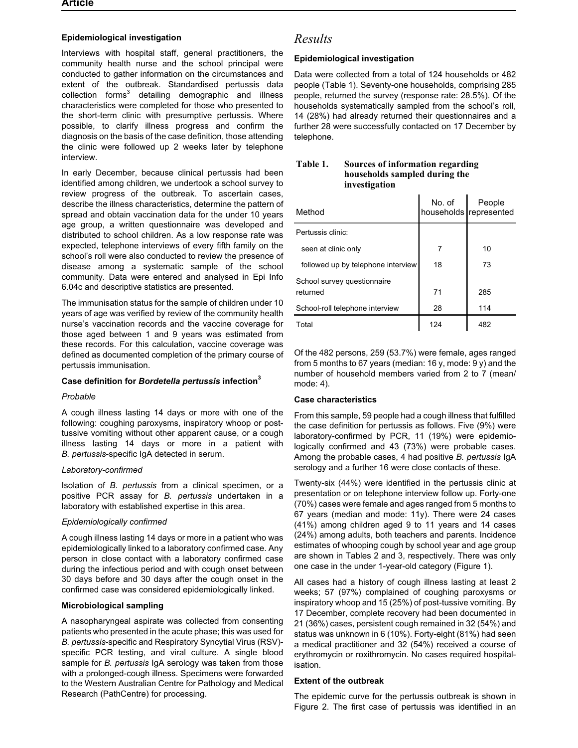#### **Epidemiological investigation**

Interviews with hospital staff, general practitioners, the community health nurse and the school principal were conducted to gather information on the circumstances and extent of the outbreak. Standardised pertussis data  $\text{collection}$  forms<sup>3</sup> detailing demographic and illness characteristics were completed for those who presented to the short-term clinic with presumptive pertussis. Where possible, to clarify illness progress and confirm the diagnosis on the basis of the case definition, those attending the clinic were followed up 2 weeks later by telephone interview.

In early December, because clinical pertussis had been identified among children, we undertook a school survey to review progress of the outbreak. To ascertain cases, describe the illness characteristics, determine the pattern of spread and obtain vaccination data for the under 10 years age group, a written questionnaire was developed and distributed to school children. As a low response rate was expected, telephone interviews of every fifth family on the school's roll were also conducted to review the presence of disease among a systematic sample of the school community. Data were entered and analysed in Epi Info 6.04c and descriptive statistics are presented.

The immunisation status for the sample of children under 10 years of age was verified by review of the community health nurse's vaccination records and the vaccine coverage for those aged between 1 and 9 years was estimated from these records. For this calculation, vaccine coverage was defined as documented completion of the primary course of pertussis immunisation.

#### **Case definition for** *Bordetella pertussis* **infection<sup>3</sup>**

#### *Probable*

A cough illness lasting 14 days or more with one of the following: coughing paroxysms, inspiratory whoop or posttussive vomiting without other apparent cause, or a cough illness lasting 14 days or more in a patient with *B. pertussis*-specific IgA detected in serum.

#### *Laboratory-confirmed*

Isolation of *B. pertussis* from a clinical specimen, or a positive PCR assay for *B. pertussis* undertaken in a laboratory with established expertise in this area.

#### *Epidemiologically confirmed*

A cough illness lasting 14 days or more in a patient who was epidemiologically linked to a laboratory confirmed case. Any person in close contact with a laboratory confirmed case during the infectious period and with cough onset between 30 days before and 30 days after the cough onset in the confirmed case was considered epidemiologically linked.

#### **Microbiological sampling**

A nasopharyngeal aspirate was collected from consenting patients who presented in the acute phase; this was used for *B. pertussis*-specific and Respiratory Syncytial Virus (RSV) specific PCR testing, and viral culture. A single blood sample for *B. pertussis* IgA serology was taken from those with a prolonged-cough illness. Specimens were forwarded to the Western Australian Centre for Pathology and Medical Research (PathCentre) for processing.

# *Results*

#### **Epidemiological investigation**

Data were collected from a total of 124 households or 482 people (Table 1). Seventy-one households, comprising 285 people, returned the survey (response rate: 28.5%). Of the households systematically sampled from the school's roll, 14 (28%) had already returned their questionnaires and a further 28 were successfully contacted on 17 December by telephone.

#### **Table 1. Sources of information regarding households sampled during the investigation**

| Method                                  | No. of | People<br>households represented |
|-----------------------------------------|--------|----------------------------------|
| Pertussis clinic:                       |        |                                  |
| seen at clinic only                     | 7      | 10                               |
| followed up by telephone interview      | 18     | 73                               |
| School survey questionnaire<br>returned | 71     | 285                              |
| School-roll telephone interview         | 28     | 114                              |
| Total                                   | 124    | 482                              |

Of the 482 persons, 259 (53.7%) were female, ages ranged from 5 months to 67 years (median: 16 y, mode: 9 y) and the number of household members varied from 2 to 7 (mean/ mode: 4).

#### **Case characteristics**

From this sample, 59 people had a cough illness that fulfilled the case definition for pertussis as follows. Five (9%) were laboratory-confirmed by PCR, 11 (19%) were epidemiologically confirmed and 43 (73%) were probable cases. Among the probable cases, 4 had positive *B. pertussis* IgA serology and a further 16 were close contacts of these.

Twenty-six (44%) were identified in the pertussis clinic at presentation or on telephone interview follow up. Forty-one (70%) cases were female and ages ranged from 5 months to 67 years (median and mode: 11y). There were 24 cases (41%) among children aged 9 to 11 years and 14 cases (24%) among adults, both teachers and parents. Incidence estimates of whooping cough by school year and age group are shown in Tables 2 and 3, respectively. There was only one case in the under 1-year-old category (Figure 1).

All cases had a history of cough illness lasting at least 2 weeks; 57 (97%) complained of coughing paroxysms or inspiratory whoop and 15 (25%) of post-tussive vomiting. By 17 December, complete recovery had been documented in 21 (36%) cases, persistent cough remained in 32 (54%) and status was unknown in 6 (10%). Forty-eight (81%) had seen a medical practitioner and 32 (54%) received a course of erythromycin or roxithromycin. No cases required hospitalisation.

#### **Extent of the outbreak**

The epidemic curve for the pertussis outbreak is shown in Figure 2. The first case of pertussis was identified in an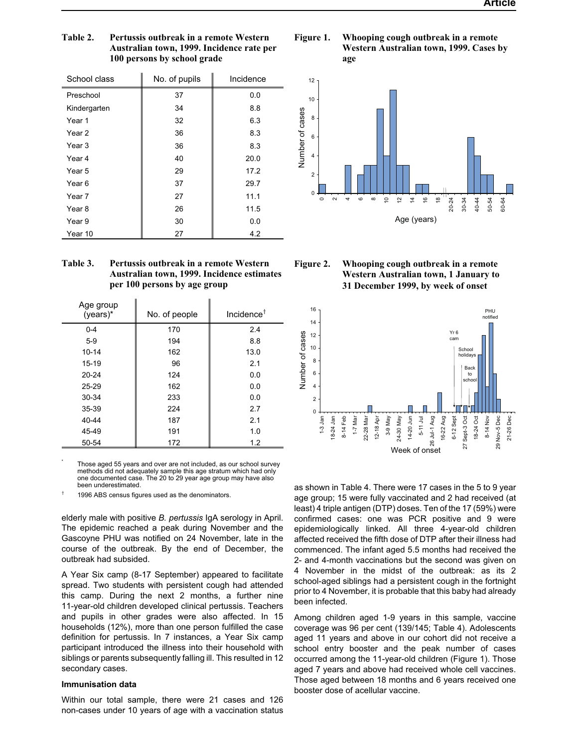| School class | No. of pupils | Incidence |
|--------------|---------------|-----------|
| Preschool    | 37            | 0.0       |
| Kindergarten | 34            | 8.8       |
| Year 1       | 32            | 6.3       |
| Year 2       | 36            | 8.3       |
| Year 3       | 36            | 8.3       |
| Year 4       | 40            | 20.0      |
| Year 5       | 29            | 17.2      |
| Year 6       | 37            | 29.7      |
| Year 7       | 27            | 11.1      |
| Year 8       | 26            | 11.5      |
| Year 9       | 30            | 0.0       |
| Year 10      | 27            | 4.2       |

#### **Table 2. Pertussis outbreak in a remote Western Australian town, 1999. Incidence rate per 100 persons by school grade**

| <b>Table 3.</b> | Pertussis outbreak in a remote Western     |
|-----------------|--------------------------------------------|
|                 | Australian town, 1999. Incidence estimates |
|                 | per 100 persons by age group               |

| Age group<br>(years)* | No. of people | Incidence $†$ |
|-----------------------|---------------|---------------|
| $0 - 4$               | 170           | 2.4           |
| $5-9$                 | 194           | 8.8           |
| $10 - 14$             | 162           | 13.0          |
| $15-19$               | 96            | 2.1           |
| $20 - 24$             | 124           | 0.0           |
| $25 - 29$             | 162           | 0.0           |
| 30-34                 | 233           | 0.0           |
| 35-39                 | 224           | 2.7           |
| 40-44                 | 187           | 2.1           |
| 45-49                 | 191           | 1.0           |
| 50-54                 | 172           | 1.2           |

Those aged 55 years and over are not included, as our school survey methods did not adequately sample this age stratum which had only one documented case. The 20 to 29 year age group may have also been underestimated.

1996 ABS census figures used as the denominators.

elderly male with positive *B. pertussis* IgA serology in April. The epidemic reached a peak during November and the Gascoyne PHU was notified on 24 November, late in the course of the outbreak. By the end of December, the outbreak had subsided.

A Year Six camp (8-17 September) appeared to facilitate spread. Two students with persistent cough had attended this camp. During the next 2 months, a further nine 11-year-old children developed clinical pertussis. Teachers and pupils in other grades were also affected. In 15 households (12%), more than one person fulfilled the case definition for pertussis. In 7 instances, a Year Six camp participant introduced the illness into their household with siblings or parents subsequently falling ill. This resulted in 12 secondary cases.

#### **Immunisation data**

Within our total sample, there were 21 cases and 126 non-cases under 10 years of age with a vaccination status









as shown in Table 4. There were 17 cases in the 5 to 9 year age group; 15 were fully vaccinated and 2 had received (at least) 4 triple antigen (DTP) doses. Ten of the 17 (59%) were confirmed cases: one was PCR positive and 9 were epidemiologically linked. All three 4-year-old children affected received the fifth dose of DTP after their illness had commenced. The infant aged 5.5 months had received the 2- and 4-month vaccinations but the second was given on 4 November in the midst of the outbreak: as its 2 school-aged siblings had a persistent cough in the fortnight prior to 4 November, it is probable that this baby had already been infected.

Among children aged 1-9 years in this sample, vaccine coverage was 96 per cent (139/145; Table 4). Adolescents aged 11 years and above in our cohort did not receive a school entry booster and the peak number of cases occurred among the 11-year-old children (Figure 1). Those aged 7 years and above had received whole cell vaccines. Those aged between 18 months and 6 years received one booster dose of acellular vaccine.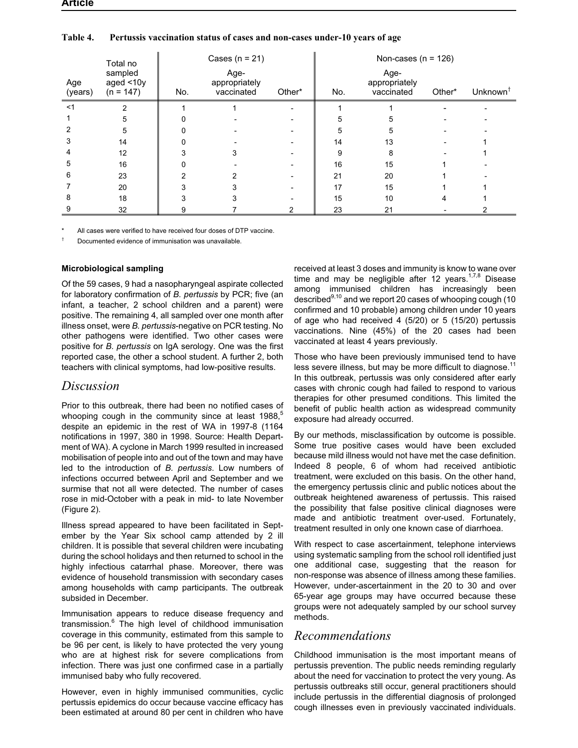|                | Total no                            |     | Cases ( $n = 21$ )                  |        |     | Non-cases ( $n = 126$ )             |        |                      |
|----------------|-------------------------------------|-----|-------------------------------------|--------|-----|-------------------------------------|--------|----------------------|
| Age<br>(years) | sampled<br>aged <10y<br>$(n = 147)$ | No. | Age-<br>appropriately<br>vaccinated | Other* | No. | Age-<br>appropriately<br>vaccinated | Other* | Unknown <sup>†</sup> |
| $<$ 1          | ⌒                                   |     |                                     |        |     |                                     |        |                      |
|                | 5                                   |     |                                     |        |     |                                     |        |                      |
|                | 5                                   |     |                                     |        | 5   | h                                   |        |                      |
|                | 14                                  |     |                                     |        | 14  | 13                                  |        |                      |
|                | 12                                  |     |                                     |        | 9   | 8                                   |        |                      |
|                | 16                                  |     |                                     |        | 16  | 15                                  |        |                      |
| 6              | 23                                  |     |                                     |        | 21  | 20                                  |        |                      |
|                | 20                                  |     |                                     |        | 17  | 15                                  |        |                      |
|                | 18                                  |     |                                     |        | 15  | 10                                  |        |                      |
|                | 32                                  |     |                                     |        | 23  | 21                                  |        |                      |

#### **Table 4. Pertussis vaccination status of cases and non-cases under-10 years of age**

All cases were verified to have received four doses of DTP vaccine.

† Documented evidence of immunisation was unavailable.

#### **Microbiological sampling**

Of the 59 cases, 9 had a nasopharyngeal aspirate collected for laboratory confirmation of *B. pertussis* by PCR; five (an infant, a teacher, 2 school children and a parent) were positive. The remaining 4, all sampled over one month after illness onset, were *B. pertussis*-negative on PCR testing. No other pathogens were identified. Two other cases were positive for *B. pertussis* on IgA serology. One was the first reported case, the other a school student. A further 2, both teachers with clinical symptoms, had low-positive results.

# *Discussion*

Prior to this outbreak, there had been no notified cases of whooping cough in the community since at least 1988, $5$ despite an epidemic in the rest of WA in 1997-8 (1164 notifications in 1997, 380 in 1998. Source: Health Department of WA). A cyclone in March 1999 resulted in increased mobilisation of people into and out of the town and may have led to the introduction of *B. pertussis*. Low numbers of infections occurred between April and September and we surmise that not all were detected. The number of cases rose in mid-October with a peak in mid- to late November (Figure 2).

Illness spread appeared to have been facilitated in September by the Year Six school camp attended by 2 ill children. It is possible that several children were incubating during the school holidays and then returned to school in the highly infectious catarrhal phase. Moreover, there was evidence of household transmission with secondary cases among households with camp participants. The outbreak subsided in December.

Immunisation appears to reduce disease frequency and transmission.<sup>6</sup> The high level of childhood immunisation coverage in this community, estimated from this sample to be 96 per cent, is likely to have protected the very young who are at highest risk for severe complications from infection. There was just one confirmed case in a partially immunised baby who fully recovered.

However, even in highly immunised communities, cyclic pertussis epidemics do occur because vaccine efficacy has been estimated at around 80 per cent in children who have

received at least 3 doses and immunity is know to wane over time and may be negligible after 12 years.<sup>1,7,8</sup> Disease among immunised children has increasingly been described<sup>9,10</sup> and we report 20 cases of whooping cough (10 confirmed and 10 probable) among children under 10 years of age who had received 4 (5/20) or 5 (15/20) pertussis vaccinations. Nine (45%) of the 20 cases had been vaccinated at least 4 years previously.

Those who have been previously immunised tend to have less severe illness, but may be more difficult to diagnose.<sup>11</sup> In this outbreak, pertussis was only considered after early cases with chronic cough had failed to respond to various therapies for other presumed conditions. This limited the benefit of public health action as widespread community exposure had already occurred.

By our methods, misclassification by outcome is possible. Some true positive cases would have been excluded because mild illness would not have met the case definition. Indeed 8 people, 6 of whom had received antibiotic treatment, were excluded on this basis. On the other hand, the emergency pertussis clinic and public notices about the outbreak heightened awareness of pertussis. This raised the possibility that false positive clinical diagnoses were made and antibiotic treatment over-used. Fortunately, treatment resulted in only one known case of diarrhoea.

With respect to case ascertainment, telephone interviews using systematic sampling from the school roll identified just one additional case, suggesting that the reason for non-response was absence of illness among these families. However, under-ascertainment in the 20 to 30 and over 65-year age groups may have occurred because these groups were not adequately sampled by our school survey methods.

## *Recommendations*

Childhood immunisation is the most important means of pertussis prevention. The public needs reminding regularly about the need for vaccination to protect the very young. As pertussis outbreaks still occur, general practitioners should include pertussis in the differential diagnosis of prolonged cough illnesses even in previously vaccinated individuals.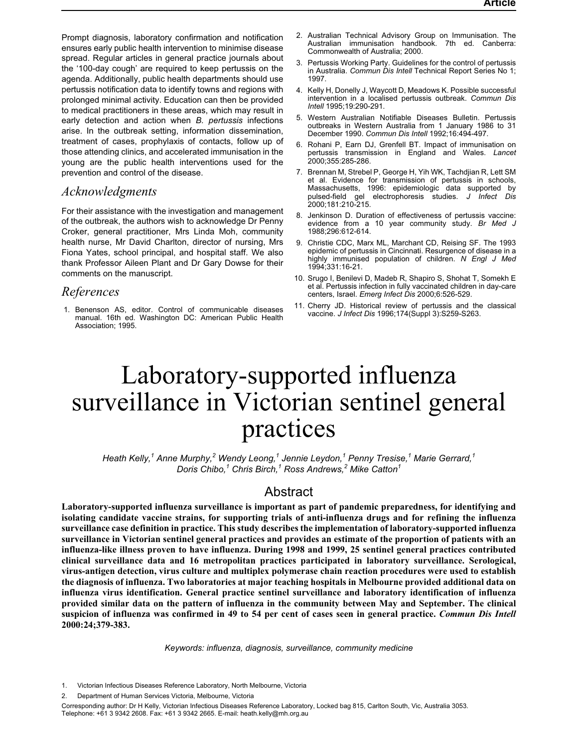<span id="page-14-0"></span>Prompt diagnosis, laboratory confirmation and notification ensures early public health intervention to minimise disease spread. Regular articles in general practice journals about the '100-day cough' are required to keep pertussis on the agenda. Additionally, public health departments should use pertussis notification data to identify towns and regions with prolonged minimal activity. Education can then be provided to medical practitioners in these areas, which may result in early detection and action when *B. pertussis* infections arise. In the outbreak setting, information dissemination, treatment of cases, prophylaxis of contacts, follow up of those attending clinics, and accelerated immunisation in the young are the public health interventions used for the prevention and control of the disease.

## *Acknowledgments*

For their assistance with the investigation and management of the outbreak, the authors wish to acknowledge Dr Penny Croker, general practitioner, Mrs Linda Moh, community health nurse, Mr David Charlton, director of nursing, Mrs Fiona Yates, school principal, and hospital staff. We also thank Professor Aileen Plant and Dr Gary Dowse for their comments on the manuscript.

### *References*

1. Benenson AS, editor. Control of communicable diseases manual. 16th ed. Washington DC: American Public Health Association; 1995.

- 2. Australian Technical Advisory Group on Immunisation. The Australian immunisation handbook. 7th ed. Canberra: Commonwealth of Australia; 2000.
- 3. Pertussis Working Party. Guidelines for the control of pertussis in Australia. *Commun Dis Intell* Technical Report Series No 1; 1997.
- 4. Kelly H, Donelly J, Waycott D, Meadows K. Possible successful intervention in a localised pertussis outbreak. *Commun Dis Intell* 1995;19:290-291.
- 5. Western Australian Notifiable Diseases Bulletin. Pertussis outbreaks in Western Australia from 1 January 1986 to 31 December 1990. *Commun Dis Intell* 1992;16:494-497.
- 6. Rohani P, Earn DJ, Grenfell BT. Impact of immunisation on pertussis transmission in England and Wales. *Lancet* 2000;355:285-286.
- 7. Brennan M, Strebel P, George H, Yih WK, Tachdjian R, Lett SM et al. Evidence for transmission of pertussis in schools, Massachusetts, 1996: epidemiologic data supported by pulsed-field gel electrophoresis studies. *J Infect Dis* 2000;181:210-215.
- 8. Jenkinson D. Duration of effectiveness of pertussis vaccine: evidence from a 10 year community study. *Br Med J* 1988;296:612-614.
- 9. Christie CDC, Marx ML, Marchant CD, Reising SF. The 1993 epidemic of pertussis in Cincinnati. Resurgence of disease in a highly immunised population of children. *N Engl J Med* 1994;331:16-21.
- 10. Srugo I, Benilevi D, Madeb R, Shapiro S, Shohat T, Somekh E et al. Pertussis infection in fully vaccinated children in day-care centers, Israel. *Emerg Infect Dis* 2000;6:526-529.
- 11. Cherry JD. Historical review of pertussis and the classical vaccine. *J Infect Dis* 1996;174(Suppl 3):S259-S263.

# Laboratory-supported influenza surveillance in Victorian sentinel general practices

*Heath Kelly,<sup>1</sup> Anne Murphy,<sup>2</sup> Wendy Leong,<sup>1</sup> Jennie Leydon,<sup>1</sup> Penny Tresise,<sup>1</sup> Marie Gerrard,<sup>1</sup> Doris Chibo,<sup>1</sup> Chris Birch,<sup>1</sup> Ross Andrews,<sup>2</sup> Mike Catton<sup>1</sup>*

# Abstract

**Laboratory-supported influenza surveillance is important as part of pandemic preparedness, for identifying and isolating candidate vaccine strains, for supporting trials of anti-influenza drugs and for refining the influenza surveillance case definition in practice. This study describes the implementation of laboratory-supported influenza surveillance in Victorian sentinel general practices and provides an estimate of the proportion of patients with an influenza-like illness proven to have influenza. During 1998 and 1999, 25 sentinel general practices contributed clinical surveillance data and 16 metropolitan practices participated in laboratory surveillance. Serological, virus-antigen detection, virus culture and multiplex polymerase chain reaction procedures were used to establish the diagnosis of influenza. Two laboratories at major teaching hospitals in Melbourne provided additional data on influenza virus identification. General practice sentinel surveillance and laboratory identification of influenza provided similar data on the pattern of influenza in the community between May and September. The clinical suspicion of influenza was confirmed in 49 to 54 per cent of cases seen in general practice.** *Commun Dis Intell* **2000:24;379-383.**

*Keywords: influenza, diagnosis, surveillance, community medicine*

<sup>1.</sup> Victorian Infectious Diseases Reference Laboratory, North Melbourne, Victoria

<sup>2.</sup> Department of Human Services Victoria, Melbourne, Victoria

Corresponding author: Dr H Kelly, Victorian Infectious Diseases Reference Laboratory, Locked bag 815, Carlton South, Vic, Australia 3053. Telephone: +61 3 9342 2608. Fax: +61 3 9342 2665. E-mail: heath.kelly@mh.org.au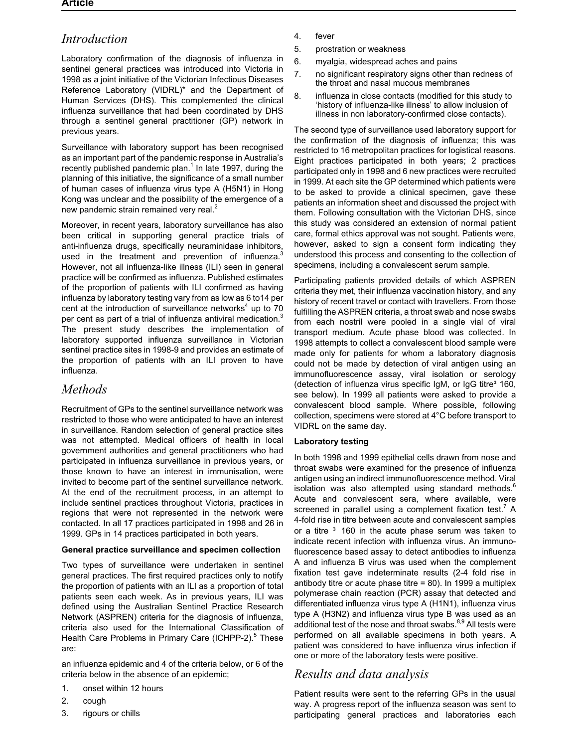# *Introduction*

Laboratory confirmation of the diagnosis of influenza in sentinel general practices was introduced into Victoria in 1998 as a joint initiative of the Victorian Infectious Diseases Reference Laboratory (VIDRL)\* and the Department of Human Services (DHS). This complemented the clinical influenza surveillance that had been coordinated by DHS through a sentinel general practitioner (GP) network in previous years.

Surveillance with laboratory support has been recognised as an important part of the pandemic response in Australia's recently published pandemic plan.<sup>1</sup> In late 1997, during the planning of this initiative, the significance of a small number of human cases of influenza virus type A (H5N1) in Hong Kong was unclear and the possibility of the emergence of a new pandemic strain remained very real. $2$ 

Moreover, in recent years, laboratory surveillance has also been critical in supporting general practice trials of anti-influenza drugs, specifically neuraminidase inhibitors, used in the treatment and prevention of influenza.<sup>3</sup> However, not all influenza-like illness (ILI) seen in general practice will be confirmed as influenza. Published estimates of the proportion of patients with ILI confirmed as having influenza by laboratory testing vary from as low as 6 to14 per cent at the introduction of surveillance networks<sup>4</sup> up to  $70$ per cent as part of a trial of influenza antiviral medication.<sup>3</sup> The present study describes the implementation of laboratory supported influenza surveillance in Victorian sentinel practice sites in 1998-9 and provides an estimate of the proportion of patients with an ILI proven to have influenza.

# *Methods*

Recruitment of GPs to the sentinel surveillance network was restricted to those who were anticipated to have an interest in surveillance. Random selection of general practice sites was not attempted. Medical officers of health in local government authorities and general practitioners who had participated in influenza surveillance in previous years, or those known to have an interest in immunisation, were invited to become part of the sentinel surveillance network. At the end of the recruitment process, in an attempt to include sentinel practices throughout Victoria, practices in regions that were not represented in the network were contacted. In all 17 practices participated in 1998 and 26 in 1999. GPs in 14 practices participated in both years.

#### **General practice surveillance and specimen collection**

Two types of surveillance were undertaken in sentinel general practices. The first required practices only to notify the proportion of patients with an ILI as a proportion of total patients seen each week. As in previous years, ILI was defined using the Australian Sentinel Practice Research Network (ASPREN) criteria for the diagnosis of influenza, criteria also used for the International Classification of Health Care Problems in Primary Care (ICHPP-2).<sup>5</sup> These are:

an influenza epidemic and 4 of the criteria below, or 6 of the criteria below in the absence of an epidemic;

- 1. onset within 12 hours
- 2. cough
- 3. rigours or chills
- 4. fever
- 5. prostration or weakness
- 6. myalgia, widespread aches and pains
- 7. no significant respiratory signs other than redness of the throat and nasal mucous membranes
- 8. influenza in close contacts (modified for this study to 'history of influenza-like illness' to allow inclusion of illness in non laboratory-confirmed close contacts).

The second type of surveillance used laboratory support for the confirmation of the diagnosis of influenza; this was restricted to 16 metropolitan practices for logistical reasons. Eight practices participated in both years; 2 practices participated only in 1998 and 6 new practices were recruited in 1999. At each site the GP determined which patients were to be asked to provide a clinical specimen, gave these patients an information sheet and discussed the project with them. Following consultation with the Victorian DHS, since this study was considered an extension of normal patient care, formal ethics approval was not sought. Patients were, however, asked to sign a consent form indicating they understood this process and consenting to the collection of specimens, including a convalescent serum sample.

Participating patients provided details of which ASPREN criteria they met, their influenza vaccination history, and any history of recent travel or contact with travellers. From those fulfilling the ASPREN criteria, a throat swab and nose swabs from each nostril were pooled in a single vial of viral transport medium. Acute phase blood was collected. In 1998 attempts to collect a convalescent blood sample were made only for patients for whom a laboratory diagnosis could not be made by detection of viral antigen using an immunofluorescence assay, viral isolation or serology (detection of influenza virus specific IgM, or IgG titre<sup>3</sup> 160, see below). In 1999 all patients were asked to provide a convalescent blood sample. Where possible, following collection, specimens were stored at 4°C before transport to VIDRL on the same day.

#### **Laboratory testing**

In both 1998 and 1999 epithelial cells drawn from nose and throat swabs were examined for the presence of influenza antigen using an indirect immunofluorescence method. Viral isolation was also attempted using standard methods. $6$ Acute and convalescent sera, where available, were screened in parallel using a complement fixation test.<sup>7</sup> A 4-fold rise in titre between acute and convalescent samples or a titre 160 in the acute phase serum was taken to indicate recent infection with influenza virus. An immunofluorescence based assay to detect antibodies to influenza A and influenza B virus was used when the complement fixation test gave indeterminate results (2-4 fold rise in antibody titre or acute phase titre = 80). In 1999 a multiplex polymerase chain reaction (PCR) assay that detected and differentiated influenza virus type A (H1N1), influenza virus type A (H3N2) and influenza virus type B was used as an additional test of the nose and throat swabs.<sup>8,9</sup> All tests were performed on all available specimens in both years. A patient was considered to have influenza virus infection if one or more of the laboratory tests were positive.

# *Results and data analysis*

Patient results were sent to the referring GPs in the usual way. A progress report of the influenza season was sent to participating general practices and laboratories each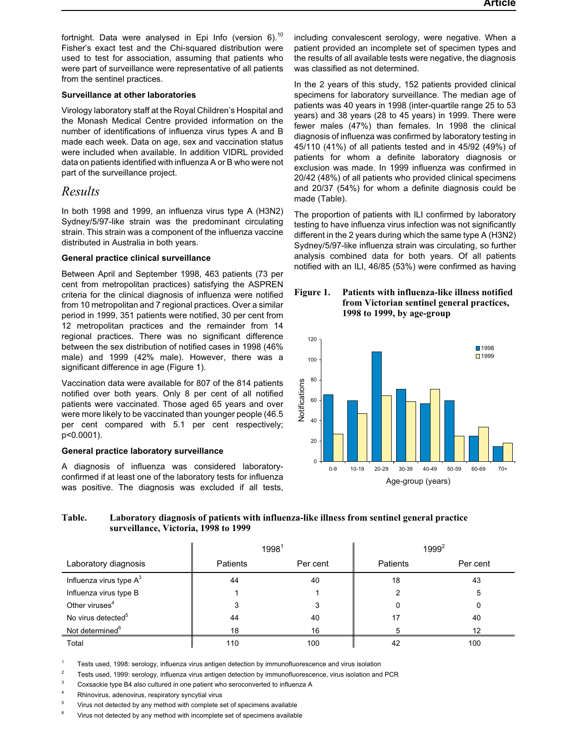fortnight. Data were analysed in Epi Info (version 6).<sup>10</sup> Fisher's exact test and the Chi-squared distribution were used to test for association, assuming that patients who were part of surveillance were representative of all patients from the sentinel practices.

#### **Surveillance at other laboratories**

Virology laboratory staff at the Royal Children's Hospital and the Monash Medical Centre provided information on the number of identifications of influenza virus types A and B made each week. Data on age, sex and vaccination status were included when available. In addition VIDRL provided data on patients identified with influenza A or B who were not part of the surveillance project.

# *Results*

In both 1998 and 1999, an influenza virus type A (H3N2) Sydney/5/97-like strain was the predominant circulating strain. This strain was a component of the influenza vaccine distributed in Australia in both years.

#### **General practice clinical surveillance**

Between April and September 1998, 463 patients (73 per cent from metropolitan practices) satisfying the ASPREN criteria for the clinical diagnosis of influenza were notified from 10 metropolitan and 7 regional practices. Over a similar period in 1999, 351 patients were notified, 30 per cent from 12 metropolitan practices and the remainder from 14 regional practices. There was no significant difference between the sex distribution of notified cases in 1998 (46% male) and 1999 (42% male). However, there was a significant difference in age (Figure 1).

Vaccination data were available for 807 of the 814 patients notified over both years. Only 8 per cent of all notified patients were vaccinated. Those aged 65 years and over were more likely to be vaccinated than younger people (46.5 per cent compared with 5.1 per cent respectively; p<0.0001).

#### **General practice laboratory surveillance**

A diagnosis of influenza was considered laboratoryconfirmed if at least one of the laboratory tests for influenza was positive. The diagnosis was excluded if all tests,

including convalescent serology, were negative. When a patient provided an incomplete set of specimen types and the results of all available tests were negative, the diagnosis was classified as not determined.

In the 2 years of this study, 152 patients provided clinical specimens for laboratory surveillance. The median age of patients was 40 years in 1998 (inter-quartile range 25 to 53 years) and 38 years (28 to 45 years) in 1999. There were fewer males (47%) than females. In 1998 the clinical diagnosis of influenza was confirmed by laboratory testing in 45/110 (41%) of all patients tested and in 45/92 (49%) of patients for whom a definite laboratory diagnosis or exclusion was made. In 1999 influenza was confirmed in 20/42 (48%) of all patients who provided clinical specimens and 20/37 (54%) for whom a definite diagnosis could be made (Table).

The proportion of patients with ILI confirmed by laboratory testing to have influenza virus infection was not significantly different in the 2 years during which the same type A (H3N2) Sydney/5/97-like influenza strain was circulating, so further analysis combined data for both years. Of all patients notified with an ILI, 46/85 (53%) were confirmed as having

#### **Figure 1. Patients with influenza-like illness notified from Victorian sentinel general practices, 1998 to 1999, by age-group**



## **Table. Laboratory diagnosis of patients with influenza-like illness from sentinel general practice surveillance, Victoria, 1998 to 1999**

|                                |                 | 1998 <sup>1</sup> |                 | $1999^2$ |
|--------------------------------|-----------------|-------------------|-----------------|----------|
| Laboratory diagnosis           | <b>Patients</b> | Per cent          | <b>Patients</b> | Per cent |
| Influenza virus type $A^3$     | 44              | 40                | 18              | 43       |
| Influenza virus type B         |                 |                   |                 | 5        |
| Other viruses <sup>4</sup>     |                 | 3                 |                 | 0        |
| No virus detected <sup>5</sup> | 44              | 40                |                 | 40       |
| Not determined <sup>6</sup>    | 18              | 16                |                 | 12       |
| Total                          | 110             | 100               |                 | 100      |

<sup>1</sup> Tests used, 1998: serology, influenza virus antigen detection by immunofluorescence and virus isolation

 $2^2$  Tests used, 1999: serology, influenza virus antigen detection by immunofluorescence, virus isolation and PCR

<sup>3</sup> Coxsackie type B4 also cultured in one patient who seroconverted to influenza A

<sup>4</sup> Rhinovirus, adenovirus, respiratory syncytial virus

<sup>5</sup> Virus not detected by any method with complete set of specimens available

Virus not detected by any method with incomplete set of specimens available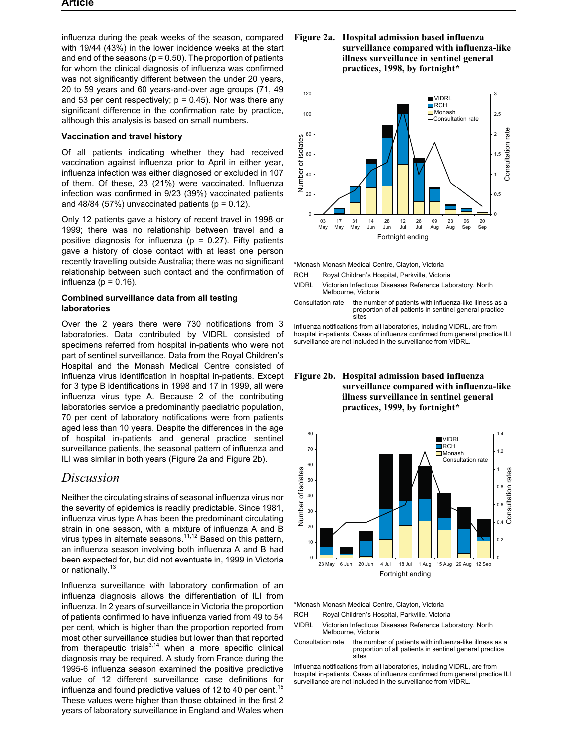influenza during the peak weeks of the season, compared with 19/44 (43%) in the lower incidence weeks at the start and end of the seasons ( $p = 0.50$ ). The proportion of patients for whom the clinical diagnosis of influenza was confirmed was not significantly different between the under 20 years, 20 to 59 years and 60 years-and-over age groups (71, 49 and 53 per cent respectively;  $p = 0.45$ ). Nor was there any significant difference in the confirmation rate by practice, although this analysis is based on small numbers.

#### **Vaccination and travel history**

Of all patients indicating whether they had received vaccination against influenza prior to April in either year, influenza infection was either diagnosed or excluded in 107 of them. Of these, 23 (21%) were vaccinated. Influenza infection was confirmed in 9/23 (39%) vaccinated patients and  $48/84$  (57%) unvaccinated patients ( $p = 0.12$ ).

Only 12 patients gave a history of recent travel in 1998 or 1999; there was no relationship between travel and a positive diagnosis for influenza ( $p = 0.27$ ). Fifty patients gave a history of close contact with at least one person recently travelling outside Australia; there was no significant relationship between such contact and the confirmation of influenza ( $p = 0.16$ ).

#### **Combined surveillance data from all testing laboratories**

Over the 2 years there were 730 notifications from 3 laboratories. Data contributed by VIDRL consisted of specimens referred from hospital in-patients who were not part of sentinel surveillance. Data from the Royal Children's Hospital and the Monash Medical Centre consisted of influenza virus identification in hospital in-patients. Except for 3 type B identifications in 1998 and 17 in 1999, all were influenza virus type A. Because 2 of the contributing laboratories service a predominantly paediatric population, 70 per cent of laboratory notifications were from patients aged less than 10 years. Despite the differences in the age of hospital in-patients and general practice sentinel surveillance patients, the seasonal pattern of influenza and ILI was similar in both years (Figure 2a and Figure 2b).

## *Discussion*

Neither the circulating strains of seasonal influenza virus nor the severity of epidemics is readily predictable. Since 1981, influenza virus type A has been the predominant circulating strain in one season, with a mixture of influenza A and B virus types in alternate seasons.<sup>11,12</sup> Based on this pattern, an influenza season involving both influenza A and B had been expected for, but did not eventuate in, 1999 in Victoria or nationally.<sup>13</sup>

Influenza surveillance with laboratory confirmation of an influenza diagnosis allows the differentiation of ILI from influenza. In 2 years of surveillance in Victoria the proportion of patients confirmed to have influenza varied from 49 to 54 per cent, which is higher than the proportion reported from most other surveillance studies but lower than that reported from therapeutic trials $3,14$  when a more specific clinical diagnosis may be required. A study from France during the 1995-6 influenza season examined the positive predictive value of 12 different surveillance case definitions for influenza and found predictive values of 12 to 40 per cent.<sup>15</sup> These values were higher than those obtained in the first 2 years of laboratory surveillance in England and Wales when

#### **Figure 2a. Hospital admission based influenza surveillance compared with influenza-like illness surveillance in sentinel general practices, 1998, by fortnight\***



\*Monash Monash Medical Centre, Clayton, Victoria

- RCH Royal Children's Hospital, Parkville, Victoria
- VIDRL Victorian Infectious Diseases Reference Laboratory, North Melbourne, Victoria
- Consultation rate the number of patients with influenza-like illness as a proportion of all patients in sentinel general practice sites

Influenza notifications from all laboratories, including VIDRL, are from hospital in-patients. Cases of influenza confirmed from general practice ILI surveillance are not included in the surveillance from VIDRL.

#### **Figure 2b. Hospital admission based influenza surveillance compared with influenza-like illness surveillance in sentinel general practices, 1999, by fortnight\***



\*Monash Monash Medical Centre, Clayton, Victoria

RCH Royal Children's Hospital, Parkville, Victoria

- VIDRL Victorian Infectious Diseases Reference Laboratory, North Melbourne, Victoria
- Consultation rate the number of patients with influenza-like illness as a proportion of all patients in sentinel general practice sites

Influenza notifications from all laboratories, including VIDRL, are from hospital in-patients. Cases of influenza confirmed from general practice ILI surveillance are not included in the surveillance from VIDRL.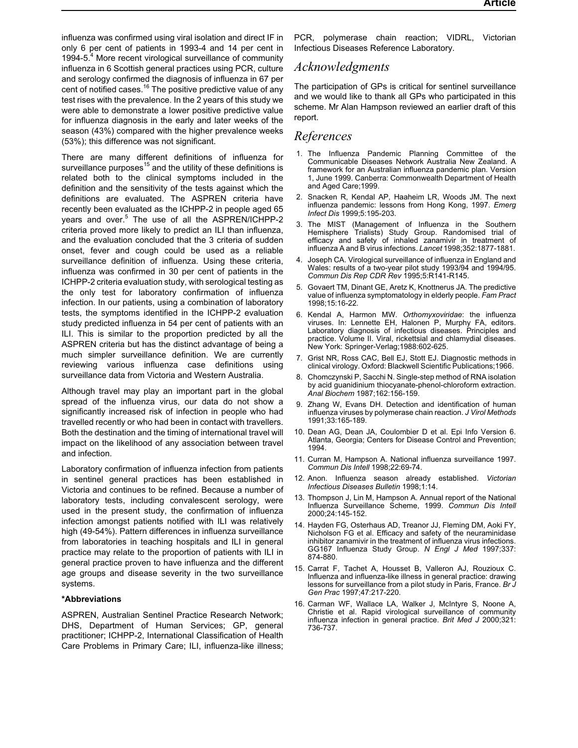influenza was confirmed using viral isolation and direct IF in only 6 per cent of patients in 1993-4 and 14 per cent in 1994-5.<sup>4</sup> More recent virological surveillance of community influenza in 6 Scottish general practices using PCR, culture and serology confirmed the diagnosis of influenza in 67 per cent of notified cases.<sup>16</sup> The positive predictive value of any test rises with the prevalence. In the 2 years of this study we were able to demonstrate a lower positive predictive value for influenza diagnosis in the early and later weeks of the season (43%) compared with the higher prevalence weeks (53%); this difference was not significant.

There are many different definitions of influenza for surveillance purposes<sup>15</sup> and the utility of these definitions is related both to the clinical symptoms included in the definition and the sensitivity of the tests against which the definitions are evaluated. The ASPREN criteria have recently been evaluated as the ICHPP-2 in people aged 65 years and over.<sup>5</sup> The use of all the ASPREN/ICHPP-2 criteria proved more likely to predict an ILI than influenza, and the evaluation concluded that the 3 criteria of sudden onset, fever and cough could be used as a reliable surveillance definition of influenza. Using these criteria, influenza was confirmed in 30 per cent of patients in the ICHPP-2 criteria evaluation study, with serological testing as the only test for laboratory confirmation of influenza infection. In our patients, using a combination of laboratory tests, the symptoms identified in the ICHPP-2 evaluation study predicted influenza in 54 per cent of patients with an ILI. This is similar to the proportion predicted by all the ASPREN criteria but has the distinct advantage of being a much simpler surveillance definition. We are currently reviewing various influenza case definitions using surveillance data from Victoria and Western Australia.

Although travel may play an important part in the global spread of the influenza virus, our data do not show a significantly increased risk of infection in people who had travelled recently or who had been in contact with travellers. Both the destination and the timing of international travel will impact on the likelihood of any association between travel and infection.

Laboratory confirmation of influenza infection from patients in sentinel general practices has been established in Victoria and continues to be refined. Because a number of laboratory tests, including convalescent serology, were used in the present study, the confirmation of influenza infection amongst patients notified with ILI was relatively high (49-54%). Pattern differences in influenza surveillance from laboratories in teaching hospitals and ILI in general practice may relate to the proportion of patients with ILI in general practice proven to have influenza and the different age groups and disease severity in the two surveillance systems.

#### **\*Abbreviations**

ASPREN, Australian Sentinel Practice Research Network; DHS, Department of Human Services; GP, general practitioner; ICHPP-2, International Classification of Health Care Problems in Primary Care; ILI, influenza-like illness;

PCR, polymerase chain reaction; VIDRL, Victorian Infectious Diseases Reference Laboratory.

## *Acknowledgments*

The participation of GPs is critical for sentinel surveillance and we would like to thank all GPs who participated in this scheme. Mr Alan Hampson reviewed an earlier draft of this report.

# *References*

- 1. The Influenza Pandemic Planning Committee of the Communicable Diseases Network Australia New Zealand. A framework for an Australian influenza pandemic plan. Version 1, June 1999. Canberra: Commonwealth Department of Health and Aged Care;1999.
- 2. Snacken R, Kendal AP, Haaheim LR, Woods JM. The next influenza pandemic: lessons from Hong Kong, 1997. *Emerg Infect Dis* 1999;5:195-203.
- 3. The MIST (Management of Influenza in the Southern Hemisphere Trialists) Study Group. Randomised trial of efficacy and safety of inhaled zanamivir in treatment of influenza A and B virus infections. *Lancet* 1998;352:1877-1881.
- 4. Joseph CA. Virological surveillance of influenza in England and Wales: results of a two-year pilot study 1993/94 and 1994/95. *Commun Dis Rep CDR Rev* 1995;5:R141-R145.
- 5. Govaert TM, Dinant GE, Aretz K, Knottnerus JA. The predictive value of influenza symptomatology in elderly people. *Fam Pract* 1998;15:16-22.
- 6. Kendal A, Harmon MW. *Orthomyxoviridae*: the influenza viruses. In: Lennette EH, Halonen P, Murphy FA, editors. Laboratory diagnosis of infectious diseases. Principles and practice. Volume II. Viral, rickettsial and chlamydial diseases. New York: Springer-Verlag;1988:602-625.
- 7. Grist NR, Ross CAC, Bell EJ, Stott EJ. Diagnostic methods in clinical virology. Oxford: Blackwell Scientific Publications;1966.
- 8. Chomczynski P, Sacchi N. Single-step method of RNA isolation by acid guanidinium thiocyanate-phenol-chloroform extraction. *Anal Biochem* 1987;162:156-159.
- 9. Zhang W, Evans DH. Detection and identification of human influenza viruses by polymerase chain reaction. *J Virol Methods* 1991;33:165-189.
- 10. Dean AG, Dean JA, Coulombier D et al. Epi Info Version 6. Atlanta, Georgia; Centers for Disease Control and Prevention; 1994.
- 11. Curran M, Hampson A. National influenza surveillance 1997. *Commun Dis Intell* 1998;22:69-74.
- 12. Anon. Influenza season already established. *Victorian Infectious Diseases Bulletin* 1998;1:14.
- 13. Thompson J, Lin M, Hampson A. Annual report of the National Influenza Surveillance Scheme, 1999. *Commun Dis Intell* 2000;24:145-152.
- 14. Hayden FG, Osterhaus AD, Treanor JJ, Fleming DM, Aoki FY, Nicholson FG et al. Efficacy and safety of the neuraminidase inhibitor zanamivir in the treatment of influenza virus infections. GG167 Influenza Study Group. *N Engl J Med* 1997;337: 874-880.
- 15. Carrat F, Tachet A, Housset B, Valleron AJ, Rouzioux C. Influenza and influenza-like illness in general practice: drawing lessons for surveillance from a pilot study in Paris, France. *Br J Gen Prac* 1997;47:217-220.
- 16. Carman WF, Wallace LA, Walker J, McIntyre S, Noone A, Christie et al. Rapid virological surveillance of community influenza infection in general practice. *Brit Med J* 2000;321: 736-737.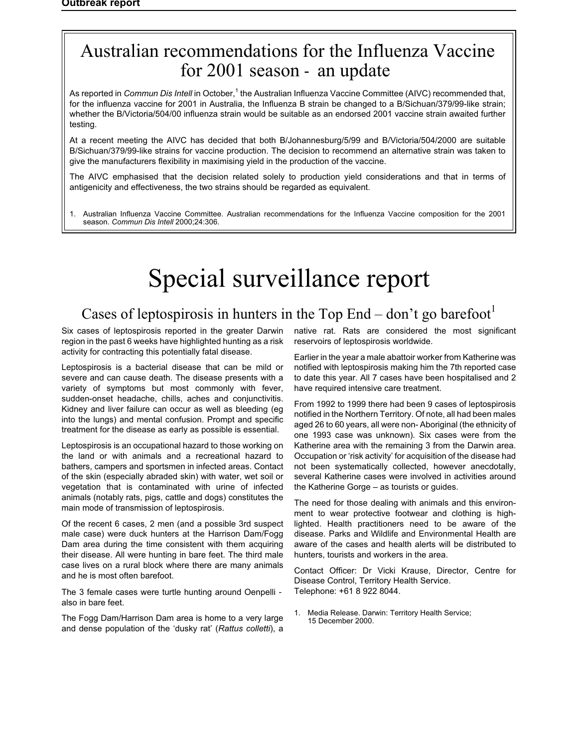# <span id="page-19-1"></span><span id="page-19-0"></span>Australian recommendations for the Influenza Vaccine for 2001 season an update

As reported in *Commun Dis Intell* in October,<sup>1</sup> the Australian Influenza Vaccine Committee (AIVC) recommended that, for the influenza vaccine for 2001 in Australia, the Influenza B strain be changed to a B/Sichuan/379/99-like strain; whether the B/Victoria/504/00 influenza strain would be suitable as an endorsed 2001 vaccine strain awaited further testing.

At a recent meeting the AIVC has decided that both B/Johannesburg/5/99 and B/Victoria/504/2000 are suitable B/Sichuan/379/99-like strains for vaccine production. The decision to recommend an alternative strain was taken to give the manufacturers flexibility in maximising yield in the production of the vaccine.

The AIVC emphasised that the decision related solely to production yield considerations and that in terms of antigenicity and effectiveness, the two strains should be regarded as equivalent.

1. Australian Influenza Vaccine Committee. Australian recommendations for the Influenza Vaccine composition for the 2001 season. *Commun Dis Intell* 2000;24:306.

# Special surveillance report

# Cases of leptospirosis in hunters in the Top End – don't go barefoot

Six cases of leptospirosis reported in the greater Darwin region in the past 6 weeks have highlighted hunting as a risk activity for contracting this potentially fatal disease.

Leptospirosis is a bacterial disease that can be mild or severe and can cause death. The disease presents with a variety of symptoms but most commonly with fever, sudden-onset headache, chills, aches and conjunctivitis. Kidney and liver failure can occur as well as bleeding (eg into the lungs) and mental confusion. Prompt and specific treatment for the disease as early as possible is essential.

Leptospirosis is an occupational hazard to those working on the land or with animals and a recreational hazard to bathers, campers and sportsmen in infected areas. Contact of the skin (especially abraded skin) with water, wet soil or vegetation that is contaminated with urine of infected animals (notably rats, pigs, cattle and dogs) constitutes the main mode of transmission of leptospirosis.

Of the recent 6 cases, 2 men (and a possible 3rd suspect male case) were duck hunters at the Harrison Dam/Fogg Dam area during the time consistent with them acquiring their disease. All were hunting in bare feet. The third male case lives on a rural block where there are many animals and he is most often barefoot.

The 3 female cases were turtle hunting around Oenpelli also in bare feet.

The Fogg Dam/Harrison Dam area is home to a very large and dense population of the 'dusky rat' (*Rattus colletti*), a native rat. Rats are considered the most significant reservoirs of leptospirosis worldwide.

Earlier in the year a male abattoir worker from Katherine was notified with leptospirosis making him the 7th reported case to date this year. All 7 cases have been hospitalised and 2 have required intensive care treatment.

From 1992 to 1999 there had been 9 cases of leptospirosis notified in the Northern Territory. Of note, all had been males aged 26 to 60 years, all were non- Aboriginal (the ethnicity of one 1993 case was unknown). Six cases were from the Katherine area with the remaining 3 from the Darwin area. Occupation or 'risk activity' for acquisition of the disease had not been systematically collected, however anecdotally, several Katherine cases were involved in activities around the Katherine Gorge – as tourists or guides.

The need for those dealing with animals and this environment to wear protective footwear and clothing is highlighted. Health practitioners need to be aware of the disease. Parks and Wildlife and Environmental Health are aware of the cases and health alerts will be distributed to hunters, tourists and workers in the area.

Contact Officer: Dr Vicki Krause, Director, Centre for Disease Control, Territory Health Service. Telephone: +61 8 922 8044.

1. Media Release. Darwin: Territory Health Service; 15 December 2000.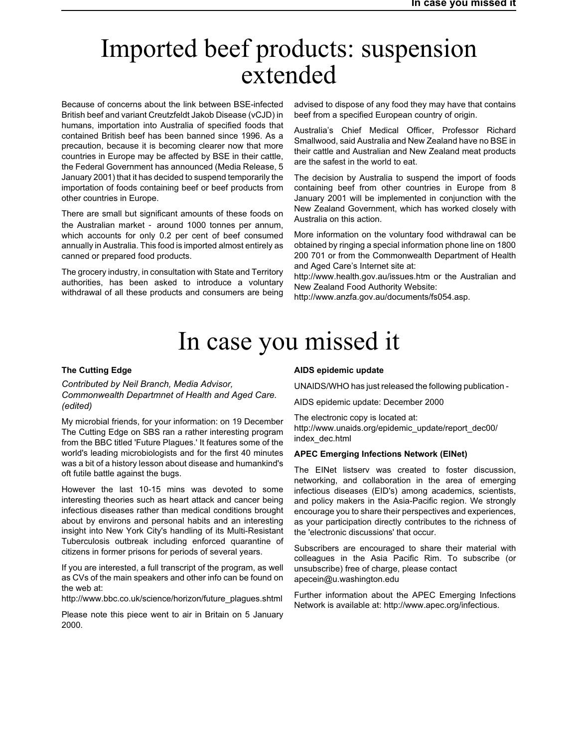# <span id="page-20-0"></span>Imported beef products: suspension extended

Because of concerns about the link between BSE-infected British beef and variant Creutzfeldt Jakob Disease (vCJD) in humans, importation into Australia of specified foods that contained British beef has been banned since 1996. As a precaution, because it is becoming clearer now that more countries in Europe may be affected by BSE in their cattle, the Federal Government has announced (Media Release, 5 January 2001) that it has decided to suspend temporarily the importation of foods containing beef or beef products from other countries in Europe.

There are small but significant amounts of these foods on the Australian market around 1000 tonnes per annum, which accounts for only 0.2 per cent of beef consumed annually in Australia. This food is imported almost entirely as canned or prepared food products.

The grocery industry, in consultation with State and Territory authorities, has been asked to introduce a voluntary withdrawal of all these products and consumers are being advised to dispose of any food they may have that contains beef from a specified European country of origin.

Australia's Chief Medical Officer, Professor Richard Smallwood, said Australia and New Zealand have no BSE in their cattle and Australian and New Zealand meat products are the safest in the world to eat.

The decision by Australia to suspend the import of foods containing beef from other countries in Europe from 8 January 2001 will be implemented in conjunction with the New Zealand Government, which has worked closely with Australia on this action.

More information on the voluntary food withdrawal can be obtained by ringing a special information phone line on 1800 200 701 or from the Commonwealth Department of Health and Aged Care's Internet site at:

http://www.health.gov.au/issues.htm or the Australian and New Zealand Food Authority Website:

http://www.anzfa.gov.au/documents/fs054.asp.

# In case you missed it

#### **The Cutting Edge**

*Contributed by Neil Branch, Media Advisor, Commonwealth Departmnet of Health and Aged Care. (edited)*

My microbial friends, for your information: on 19 December The Cutting Edge on SBS ran a rather interesting program from the BBC titled 'Future Plagues.' It features some of the world's leading microbiologists and for the first 40 minutes was a bit of a history lesson about disease and humankind's oft futile battle against the bugs.

However the last 10-15 mins was devoted to some interesting theories such as heart attack and cancer being infectious diseases rather than medical conditions brought about by environs and personal habits and an interesting insight into New York City's handling of its Multi-Resistant Tuberculosis outbreak including enforced quarantine of citizens in former prisons for periods of several years.

If you are interested, a full transcript of the program, as well as CVs of the main speakers and other info can be found on the web at:

http://www.bbc.co.uk/science/horizon/future\_plagues.shtml

Please note this piece went to air in Britain on 5 January 2000.

#### **AIDS epidemic update**

UNAIDS/WHO has just released the following publication -

AIDS epidemic update: December 2000

The electronic copy is located at: http://www.unaids.org/epidemic\_update/report\_dec00/ index\_dec.html

#### **APEC Emerging Infections Network (EINet)**

The EINet listserv was created to foster discussion, networking, and collaboration in the area of emerging infectious diseases (EID's) among academics, scientists, and policy makers in the Asia-Pacific region. We strongly encourage you to share their perspectives and experiences, as your participation directly contributes to the richness of the 'electronic discussions' that occur.

Subscribers are encouraged to share their material with colleagues in the Asia Pacific Rim. To subscribe (or unsubscribe) free of charge, please contact apecein@u.washington.edu

Further information about the APEC Emerging Infections Network is available at: http://www.apec.org/infectious.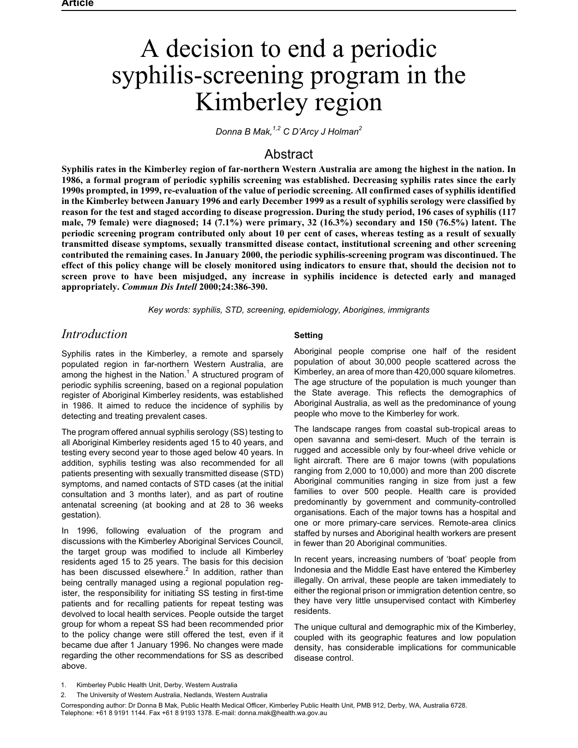# <span id="page-21-0"></span>A decision to end a periodic syphilis-screening program in the Kimberley region

*Donna B Mak,1,2 C D'Arcy J Holman<sup>2</sup>*

# Abstract

**Syphilis rates in the Kimberley region of far-northern Western Australia are among the highest in the nation. In 1986, a formal program of periodic syphilis screening was established. Decreasing syphilis rates since the early 1990s prompted, in 1999, re-evaluation of the value of periodic screening. All confirmed cases of syphilis identified in the Kimberley between January 1996 and early December 1999 as a result of syphilis serology were classified by reason for the test and staged according to disease progression. During the study period, 196 cases of syphilis (117 male, 79 female) were diagnosed; 14 (7.1%) were primary, 32 (16.3%) secondary and 150 (76.5%) latent. The periodic screening program contributed only about 10 per cent of cases, whereas testing as a result of sexually transmitted disease symptoms, sexually transmitted disease contact, institutional screening and other screening contributed the remaining cases. In January 2000, the periodic syphilis-screening program was discontinued. The effect of this policy change will be closely monitored using indicators to ensure that, should the decision not to screen prove to have been misjudged, any increase in syphilis incidence is detected early and managed appropriately.** *Commun Dis Intell* **2000;24:386-390.**

*Key words: syphilis, STD, screening, epidemiology, Aborigines, immigrants*

# *Introduction*

Syphilis rates in the Kimberley, a remote and sparsely populated region in far-northern Western Australia, are among the highest in the Nation.<sup>1</sup> A structured program of periodic syphilis screening, based on a regional population register of Aboriginal Kimberley residents, was established in 1986. It aimed to reduce the incidence of syphilis by detecting and treating prevalent cases.

The program offered annual syphilis serology (SS) testing to all Aboriginal Kimberley residents aged 15 to 40 years, and testing every second year to those aged below 40 years. In addition, syphilis testing was also recommended for all patients presenting with sexually transmitted disease (STD) symptoms, and named contacts of STD cases (at the initial consultation and 3 months later), and as part of routine antenatal screening (at booking and at 28 to 36 weeks gestation).

In 1996, following evaluation of the program and discussions with the Kimberley Aboriginal Services Council, the target group was modified to include all Kimberley residents aged 15 to 25 years. The basis for this decision has been discussed elsewhere. $<sup>2</sup>$  In addition, rather than</sup> being centrally managed using a regional population register, the responsibility for initiating SS testing in first-time patients and for recalling patients for repeat testing was devolved to local health services. People outside the target group for whom a repeat SS had been recommended prior to the policy change were still offered the test, even if it became due after 1 January 1996. No changes were made regarding the other recommendations for SS as described above.

#### **Setting**

Aboriginal people comprise one half of the resident population of about 30,000 people scattered across the Kimberley, an area of more than 420,000 square kilometres. The age structure of the population is much younger than the State average. This reflects the demographics of Aboriginal Australia, as well as the predominance of young people who move to the Kimberley for work.

The landscape ranges from coastal sub-tropical areas to open savanna and semi-desert. Much of the terrain is rugged and accessible only by four-wheel drive vehicle or light aircraft. There are 6 major towns (with populations ranging from 2,000 to 10,000) and more than 200 discrete Aboriginal communities ranging in size from just a few families to over 500 people. Health care is provided predominantly by government and community-controlled organisations. Each of the major towns has a hospital and one or more primary-care services. Remote-area clinics staffed by nurses and Aboriginal health workers are present in fewer than 20 Aboriginal communities.

In recent years, increasing numbers of 'boat' people from Indonesia and the Middle East have entered the Kimberley illegally. On arrival, these people are taken immediately to either the regional prison or immigration detention centre, so they have very little unsupervised contact with Kimberley residents.

The unique cultural and demographic mix of the Kimberley, coupled with its geographic features and low population density, has considerable implications for communicable disease control.

Corresponding author: Dr Donna B Mak, Public Health Medical Officer, Kimberley Public Health Unit, PMB 912, Derby, WA, Australia 6728. Telephone: +61 8 9191 1144. Fax +61 8 9193 1378. E-mail: donna.mak@health.wa.gov.au

<sup>1.</sup> Kimberley Public Health Unit, Derby, Western Australia

<sup>2.</sup> The University of Western Australia, Nedlands, Western Australia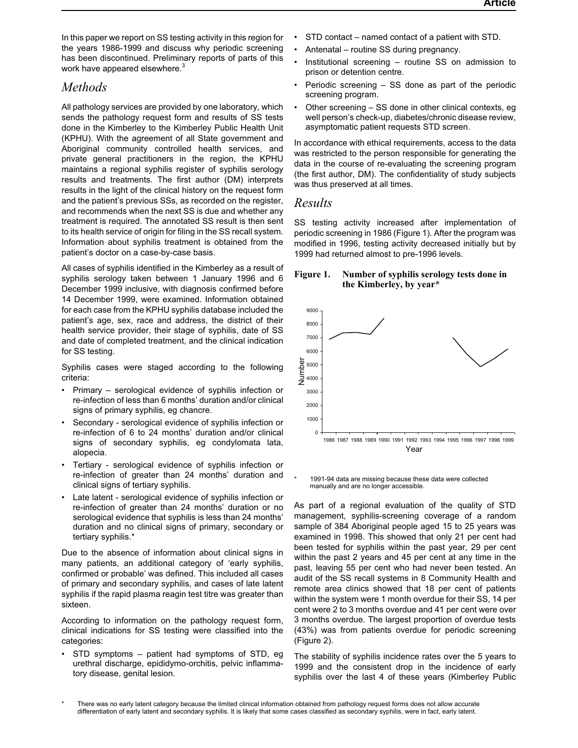In this paper we report on SS testing activity in this region for the years 1986-1999 and discuss why periodic screening has been discontinued. Preliminary reports of parts of this work have appeared elsewhere.<sup>3</sup>

# *Methods*

All pathology services are provided by one laboratory, which sends the pathology request form and results of SS tests done in the Kimberley to the Kimberley Public Health Unit (KPHU). With the agreement of all State government and Aboriginal community controlled health services, and private general practitioners in the region, the KPHU maintains a regional syphilis register of syphilis serology results and treatments. The first author (DM) interprets results in the light of the clinical history on the request form and the patient's previous SSs, as recorded on the register, and recommends when the next SS is due and whether any treatment is required. The annotated SS result is then sent to its health service of origin for filing in the SS recall system. Information about syphilis treatment is obtained from the patient's doctor on a case-by-case basis.

All cases of syphilis identified in the Kimberley as a result of syphilis serology taken between 1 January 1996 and 6 December 1999 inclusive, with diagnosis confirmed before 14 December 1999, were examined. Information obtained for each case from the KPHU syphilis database included the patient's age, sex, race and address, the district of their health service provider, their stage of syphilis, date of SS and date of completed treatment, and the clinical indication for SS testing.

Syphilis cases were staged according to the following criteria:

- Primary serological evidence of syphilis infection or re-infection of less than 6 months' duration and/or clinical signs of primary syphilis, eg chancre.
- Secondary serological evidence of syphilis infection or re-infection of 6 to 24 months' duration and/or clinical signs of secondary syphilis, eg condylomata lata, alopecia.
- Tertiary serological evidence of syphilis infection or re-infection of greater than 24 months' duration and clinical signs of tertiary syphilis.
- Late latent serological evidence of syphilis infection or re-infection of greater than 24 months' duration or no serological evidence that syphilis is less than 24 months' duration and no clinical signs of primary, secondary or tertiary syphilis.\*

Due to the absence of information about clinical signs in many patients, an additional category of 'early syphilis, confirmed or probable' was defined. This included all cases of primary and secondary syphilis, and cases of late latent syphilis if the rapid plasma reagin test titre was greater than sixteen.

According to information on the pathology request form, clinical indications for SS testing were classified into the categories:

• STD symptoms – patient had symptoms of STD, eg urethral discharge, epididymo-orchitis, pelvic inflammatory disease, genital lesion.

- STD contact named contact of a patient with STD.
- Antenatal routine SS during pregnancy.
- Institutional screening routine SS on admission to prison or detention centre.
- Periodic screening  $-$  SS done as part of the periodic screening program.
- Other screening SS done in other clinical contexts, eg well person's check-up, diabetes/chronic disease review, asymptomatic patient requests STD screen.

In accordance with ethical requirements, access to the data was restricted to the person responsible for generating the data in the course of re-evaluating the screening program (the first author, DM). The confidentiality of study subjects was thus preserved at all times.

# *Results*

SS testing activity increased after implementation of periodic screening in 1986 (Figure 1). After the program was modified in 1996, testing activity decreased initially but by 1999 had returned almost to pre-1996 levels.

#### **Figure 1. Number of syphilis serology tests done in the Kimberley, by year\***



1991-94 data are missing because these data were collected manually and are no longer accessible.

As part of a regional evaluation of the quality of STD management, syphilis-screening coverage of a random sample of 384 Aboriginal people aged 15 to 25 years was examined in 1998. This showed that only 21 per cent had been tested for syphilis within the past year, 29 per cent within the past 2 years and 45 per cent at any time in the past, leaving 55 per cent who had never been tested. An audit of the SS recall systems in 8 Community Health and remote area clinics showed that 18 per cent of patients within the system were 1 month overdue for their SS, 14 per cent were 2 to 3 months overdue and 41 per cent were over 3 months overdue. The largest proportion of overdue tests (43%) was from patients overdue for periodic screening (Figure 2).

The stability of syphilis incidence rates over the 5 years to 1999 and the consistent drop in the incidence of early syphilis over the last 4 of these years (Kimberley Public

There was no early latent category because the limited clinical information obtained from pathology request forms does not allow accurate differentiation of early latent and secondary syphilis. It is likely that some cases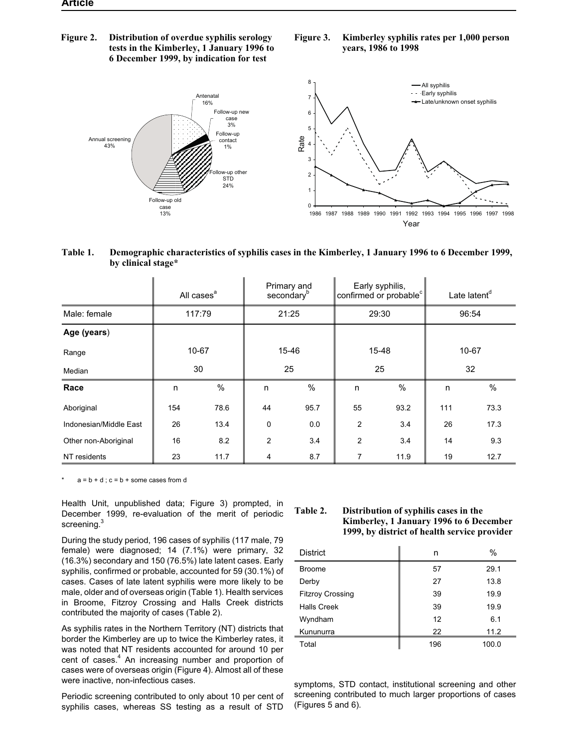**Figure 2. Distribution of overdue syphilis serology tests in the Kimberley, 1 January 1996 to 6 December 1999, by indication for test**

#### **Figure 3. Kimberley syphilis rates per 1,000 person years, 1986 to 1998**



#### **Table 1. Demographic characteristics of syphilis cases in the Kimberley, 1 January 1996 to 6 December 1999, by clinical stage\***

|                        |     | All cases <sup>a</sup> |                | Primary and<br>secondary <sup>b</sup> |                | Early syphilis,<br>confirmed or probable <sup>c</sup> |     | Late latent <sup>d</sup> |
|------------------------|-----|------------------------|----------------|---------------------------------------|----------------|-------------------------------------------------------|-----|--------------------------|
| Male: female           |     | 117:79                 |                | 21:25                                 | 29:30          |                                                       |     | 96:54                    |
| Age (years)            |     |                        |                |                                       |                |                                                       |     |                          |
| Range                  |     | 10-67                  |                | 15-46                                 |                | 15-48                                                 |     | 10-67                    |
| Median                 | 30  |                        | 25             |                                       | 25             |                                                       | 32  |                          |
| Race                   | n   | $\%$                   | n              | $\%$                                  | n              | %                                                     | n   | $\%$                     |
| Aboriginal             | 154 | 78.6                   | 44             | 95.7                                  | 55             | 93.2                                                  | 111 | 73.3                     |
| Indonesian/Middle East | 26  | 13.4                   | 0              | 0.0                                   | $\overline{2}$ | 3.4                                                   | 26  | 17.3                     |
| Other non-Aboriginal   | 16  | 8.2                    | $\overline{2}$ | 3.4                                   | $\overline{2}$ | 3.4                                                   | 14  | 9.3                      |
| NT residents           | 23  | 11.7                   | 4              | 8.7                                   | 7              | 11.9                                                  | 19  | 12.7                     |

 $a = b + d$ ;  $c = b +$  some cases from d

Health Unit, unpublished data; Figure 3) prompted, in December 1999, re-evaluation of the merit of periodic screening.<sup>3</sup>

During the study period, 196 cases of syphilis (117 male, 79 female) were diagnosed; 14 (7.1%) were primary, 32 (16.3%) secondary and 150 (76.5%) late latent cases. Early syphilis, confirmed or probable, accounted for 59 (30.1%) of cases. Cases of late latent syphilis were more likely to be male, older and of overseas origin (Table 1). Health services in Broome, Fitzroy Crossing and Halls Creek districts contributed the majority of cases (Table 2).

As syphilis rates in the Northern Territory (NT) districts that border the Kimberley are up to twice the Kimberley rates, it was noted that NT residents accounted for around 10 per cent of cases.<sup>4</sup> An increasing number and proportion of cases were of overseas origin (Figure 4). Almost all of these were inactive, non-infectious cases.

Periodic screening contributed to only about 10 per cent of syphilis cases, whereas SS testing as a result of STD

#### **Table 2. Distribution of syphilis cases in the Kimberley, 1 January 1996 to 6 December 1999, by district of health service provider**

| <b>District</b>         | n   | $\%$  |
|-------------------------|-----|-------|
| <b>Broome</b>           | 57  | 29.1  |
| Derby                   | 27  | 13.8  |
| <b>Fitzroy Crossing</b> | 39  | 19.9  |
| <b>Halls Creek</b>      | 39  | 19.9  |
| Wyndham                 | 12  | 6.1   |
| Kununurra               | 22  | 11.2  |
| Total                   | 196 | 100.0 |

symptoms, STD contact, institutional screening and other screening contributed to much larger proportions of cases (Figures 5 and 6).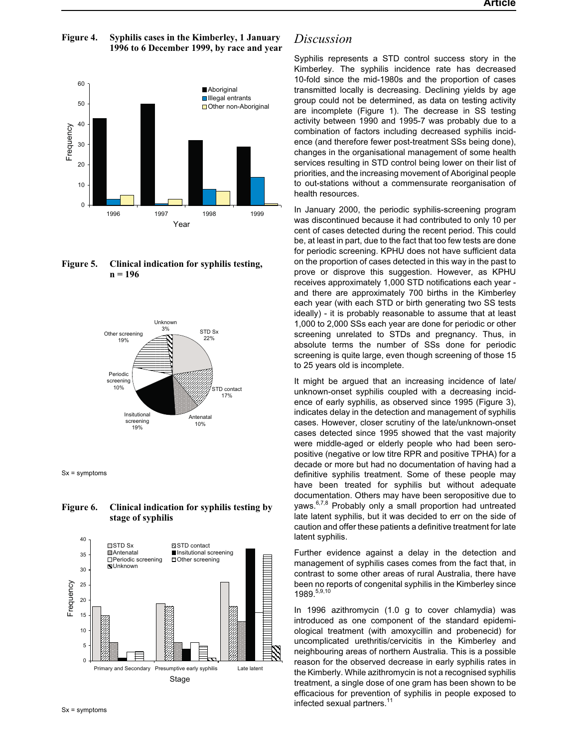

## **Figure 4. Syphilis cases in the Kimberley, 1 January 1996 to 6 December 1999, by race and year**

### **Figure 5. Clinical indication for syphilis testing, n = 196**



Sx = symptoms

### **Figure 6. Clinical indication for syphilis testing by stage of syphilis**



# *Discussion*

Syphilis represents a STD control success story in the Kimberley. The syphilis incidence rate has decreased 10-fold since the mid-1980s and the proportion of cases transmitted locally is decreasing. Declining yields by age group could not be determined, as data on testing activity are incomplete (Figure 1). The decrease in SS testing activity between 1990 and 1995-7 was probably due to a combination of factors including decreased syphilis incidence (and therefore fewer post-treatment SSs being done), changes in the organisational management of some health services resulting in STD control being lower on their list of priorities, and the increasing movement of Aboriginal people to out-stations without a commensurate reorganisation of health resources.

In January 2000, the periodic syphilis-screening program was discontinued because it had contributed to only 10 per cent of cases detected during the recent period. This could be, at least in part, due to the fact that too few tests are done for periodic screening. KPHU does not have sufficient data on the proportion of cases detected in this way in the past to prove or disprove this suggestion. However, as KPHU receives approximately 1,000 STD notifications each year and there are approximately 700 births in the Kimberley each year (with each STD or birth generating two SS tests ideally) - it is probably reasonable to assume that at least 1,000 to 2,000 SSs each year are done for periodic or other screening unrelated to STDs and pregnancy. Thus, in absolute terms the number of SSs done for periodic screening is quite large, even though screening of those 15 to 25 years old is incomplete.

It might be argued that an increasing incidence of late/ unknown-onset syphilis coupled with a decreasing incidence of early syphilis, as observed since 1995 (Figure 3), indicates delay in the detection and management of syphilis cases. However, closer scrutiny of the late/unknown-onset cases detected since 1995 showed that the vast majority were middle-aged or elderly people who had been seropositive (negative or low titre RPR and positive TPHA) for a decade or more but had no documentation of having had a definitive syphilis treatment. Some of these people may have been treated for syphilis but without adequate documentation. Others may have been seropositive due to yaws.<sup>6,7,8</sup> Probably only a small proportion had untreated late latent syphilis, but it was decided to err on the side of caution and offer these patients a definitive treatment for late latent syphilis.

Further evidence against a delay in the detection and management of syphilis cases comes from the fact that, in contrast to some other areas of rural Australia, there have been no reports of congenital syphilis in the Kimberley since 1989.<sup>5,9,10</sup>

In 1996 azithromycin (1.0 g to cover chlamydia) was introduced as one component of the standard epidemiological treatment (with amoxycillin and probenecid) for uncomplicated urethritis/cervicitis in the Kimberley and neighbouring areas of northern Australia. This is a possible reason for the observed decrease in early syphilis rates in the Kimberly. While azithromycin is not a recognised syphilis treatment, a single dose of one gram has been shown to be efficacious for prevention of syphilis in people exposed to infected sexual partners.<sup>11</sup>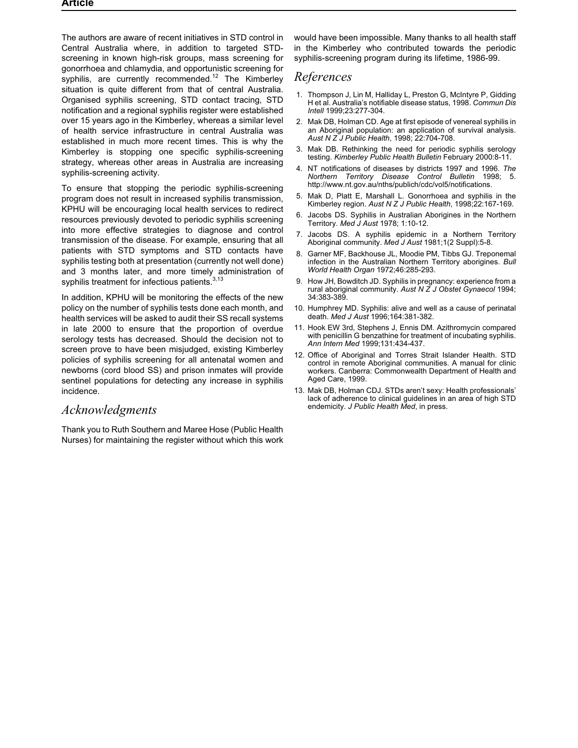The authors are aware of recent initiatives in STD control in Central Australia where, in addition to targeted STDscreening in known high-risk groups, mass screening for gonorrhoea and chlamydia, and opportunistic screening for syphilis, are currently recommended.<sup>12</sup> The Kimberley situation is quite different from that of central Australia. Organised syphilis screening, STD contact tracing, STD notification and a regional syphilis register were established over 15 years ago in the Kimberley, whereas a similar level of health service infrastructure in central Australia was established in much more recent times. This is why the Kimberley is stopping one specific syphilis-screening strategy, whereas other areas in Australia are increasing syphilis-screening activity.

To ensure that stopping the periodic syphilis-screening program does not result in increased syphilis transmission, KPHU will be encouraging local health services to redirect resources previously devoted to periodic syphilis screening into more effective strategies to diagnose and control transmission of the disease. For example, ensuring that all patients with STD symptoms and STD contacts have syphilis testing both at presentation (currently not well done) and 3 months later, and more timely administration of syphilis treatment for infectious patients.<sup>3,13</sup>

In addition, KPHU will be monitoring the effects of the new policy on the number of syphilis tests done each month, and health services will be asked to audit their SS recall systems in late 2000 to ensure that the proportion of overdue serology tests has decreased. Should the decision not to screen prove to have been misjudged, existing Kimberley policies of syphilis screening for all antenatal women and newborns (cord blood SS) and prison inmates will provide sentinel populations for detecting any increase in syphilis incidence.

# *Acknowledgments*

Thank you to Ruth Southern and Maree Hose (Public Health Nurses) for maintaining the register without which this work would have been impossible. Many thanks to all health staff in the Kimberley who contributed towards the periodic syphilis-screening program during its lifetime, 1986-99.

# *References*

- 1. Thompson J, Lin M, Halliday L, Preston G, McIntyre P, Gidding H et al. Australia's notifiable disease status, 1998. *Commun Dis Intell* 1999;23:277-304.
- 2. Mak DB, Holman CD. Age at first episode of venereal syphilis in an Aboriginal population: an application of survival analysis. *Aust N Z J Public Health*, 1998; 22:704-708.
- 3. Mak DB. Rethinking the need for periodic syphilis serology testing. *Kimberley Public Health Bulletin* February 2000:8-11.
- 4. NT notifications of diseases by districts 1997 and 1996. *The Northern Territory Disease Control Bulletin* 1998; 5. http://www.nt.gov.au/nths/publich/cdc/vol5/notifications.
- 5. Mak D, Platt E, Marshall L. Gonorrhoea and syphilis in the Kimberley region. *Aust N Z J Public Health*, 1998;22:167-169.
- 6. Jacobs DS. Syphilis in Australian Aborigines in the Northern Territory. *Med J Aust* 1978; 1:10-12.
- 7. Jacobs DS. A syphilis epidemic in a Northern Territory Aboriginal community. *Med J Aust* 1981;1(2 Suppl):5-8.
- 8. Garner MF, Backhouse JL, Moodie PM, Tibbs GJ. Treponemal infection in the Australian Northern Territory aborigines. *Bull World Health Organ* 1972;46:285-293.
- 9. How JH, Bowditch JD. Syphilis in pregnancy: experience from a rural aboriginal community. *Aust N Z J Obstet Gynaecol* 1994; 34:383-389.
- 10. Humphrey MD. Syphilis: alive and well as a cause of perinatal death. *Med J Aust* 1996;164:381-382.
- 11. Hook EW 3rd, Stephens J, Ennis DM. Azithromycin compared with penicillin G benzathine for treatment of incubating syphilis. *Ann Intern Med* 1999;131:434-437.
- 12. Office of Aboriginal and Torres Strait Islander Health. STD control in remote Aboriginal communities. A manual for clinic workers. Canberra: Commonwealth Department of Health and Aged Care, 1999.
- 13. Mak DB, Holman CDJ. STDs aren't sexy: Health professionals' lack of adherence to clinical guidelines in an area of high STD endemicity. *J Public Health Med*, in press.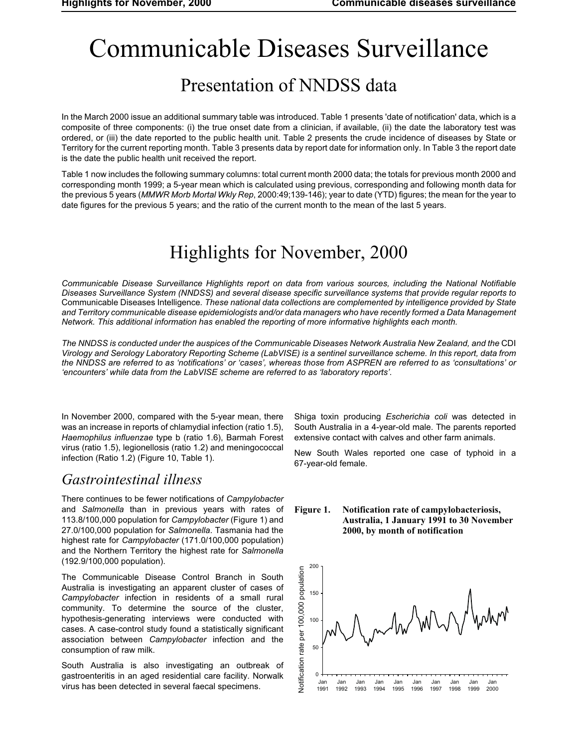# <span id="page-26-0"></span>Communicable Diseases Surveillance

# Presentation of NNDSS data

In the March 2000 issue an additional summary table was introduced. Table 1 presents 'date of notification' data, which is a composite of three components: (i) the true onset date from a clinician, if available, (ii) the date the laboratory test was ordered, or (iii) the date reported to the public health unit. Table 2 presents the crude incidence of diseases by State or Territory for the current reporting month. Table 3 presents data by report date for information only. In Table 3 the report date is the date the public health unit received the report.

Table 1 now includes the following summary columns: total current month 2000 data; the totals for previous month 2000 and corresponding month 1999; a 5-year mean which is calculated using previous, corresponding and following month data for the previous 5 years (*MMWR Morb Mortal Wkly Rep*, 2000:49;139-146); year to date (YTD) figures; the mean for the year to date figures for the previous 5 years; and the ratio of the current month to the mean of the last 5 years.

# Highlights for November, 2000

*Communicable Disease Surveillance Highlights report on data from various sources, including the National Notifiable Diseases Surveillance System (NNDSS) and several disease specific surveillance systems that provide regular reports to* Communicable Diseases Intelligence*. These national data collections are complemented by intelligence provided by State and Territory communicable disease epidemiologists and/or data managers who have recently formed a Data Management Network. This additional information has enabled the reporting of more informative highlights each month.*

*The NNDSS is conducted under the auspices of the Communicable Diseases Network Australia New Zealand, and the* CDI *Virology and Serology Laboratory Reporting Scheme (LabVISE) is a sentinel surveillance scheme. In this report, data from the NNDSS are referred to as 'notifications' or 'cases', whereas those from ASPREN are referred to as 'consultations' or 'encounters' while data from the LabVISE scheme are referred to as 'laboratory reports'.*

In November 2000, compared with the 5-year mean, there was an increase in reports of chlamydial infection (ratio 1.5), *Haemophilus influenzae* type b (ratio 1.6), Barmah Forest virus (ratio 1.5), legionellosis (ratio 1.2) and meningococcal infection (Ratio 1.2) (Figure 10, Table 1).

# *Gastrointestinal illness*

There continues to be fewer notifications of *Campylobacter* and *Salmonella* than in previous years with rates of 113.8/100,000 population for *Campylobacter* (Figure 1) and 27.0/100,000 population for *Salmonella*. Tasmania had the highest rate for *Campylobacter* (171.0/100,000 population) and the Northern Territory the highest rate for *Salmonella* (192.9/100,000 population).

The Communicable Disease Control Branch in South Australia is investigating an apparent cluster of cases of *Campylobacter* infection in residents of a small rural community. To determine the source of the cluster, hypothesis-generating interviews were conducted with cases. A case-control study found a statistically significant association between *Campylobacter* infection and the consumption of raw milk.

South Australia is also investigating an outbreak of gastroenteritis in an aged residential care facility. Norwalk virus has been detected in several faecal specimens.

Shiga toxin producing *Escherichia coli* was detected in South Australia in a 4-year-old male. The parents reported extensive contact with calves and other farm animals.

New South Wales reported one case of typhoid in a 67-year-old female.



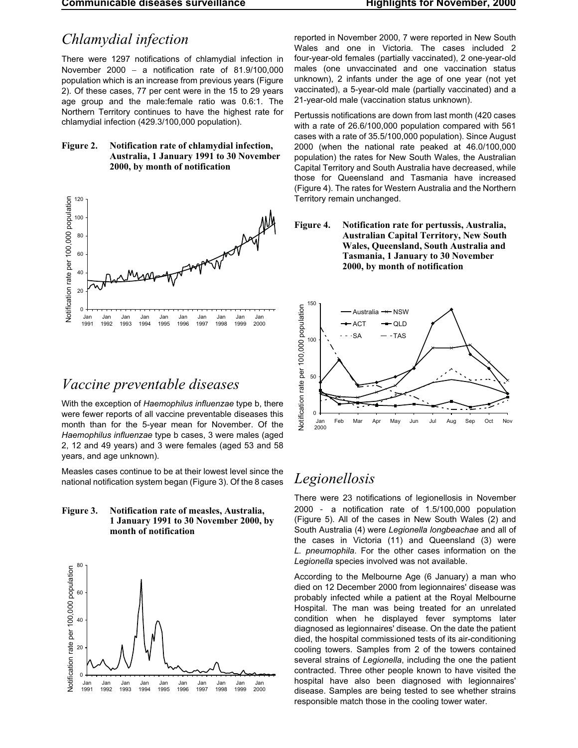**Communicable diseases surveillance Highlights for November, 2000**

# *Chlamydial infection*

There were 1297 notifications of chlamydial infection in November 2000 – a notification rate of  $81.9/100.000$ population which is an increase from previous years (Figure 2). Of these cases, 77 per cent were in the 15 to 29 years age group and the male:female ratio was 0.6:1. The Northern Territory continues to have the highest rate for chlamydial infection (429.3/100,000 population).

### **Figure 2. Notification rate of chlamydial infection, Australia, 1 January 1991 to 30 November 2000, by month of notification**



# *Vaccine preventable diseases*

With the exception of *Haemophilus influenzae* type b, there were fewer reports of all vaccine preventable diseases this month than for the 5-year mean for November. Of the *Haemophilus influenzae* type b cases, 3 were males (aged 2, 12 and 49 years) and 3 were females (aged 53 and 58 years, and age unknown).

Measles cases continue to be at their lowest level since the national notification system began (Figure 3). Of the 8 cases





reported in November 2000, 7 were reported in New South Wales and one in Victoria. The cases included 2 four-year-old females (partially vaccinated), 2 one-year-old males (one unvaccinated and one vaccination status unknown), 2 infants under the age of one year (not yet vaccinated), a 5-year-old male (partially vaccinated) and a 21-year-old male (vaccination status unknown).

Pertussis notifications are down from last month (420 cases with a rate of 26.6/100,000 population compared with 561 cases with a rate of 35.5/100,000 population). Since August 2000 (when the national rate peaked at 46.0/100,000 population) the rates for New South Wales, the Australian Capital Territory and South Australia have decreased, while those for Queensland and Tasmania have increased (Figure 4). The rates for Western Australia and the Northern Territory remain unchanged.





# *Legionellosis*

There were 23 notifications of legionellosis in November 2000 a notification rate of 1.5/100,000 population (Figure 5). All of the cases in New South Wales (2) and South Australia (4) were *Legionella longbeachae* and all of the cases in Victoria (11) and Queensland (3) were *L. pneumophila*. For the other cases information on the *Legionella* species involved was not available.

According to the Melbourne Age (6 January) a man who died on 12 December 2000 from legionnaires' disease was probably infected while a patient at the Royal Melbourne Hospital. The man was being treated for an unrelated condition when he displayed fever symptoms later diagnosed as legionnaires' disease. On the date the patient died, the hospital commissioned tests of its air-conditioning cooling towers. Samples from 2 of the towers contained several strains of *Legionella*, including the one the patient contracted. Three other people known to have visited the hospital have also been diagnosed with legionnaires' disease. Samples are being tested to see whether strains responsible match those in the cooling tower water.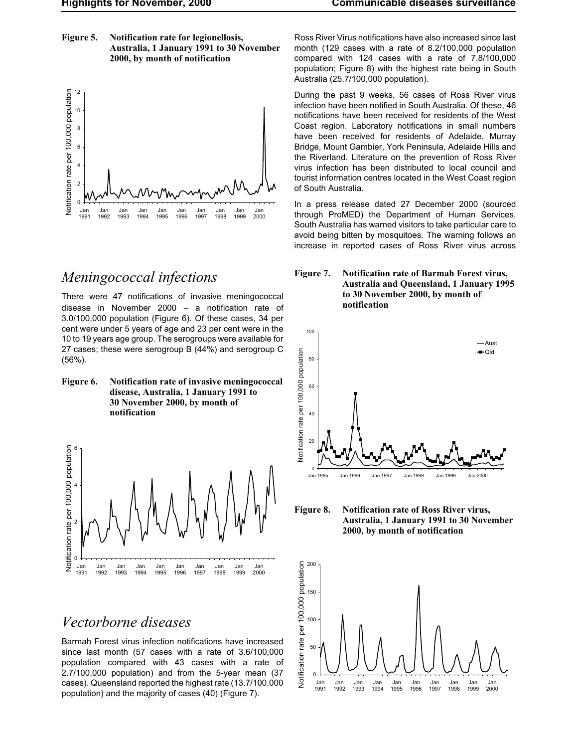**Figure 5. Notification rate for legionellosis, Australia, 1 January 1991 to 30 November 2000, by month of notification**



# *Meningococcal infections*

There were 47 notifications of invasive meningococcal disease in November 2000  $-$  a notification rate of 3.0/100,000 population (Figure 6). Of these cases, 34 per cent were under 5 years of age and 23 per cent were in the 10 to 19 years age group. The serogroups were available for 27 cases; these were serogroup B (44%) and serogroup C (56%).

**Figure 6. Notification rate of invasive meningococcal disease, Australia, 1 January 1991 to 30 November 2000, by month of notification**



# *Vectorborne diseases*

Barmah Forest virus infection notifications have increased since last month (57 cases with a rate of 3.6/100,000 population compared with 43 cases with a rate of 2.7/100,000 population) and from the 5-year mean (37 cases). Queensland reported the highest rate (13.7/100,000 population) and the majority of cases (40) (Figure 7).

Ross River Virus notifications have also increased since last month (129 cases with a rate of 8.2/100,000 population compared with 124 cases with a rate of 7.8/100,000 population; Figure 8) with the highest rate being in South Australia (25.7/100,000 population).

During the past 9 weeks, 56 cases of Ross River virus infection have been notified in South Australia. Of these, 46 notifications have been received for residents of the West Coast region. Laboratory notifications in small numbers have been received for residents of Adelaide, Murray Bridge, Mount Gambier, York Peninsula, Adelaide Hills and the Riverland. Literature on the prevention of Ross River virus infection has been distributed to local council and tourist information centres located in the West Coast region of South Australia.

In a press release dated 27 December 2000 (sourced through ProMED) the Department of Human Services, South Australia has warned visitors to take particular care to avoid being bitten by mosquitoes. The warning follows an increase in reported cases of Ross River virus across





**Figure 8. Notification rate of Ross River virus, Australia, 1 January 1991 to 30 November 2000, by month of notification**

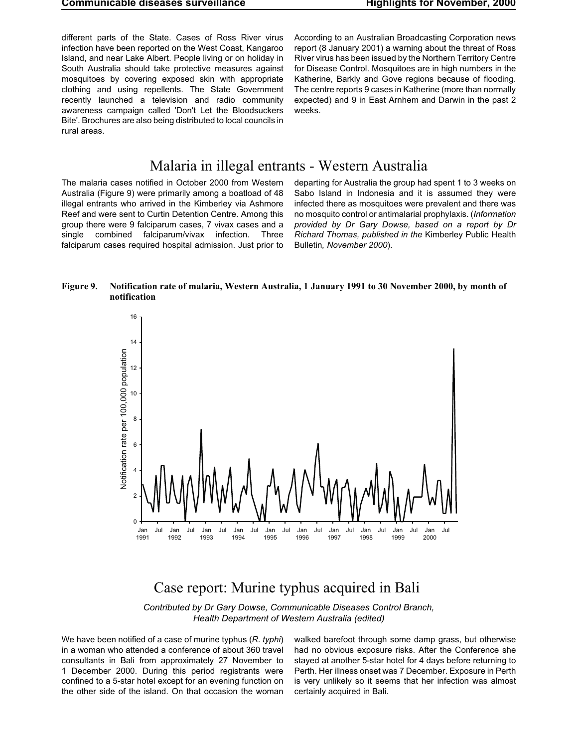different parts of the State. Cases of Ross River virus infection have been reported on the West Coast, Kangaroo Island, and near Lake Albert. People living or on holiday in South Australia should take protective measures against mosquitoes by covering exposed skin with appropriate clothing and using repellents. The State Government recently launched a television and radio community awareness campaign called 'Don't Let the Bloodsuckers Bite'. Brochures are also being distributed to local councils in rural areas.

According to an Australian Broadcasting Corporation news report (8 January 2001) a warning about the threat of Ross River virus has been issued by the Northern Territory Centre for Disease Control. Mosquitoes are in high numbers in the Katherine, Barkly and Gove regions because of flooding. The centre reports 9 cases in Katherine (more than normally expected) and 9 in East Arnhem and Darwin in the past 2 weeks.

# Malaria in illegal entrants - Western Australia

The malaria cases notified in October 2000 from Western Australia (Figure 9) were primarily among a boatload of 48 illegal entrants who arrived in the Kimberley via Ashmore Reef and were sent to Curtin Detention Centre. Among this group there were 9 falciparum cases, 7 vivax cases and a single combined falciparum/vivax infection. Three falciparum cases required hospital admission. Just prior to departing for Australia the group had spent 1 to 3 weeks on Sabo Island in Indonesia and it is assumed they were infected there as mosquitoes were prevalent and there was no mosquito control or antimalarial prophylaxis. (*Information provided by Dr Gary Dowse, based on a report by Dr Richard Thomas, published in the* Kimberley Public Health Bulletin*, November 2000*).

#### **Figure 9. Notification rate of malaria, Western Australia, 1 January 1991 to 30 November 2000, by month of notification**



# Case report: Murine typhus acquired in Bali

*Contributed by Dr Gary Dowse, Communicable Diseases Control Branch, Health Department of Western Australia (edited)*

We have been notified of a case of murine typhus (*R. typhi*) in a woman who attended a conference of about 360 travel consultants in Bali from approximately 27 November to 1 December 2000. During this period registrants were confined to a 5-star hotel except for an evening function on the other side of the island. On that occasion the woman walked barefoot through some damp grass, but otherwise had no obvious exposure risks. After the Conference she stayed at another 5-star hotel for 4 days before returning to Perth. Her illness onset was 7 December. Exposure in Perth is very unlikely so it seems that her infection was almost certainly acquired in Bali.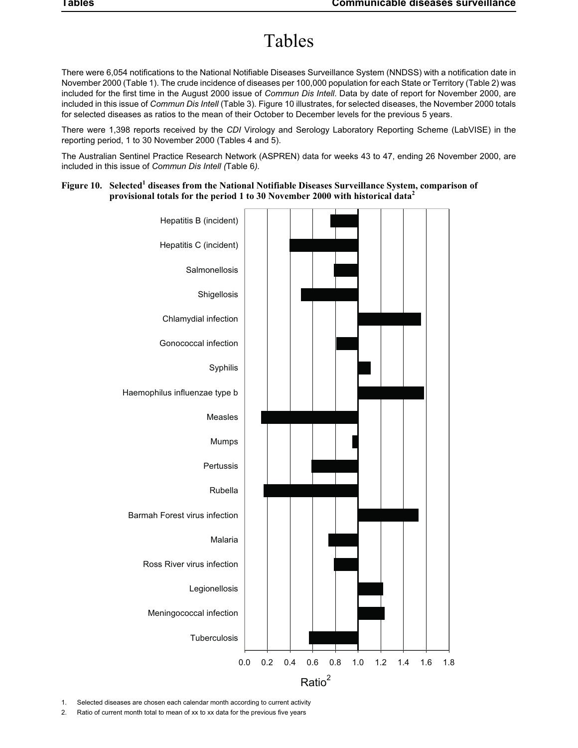# Tables

There were 6,054 notifications to the National Notifiable Diseases Surveillance System (NNDSS) with a notification date in November 2000 (Table 1). The crude incidence of diseases per 100,000 population for each State or Territory (Table 2) was included for the first time in the August 2000 issue of *Commun Dis Intell*. Data by date of report for November 2000, are included in this issue of *Commun Dis Intell* (Table 3). Figure 10 illustrates, for selected diseases, the November 2000 totals for selected diseases as ratios to the mean of their October to December levels for the previous 5 years.

There were 1,398 reports received by the *CDI* Virology and Serology Laboratory Reporting Scheme (LabVISE) in the reporting period, 1 to 30 November 2000 (Tables 4 and 5).

The Australian Sentinel Practice Research Network (ASPREN) data for weeks 43 to 47, ending 26 November 2000, are included in this issue of *Commun Dis Intell (*Table 6*).*

### Figure 10. Selected<sup>1</sup> diseases from the National Notifiable Diseases Surveillance System, comparison of **provisional totals for the period 1 to 30 November 2000 with historical data<sup>2</sup>**



1. Selected diseases are chosen each calendar month according to current activity

2. Ratio of current month total to mean of xx to xx data for the previous five years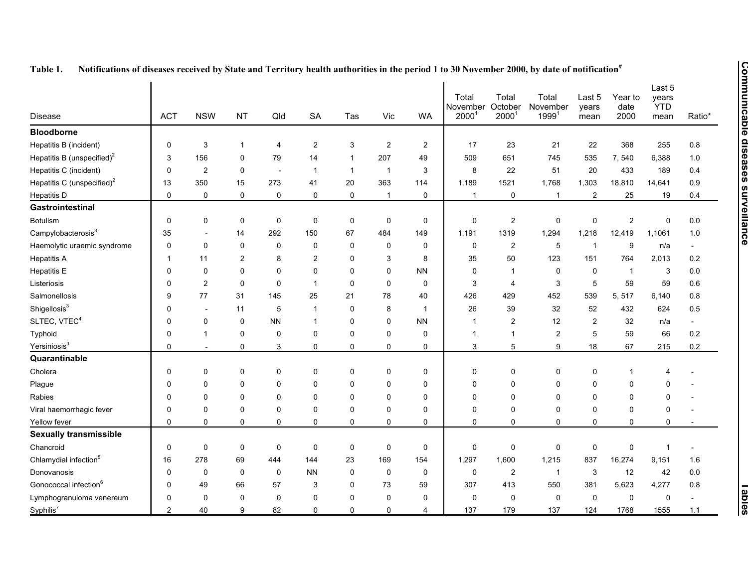| <b>Disease</b>                         | <b>ACT</b>     | <b>NSW</b>              | <b>NT</b>      | Qld                      | <b>SA</b>      | Tas          | Vic            | WA           | Total<br>November<br>2000 <sup>1</sup> | Total<br>October<br>$2000^{\degree}$ | Total<br>November<br>$1999^{1}$ | Last 5<br>years<br>mean | Year to<br>date<br>2000 | Last 5<br>years<br><b>YTD</b><br>mean | Ratio*  |
|----------------------------------------|----------------|-------------------------|----------------|--------------------------|----------------|--------------|----------------|--------------|----------------------------------------|--------------------------------------|---------------------------------|-------------------------|-------------------------|---------------------------------------|---------|
| <b>Bloodborne</b>                      |                |                         |                |                          |                |              |                |              |                                        |                                      |                                 |                         |                         |                                       |         |
| Hepatitis B (incident)                 | 0              | 3                       | 1              | 4                        | $\overline{2}$ | 3            | 2              | 2            | 17                                     | 23                                   | 21                              | 22                      | 368                     | 255                                   | $0.8\,$ |
| Hepatitis B (unspecified) <sup>2</sup> | 3              | 156                     | 0              | 79                       | 14             |              | 207            | 49           | 509                                    | 651                                  | 745                             | 535                     | 7,540                   | 6,388                                 | 1.0     |
| Hepatitis C (incident)                 | 0              | $\overline{\mathbf{c}}$ | 0              | $\overline{\phantom{a}}$ | $\mathbf{1}$   | $\mathbf{1}$ | $\overline{1}$ | 3            | 8                                      | 22                                   | 51                              | 20                      | 433                     | 189                                   | 0.4     |
| Hepatitis C (unspecified) <sup>2</sup> | 13             | 350                     | 15             | 273                      | 41             | 20           | 363            | 114          | 1,189                                  | 1521                                 | 1,768                           | 1,303                   | 18,810                  | 14,641                                | 0.9     |
| <b>Hepatitis D</b>                     | $\mathbf 0$    | $\mathbf 0$             | 0              | $\mathbf 0$              | $\mathbf 0$    | $\mathbf 0$  | $\overline{1}$ | 0            | $\mathbf{1}$                           | $\mathbf 0$                          | $\mathbf{1}$                    | $\overline{2}$          | 25                      | 19                                    | 0.4     |
| Gastrointestinal                       |                |                         |                |                          |                |              |                |              |                                        |                                      |                                 |                         |                         |                                       |         |
| <b>Botulism</b>                        | $\mathbf 0$    | 0                       | 0              | 0                        | 0              | 0            | 0              | 0            | 0                                      | $\overline{c}$                       | 0                               | $\mathbf 0$             | $\overline{\mathbf{c}}$ | $\pmb{0}$                             | 0.0     |
| Campylobacterosis <sup>3</sup>         | 35             |                         | 14             | 292                      | 150            | 67           | 484            | 149          | 1,191                                  | 1319                                 | 1,294                           | 1,218                   | 12,419                  | 1,1061                                | 1.0     |
| Haemolytic uraemic syndrome            | 0              | $\mathbf 0$             | 0              | $\mathbf{0}$             | 0              | 0            | 0              | $\mathbf{0}$ | 0                                      | 2                                    | 5                               | $\overline{\mathbf{1}}$ | 9                       | n/a                                   | $\sim$  |
| <b>Hepatitis A</b>                     | $\mathbf{1}$   | 11                      | $\overline{2}$ | 8                        | $\overline{2}$ | 0            | 3              | 8            | 35                                     | 50                                   | 123                             | 151                     | 764                     | 2,013                                 | 0.2     |
| <b>Hepatitis E</b>                     | 0              | $\mathbf 0$             | 0              | $\Omega$                 | $\mathbf 0$    | 0            | $\Omega$       | <b>NN</b>    | 0                                      | $\overline{1}$                       | $\mathbf 0$                     | $\mathbf 0$             | $\overline{1}$          | 3                                     | 0.0     |
| Listeriosis                            | $\mathbf 0$    | $\overline{2}$          | 0              | $\mathbf{0}$             | $\overline{1}$ | $\Omega$     | 0              | $\mathbf{0}$ | 3                                      | $\overline{4}$                       | 3                               | 5                       | 59                      | 59                                    | 0.6     |
| Salmonellosis                          | 9              | 77                      | 31             | 145                      | 25             | 21           | 78             | 40           | 426                                    | 429                                  | 452                             | 539                     | 5, 517                  | 6,140                                 | 0.8     |
| Shigellosis <sup>3</sup>               | 0              | $\overline{a}$          | 11             | 5                        | $\overline{1}$ | 0            | 8              | 1            | 26                                     | 39                                   | 32                              | 52                      | 432                     | 624                                   | 0.5     |
| SLTEC, VTEC <sup>4</sup>               | 0              | $\mathbf 0$             | 0              | <b>NN</b>                | $\mathbf{1}$   | 0            | 0              | <b>NN</b>    | $\overline{1}$                         | $\overline{\mathbf{c}}$              | 12                              | $\overline{2}$          | 32                      | n/a                                   |         |
| Typhoid                                | 0              | $\mathbf{1}$            | 0              | $\mathbf{0}$             | 0              | 0            | 0              | $\mathbf 0$  | $\mathbf{1}$                           | $\mathbf{1}$                         | $\overline{\mathbf{c}}$         | 5                       | 59                      | 66                                    | 0.2     |
| Yersiniosis <sup>3</sup>               | $\mathbf 0$    |                         | 0              | 3                        | $\mathbf 0$    | 0            | 0              | 0            | 3                                      | 5                                    | 9                               | 18                      | 67                      | 215                                   | 0.2     |
| Quarantinable                          |                |                         |                |                          |                |              |                |              |                                        |                                      |                                 |                         |                         |                                       |         |
| Cholera                                | $\pmb{0}$      | 0                       | 0              | $\Omega$                 | $\mathbf 0$    | 0            | 0              | 0            | $\pmb{0}$                              | $\pmb{0}$                            | $\Omega$                        | $\pmb{0}$               | 1                       | 4                                     |         |
| Plague                                 | 0              | 0                       | 0              | $\Omega$                 | 0              | 0            | 0              | $\Omega$     | 0                                      | 0                                    | $\Omega$                        | $\mathbf 0$             | 0                       | $\Omega$                              |         |
| Rabies                                 | 0              | $\mathbf 0$             | 0              | $\mathbf{0}$             | 0              | 0            | $\Omega$       | 0            | 0                                      | $\mathbf 0$                          | $\mathbf{0}$                    | $\mathbf 0$             | 0                       | 0                                     |         |
| Viral haemorrhagic fever               | 0              | 0                       | 0              | $\mathbf{0}$             | 0              | 0            | 0              | $\mathbf{0}$ | $\mathbf 0$                            | $\mathbf 0$                          | 0                               | $\mathbf 0$             | 0                       | 0                                     |         |
| Yellow fever                           | 0              | $\mathbf 0$             | 0              | 0                        | $\mathbf 0$    | 0            | 0              | $\Omega$     | $\mathbf 0$                            | $\mathbf 0$                          | $\Omega$                        | $\mathbf 0$             | 0                       | $\mathbf 0$                           |         |
| <b>Sexually transmissible</b>          |                |                         |                |                          |                |              |                |              |                                        |                                      |                                 |                         |                         |                                       |         |
| Chancroid                              | 0              | $\mathbf 0$             | 0              | $\mathbf 0$              | $\mathbf 0$    | 0            | 0              | 0            | $\pmb{0}$                              | $\pmb{0}$                            | $\mathbf 0$                     | $\mathbf 0$             | 0                       | 1                                     |         |
| Chlamydial infection <sup>5</sup>      | 16             | 278                     | 69             | 444                      | 144            | 23           | 169            | 154          | 1.297                                  | 1,600                                | 1,215                           | 837                     | 16,274                  | 9,151                                 | 1.6     |
| Donovanosis                            | 0              | $\mathbf 0$             | 0              | 0                        | <b>NN</b>      | 0            | 0              | 0            | $\pmb{0}$                              | $\overline{c}$                       | -1                              | 3                       | 12                      | 42                                    | 0.0     |
| Gonococcal infection <sup>6</sup>      | 0              | 49                      | 66             | 57                       | 3              | 0            | 73             | 59           | 307                                    | 413                                  | 550                             | 381                     | 5,623                   | 4,277                                 | 0.8     |
| Lymphogranuloma venereum               | 0              | $\mathbf 0$             | 0              | $\mathbf{0}$             | $\Omega$       | 0            | 0              | $\mathbf{0}$ | 0                                      | $\mathbf 0$                          | 0                               | $\mathbf 0$             | 0                       | $\pmb{0}$                             |         |
| Syphilis <sup>7</sup>                  | $\overline{2}$ | 40                      | 9              | 82                       | $\mathbf 0$    | 0            | 0              | 4            | 137                                    | 179                                  | 137                             | 124                     | 1768                    | 1555                                  | 1.1     |

| <b>Table 1.</b> |  | Notifications of diseases received by State and Territory health authorities in the period 1 to 30 November 2000, by date of notification <sup>"</sup> |
|-----------------|--|--------------------------------------------------------------------------------------------------------------------------------------------------------|
|-----------------|--|--------------------------------------------------------------------------------------------------------------------------------------------------------|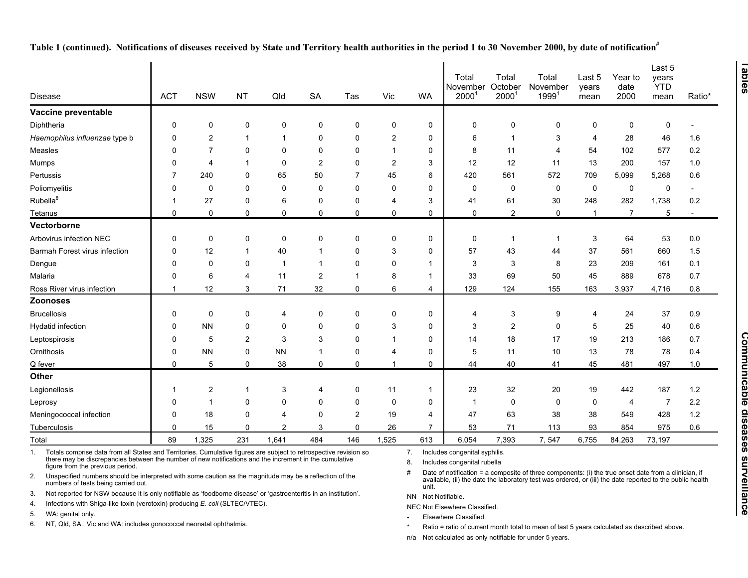| <b>Disease</b>                                                                                                                                                                                                                                                        | <b>ACT</b>                                                                                                    | <b>NSW</b>     | <b>NT</b>    | Qld            | <b>SA</b>      | Tas            | Vic            | <b>WA</b>          | Total<br>November<br>$2000^1$                                | Total<br>October<br>$2000^{\circ}$                                                                                 | Total<br>November<br>$1999^{1}$                                                                      | Last 5<br>years<br>mean | Year to<br>date<br>2000 | Last 5<br>years<br><b>YTD</b><br>mean | Ratio* |  |
|-----------------------------------------------------------------------------------------------------------------------------------------------------------------------------------------------------------------------------------------------------------------------|---------------------------------------------------------------------------------------------------------------|----------------|--------------|----------------|----------------|----------------|----------------|--------------------|--------------------------------------------------------------|--------------------------------------------------------------------------------------------------------------------|------------------------------------------------------------------------------------------------------|-------------------------|-------------------------|---------------------------------------|--------|--|
| Vaccine preventable                                                                                                                                                                                                                                                   |                                                                                                               |                |              |                |                |                |                |                    |                                                              |                                                                                                                    |                                                                                                      |                         |                         |                                       |        |  |
| Diphtheria                                                                                                                                                                                                                                                            | 0                                                                                                             | 0              | 0            | 0              | 0              | 0              | 0              | 0                  | 0                                                            | 0                                                                                                                  | 0                                                                                                    | 0                       | 0                       | 0                                     |        |  |
| Haemophilus influenzae type b                                                                                                                                                                                                                                         | $\Omega$                                                                                                      | $\overline{2}$ | $\mathbf 1$  | -1             | $\Omega$       | 0              | 2              | 0                  | 6                                                            | -1                                                                                                                 | 3                                                                                                    | $\overline{4}$          | 28                      | 46                                    | 1.6    |  |
| Measles                                                                                                                                                                                                                                                               | <sup>0</sup>                                                                                                  | 7              | 0            | 0              | 0              | 0              | $\overline{1}$ | 0                  | 8                                                            | 11                                                                                                                 | 4                                                                                                    | 54                      | 102                     | 577                                   | 0.2    |  |
| Mumps                                                                                                                                                                                                                                                                 | $\Omega$                                                                                                      | $\overline{4}$ | $\mathbf 1$  | $\mathbf 0$    | $\overline{2}$ | $\mathbf 0$    | 2              | 3                  | 12                                                           | 12                                                                                                                 | 11                                                                                                   | 13                      | 200                     | 157                                   | 1.0    |  |
| Pertussis                                                                                                                                                                                                                                                             | 7                                                                                                             | 240            | 0            | 65             | 50             | $\overline{7}$ | 45             | 6                  | 420                                                          | 561                                                                                                                | 572                                                                                                  | 709                     | 5,099                   | 5,268                                 | 0.6    |  |
| Poliomyelitis                                                                                                                                                                                                                                                         | 0                                                                                                             | 0              | 0            | 0              | $\Omega$       | 0              | 0              | 0                  | 0                                                            | 0                                                                                                                  | 0                                                                                                    | $\mathbf 0$             | 0                       | 0                                     |        |  |
| Rubella <sup>8</sup>                                                                                                                                                                                                                                                  | -1                                                                                                            | 27             | 0            | 6              | $\Omega$       | 0              | 4              | 3                  | 41                                                           | 61                                                                                                                 | 30                                                                                                   | 248                     | 282                     | 1,738                                 | 0.2    |  |
| Tetanus                                                                                                                                                                                                                                                               | $\Omega$                                                                                                      | $\mathbf 0$    | 0            | $\mathbf 0$    | $\mathbf 0$    | 0              | 0              | $\Omega$           | $\mathbf 0$                                                  | $\overline{2}$                                                                                                     | 0                                                                                                    | $\overline{1}$          | $\overline{7}$          | 5                                     |        |  |
| Vectorborne                                                                                                                                                                                                                                                           |                                                                                                               |                |              |                |                |                |                |                    |                                                              |                                                                                                                    |                                                                                                      |                         |                         |                                       |        |  |
| Arbovirus infection NEC                                                                                                                                                                                                                                               | $\Omega$                                                                                                      | 0              | 0            | $\mathbf 0$    | 0              | 0              | 0              | 0                  | 0                                                            | $\mathbf{1}$                                                                                                       | $\mathbf{1}$                                                                                         | 3                       | 64                      | 53                                    | 0.0    |  |
| Barmah Forest virus infection                                                                                                                                                                                                                                         | $\Omega$                                                                                                      | 12             | $\mathbf{1}$ | 40             | $\mathbf 1$    | $\Omega$       | 3              | $\Omega$           | 57                                                           | 43                                                                                                                 | 44                                                                                                   | 37                      | 561                     | 660                                   | 1.5    |  |
| Dengue                                                                                                                                                                                                                                                                | <sup>0</sup>                                                                                                  | $\mathbf 0$    | 0            | -1             | $\mathbf 1$    | $\mathbf 0$    | 0              | 1                  | 3                                                            | 3                                                                                                                  | 8                                                                                                    | 23                      | 209                     | 161                                   | 0.1    |  |
| Malaria                                                                                                                                                                                                                                                               | 0                                                                                                             | 6              | 4            | 11             | $\overline{2}$ | 1              | 8              | $\mathbf{1}$       | 33                                                           | 69                                                                                                                 | 50                                                                                                   | 45                      | 889                     | 678                                   | 0.7    |  |
| Ross River virus infection                                                                                                                                                                                                                                            | -1                                                                                                            | 12             | 3            | 71             | 32             | 0              | 6              | 4                  | 129                                                          | 124                                                                                                                | 155                                                                                                  | 163                     | 3,937                   | 4,716                                 | 0.8    |  |
| Zoonoses                                                                                                                                                                                                                                                              |                                                                                                               |                |              |                |                |                |                |                    |                                                              |                                                                                                                    |                                                                                                      |                         |                         |                                       |        |  |
| <b>Brucellosis</b>                                                                                                                                                                                                                                                    | 0                                                                                                             | $\mathbf 0$    | 0            | 4              | 0              | 0              | 0              | 0                  | $\overline{4}$                                               | 3                                                                                                                  | 9                                                                                                    | $\overline{4}$          | 24                      | 37                                    | 0.9    |  |
| <b>Hydatid infection</b>                                                                                                                                                                                                                                              | $\Omega$                                                                                                      | <b>NN</b>      | 0            | $\mathbf 0$    | $\Omega$       | $\mathbf{0}$   | 3              | 0                  | 3                                                            | $\overline{2}$                                                                                                     | $\mathbf{0}$                                                                                         | 5                       | 25                      | 40                                    | 0.6    |  |
| Leptospirosis                                                                                                                                                                                                                                                         | 0                                                                                                             | 5              | 2            | 3              | 3              | 0              | $\overline{1}$ | 0                  | 14                                                           | 18                                                                                                                 | 17                                                                                                   | 19                      | 213                     | 186                                   | 0.7    |  |
| Ornithosis                                                                                                                                                                                                                                                            | $\Omega$                                                                                                      | <b>NN</b>      | 0            | <b>NN</b>      | $\mathbf{1}$   | $\mathbf 0$    | 4              | $\Omega$           | 5                                                            | 11                                                                                                                 | 10                                                                                                   | 13                      | 78                      | 78                                    | 0.4    |  |
| Q fever                                                                                                                                                                                                                                                               | 0                                                                                                             | 5              | 0            | 38             | 0              | 0              | $\overline{1}$ | $\mathbf{0}$       | 44                                                           | 40                                                                                                                 | 41                                                                                                   | 45                      | 481                     | 497                                   | 1.0    |  |
| Other                                                                                                                                                                                                                                                                 |                                                                                                               |                |              |                |                |                |                |                    |                                                              |                                                                                                                    |                                                                                                      |                         |                         |                                       |        |  |
| Legionellosis                                                                                                                                                                                                                                                         |                                                                                                               | 2              | -1           | 3              | 4              | 0              | 11             | 1                  | 23                                                           | 32                                                                                                                 | 20                                                                                                   | 19                      | 442                     | 187                                   | 1.2    |  |
| Leprosy                                                                                                                                                                                                                                                               | $\Omega$                                                                                                      | $\mathbf 1$    | 0            | $\mathbf 0$    | $\Omega$       | $\mathbf 0$    | $\mathbf 0$    | $\Omega$           | -1                                                           | $\mathbf 0$                                                                                                        | 0                                                                                                    | 0                       | 4                       | $\overline{7}$                        | 2.2    |  |
| Meningococcal infection                                                                                                                                                                                                                                               | 0                                                                                                             | 18             | 0            | 4              | $\Omega$       | 2              | 19             | 4                  | 47                                                           | 63                                                                                                                 | 38                                                                                                   | 38                      | 549                     | 428                                   | 1.2    |  |
| Tuberculosis                                                                                                                                                                                                                                                          | $\Omega$                                                                                                      | 15             | 0            | $\overline{2}$ | 3              | $\Omega$       | 26             | $\overline{7}$     | 53                                                           | 71                                                                                                                 | 113                                                                                                  | 93                      | 854                     | 975                                   | 0.6    |  |
| <b>Total</b>                                                                                                                                                                                                                                                          | 89                                                                                                            | 1,325          | 231          | 1,641          | 484            | 146            | 1,525          | 613                | 6,054                                                        | 7,393                                                                                                              | 7,547                                                                                                | 6,755                   | 84,263                  | 73,197                                |        |  |
| Totals comprise data from all States and Territories. Cumulative figures are subject to retrospective revision so<br>1.<br>there may be discrepancies between the number of new notifications and the increment in the cumulative<br>figure from the previous period. |                                                                                                               |                |              |                |                |                |                |                    | Includes congenital syphilis.<br>Includes congenital rubella |                                                                                                                    | Date of notification = a composite of three components: (i) the true onset date from a clinician, if |                         |                         |                                       |        |  |
| numbers of tests being carried out.                                                                                                                                                                                                                                   | Unspecified numbers should be interpreted with some caution as the magnitude may be a reflection of the<br>2. |                |              |                |                |                |                |                    |                                                              | available, (ii) the date the laboratory test was ordered, or (iii) the date reported to the public health<br>unit. |                                                                                                      |                         |                         |                                       |        |  |
| Not reported for NSW because it is only notifiable as 'foodborne disease' or 'gastroenteritis in an institution'.<br>3.                                                                                                                                               |                                                                                                               |                |              |                |                |                |                | NN Not Notifiable. |                                                              |                                                                                                                    |                                                                                                      |                         |                         |                                       |        |  |
| Infections with Shiga-like toxin (verotoxin) producing E. coli (SLTEC/VTEC).<br>4.<br>WA: genital only.                                                                                                                                                               |                                                                                                               |                |              |                |                |                |                |                    | NEC Not Elsewhere Classified.                                |                                                                                                                    |                                                                                                      |                         |                         |                                       |        |  |
| 5.                                                                                                                                                                                                                                                                    |                                                                                                               |                |              |                |                |                |                |                    | Elecutions Clossified                                        |                                                                                                                    |                                                                                                      |                         |                         |                                       |        |  |

Table 1 (continued). Notifications of diseases received by State and Territory health authorities in the period 1 to 30 November 2000, by date of notification<sup>#</sup>

6. NT, Qld, SA , Vic and WA: includes gonococcal neonatal ophthalmia.

-Elsewhere Classified.

\*Ratio <sup>=</sup> ratio of current month total to mean of last 5 years calculated as described above.

n/a Not calculated as only notifiable for under 5 years.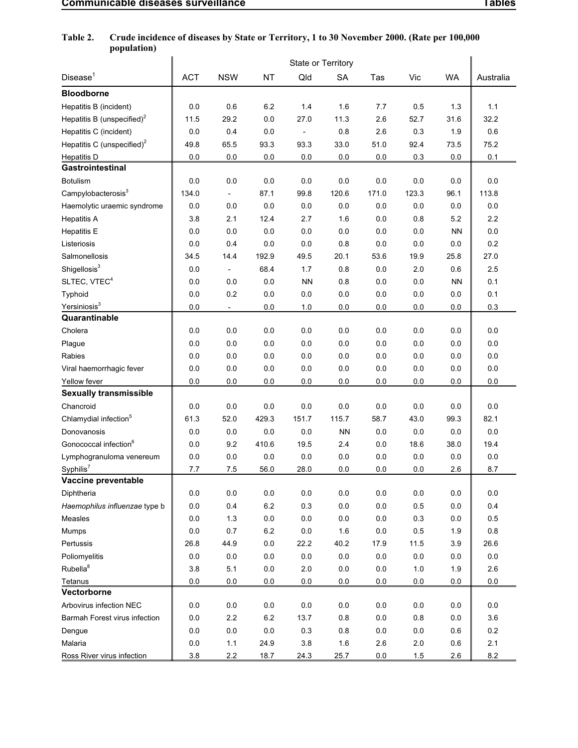## **Table 2. Crude incidence of diseases by State or Territory, 1 to 30 November 2000. (Rate per 100,000 population)**

|                                        | State or Territory |                          |           |              |           |       |         |           |           |  |  |
|----------------------------------------|--------------------|--------------------------|-----------|--------------|-----------|-------|---------|-----------|-----------|--|--|
| Disease <sup>1</sup>                   | <b>ACT</b>         | <b>NSW</b>               | <b>NT</b> | Qld          | <b>SA</b> | Tas   | Vic     | <b>WA</b> | Australia |  |  |
| <b>Bloodborne</b>                      |                    |                          |           |              |           |       |         |           |           |  |  |
| Hepatitis B (incident)                 | 0.0                | 0.6                      | 6.2       | 1.4          | 1.6       | 7.7   | 0.5     | 1.3       | 1.1       |  |  |
| Hepatitis B (unspecified) <sup>2</sup> | 11.5               | 29.2                     | 0.0       | 27.0         | 11.3      | 2.6   | 52.7    | 31.6      | 32.2      |  |  |
| Hepatitis C (incident)                 | 0.0                | 0.4                      | 0.0       | $\centerdot$ | 0.8       | 2.6   | 0.3     | 1.9       | 0.6       |  |  |
| Hepatitis C (unspecified) <sup>2</sup> | 49.8               | 65.5                     | 93.3      | 93.3         | 33.0      | 51.0  | 92.4    | 73.5      | 75.2      |  |  |
| <b>Hepatitis D</b>                     | 0.0                | 0.0                      | 0.0       | 0.0          | 0.0       | 0.0   | 0.3     | 0.0       | 0.1       |  |  |
| Gastrointestinal                       |                    |                          |           |              |           |       |         |           |           |  |  |
| <b>Botulism</b>                        | 0.0                | 0.0                      | 0.0       | 0.0          | 0.0       | 0.0   | 0.0     | 0.0       | $0.0\,$   |  |  |
| Campylobacterosis <sup>3</sup>         | 134.0              | $\overline{\phantom{a}}$ | 87.1      | 99.8         | 120.6     | 171.0 | 123.3   | 96.1      | 113.8     |  |  |
| Haemolytic uraemic syndrome            | 0.0                | 0.0                      | 0.0       | 0.0          | 0.0       | 0.0   | 0.0     | 0.0       | 0.0       |  |  |
| <b>Hepatitis A</b>                     | 3.8                | 2.1                      | 12.4      | 2.7          | 1.6       | 0.0   | 0.8     | 5.2       | 2.2       |  |  |
| <b>Hepatitis E</b>                     | 0.0                | 0.0                      | 0.0       | 0.0          | 0.0       | 0.0   | 0.0     | <b>NN</b> | 0.0       |  |  |
| Listeriosis                            | 0.0                | 0.4                      | 0.0       | 0.0          | 0.8       | 0.0   | 0.0     | 0.0       | 0.2       |  |  |
| Salmonellosis                          | 34.5               | 14.4                     | 192.9     | 49.5         | 20.1      | 53.6  | 19.9    | 25.8      | 27.0      |  |  |
| Shigellosis <sup>3</sup>               | 0.0                | $\overline{\phantom{a}}$ | 68.4      | 1.7          | 0.8       | 0.0   | 2.0     | 0.6       | 2.5       |  |  |
| SLTEC, VTEC <sup>4</sup>               | 0.0                | 0.0                      | 0.0       | <b>NN</b>    | 0.8       | 0.0   | 0.0     | <b>NN</b> | 0.1       |  |  |
| Typhoid                                | 0.0                | 0.2                      | 0.0       | 0.0          | 0.0       | 0.0   | 0.0     | 0.0       | 0.1       |  |  |
| Yersiniosis <sup>3</sup>               | 0.0                |                          | 0.0       | 1.0          | 0.0       | 0.0   | 0.0     | 0.0       | 0.3       |  |  |
| Quarantinable                          |                    |                          |           |              |           |       |         |           |           |  |  |
| Cholera                                | 0.0                | 0.0                      | 0.0       | 0.0          | 0.0       | 0.0   | 0.0     | 0.0       | 0.0       |  |  |
| Plague                                 | 0.0                | 0.0                      | 0.0       | 0.0          | 0.0       | 0.0   | 0.0     | 0.0       | $0.0\,$   |  |  |
| Rabies                                 | 0.0                | 0.0                      | 0.0       | 0.0          | 0.0       | 0.0   | 0.0     | 0.0       | 0.0       |  |  |
| Viral haemorrhagic fever               | 0.0                | 0.0                      | $0.0\,$   | 0.0          | 0.0       | 0.0   | 0.0     | 0.0       | 0.0       |  |  |
| Yellow fever                           | 0.0                | 0.0                      | 0.0       | 0.0          | 0.0       | 0.0   | 0.0     | 0.0       | 0.0       |  |  |
| <b>Sexually transmissible</b>          |                    |                          |           |              |           |       |         |           |           |  |  |
| Chancroid                              | 0.0                | 0.0                      | 0.0       | 0.0          | 0.0       | 0.0   | 0.0     | 0.0       | 0.0       |  |  |
| Chlamydial infection <sup>5</sup>      | 61.3               | 52.0                     | 429.3     | 151.7        | 115.7     | 58.7  | 43.0    | 99.3      | 82.1      |  |  |
| Donovanosis                            | 0.0                | 0.0                      | 0.0       | 0.0          | <b>NN</b> | 0.0   | 0.0     | 0.0       | 0.0       |  |  |
| Gonococcal infection <sup>6</sup>      | 0.0                | 9.2                      | 410.6     | 19.5         | 2.4       | 0.0   | 18.6    | 38.0      | 19.4      |  |  |
| Lymphogranuloma venereum               | 0.0                | 0.0                      | 0.0       | 0.0          | 0.0       | 0.0   | 0.0     | 0.0       | 0.0       |  |  |
| Syphilis <sup>7</sup>                  | 7.7                | 7.5                      | 56.0      | 28.0         | 0.0       | 0.0   | 0.0     | 2.6       | 8.7       |  |  |
| Vaccine preventable                    |                    |                          |           |              |           |       |         |           |           |  |  |
| Diphtheria                             | 0.0                | 0.0                      | 0.0       | 0.0          | 0.0       | 0.0   | 0.0     | 0.0       | 0.0       |  |  |
| Haemophilus influenzae type b          | 0.0                | 0.4                      | 6.2       | 0.3          | 0.0       | 0.0   | 0.5     | 0.0       | 0.4       |  |  |
| Measles                                | 0.0                | $1.3$                    | 0.0       | $0.0\,$      | 0.0       | 0.0   | 0.3     | 0.0       | 0.5       |  |  |
| Mumps                                  | 0.0                | 0.7                      | $6.2\,$   | $0.0\,$      | 1.6       | 0.0   | $0.5\,$ | 1.9       | 0.8       |  |  |
| Pertussis                              | 26.8               | 44.9                     | $0.0\,$   | 22.2         | 40.2      | 17.9  | 11.5    | 3.9       | 26.6      |  |  |
| Poliomyelitis                          | 0.0                | 0.0                      | 0.0       | $0.0\,$      | $0.0\,$   | 0.0   | 0.0     | 0.0       | 0.0       |  |  |
| Rubella <sup>8</sup>                   | 3.8                | 5.1                      | 0.0       | 2.0          | 0.0       | 0.0   | 1.0     | 1.9       | 2.6       |  |  |
| Tetanus<br>Vectorborne                 | 0.0                | 0.0                      | 0.0       | 0.0          | 0.0       | 0.0   | 0.0     | 0.0       | 0.0       |  |  |
|                                        |                    |                          |           |              |           |       |         |           |           |  |  |
| Arbovirus infection NEC                | 0.0                | $0.0\,$                  | 0.0       | 0.0          | 0.0       | 0.0   | 0.0     | 0.0       | 0.0       |  |  |
| Barmah Forest virus infection          | 0.0                | $2.2\,$                  | 6.2       | 13.7<br>0.3  | 0.8       | 0.0   | 0.8     | 0.0       | 3.6       |  |  |
| Dengue<br>Malaria                      | 0.0                | 0.0                      | 0.0       | 3.8          | 0.8       | 0.0   | 0.0     | 0.6       | 0.2       |  |  |
|                                        | 0.0                | 1.1                      | 24.9      |              | 1.6       | 2.6   | 2.0     | 0.6       | 2.1       |  |  |
| Ross River virus infection             | 3.8                | 2.2                      | 18.7      | 24.3         | 25.7      | 0.0   | 1.5     | 2.6       | 8.2       |  |  |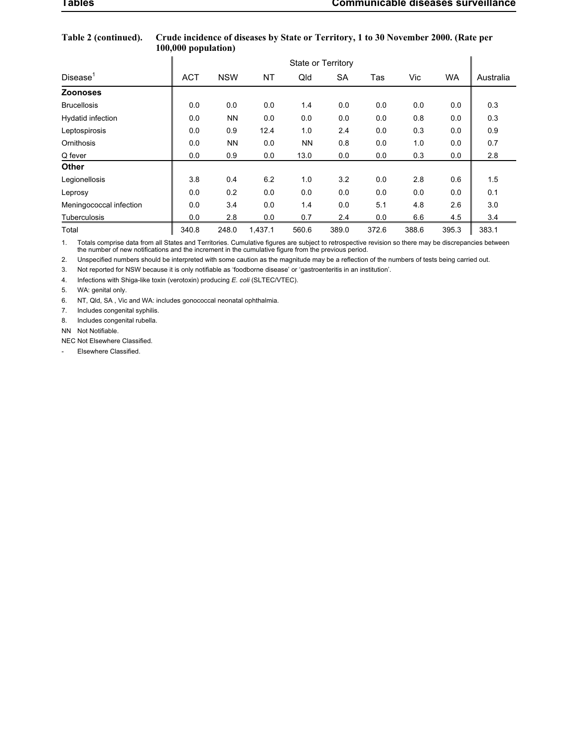|                          | State or Territory |            |         |           |       |       |       |           |           |  |  |  |  |
|--------------------------|--------------------|------------|---------|-----------|-------|-------|-------|-----------|-----------|--|--|--|--|
| Disease <sup>1</sup>     | <b>ACT</b>         | <b>NSW</b> | NT      | Qld       | SA    | Tas   | Vic   | <b>WA</b> | Australia |  |  |  |  |
| <b>Zoonoses</b>          |                    |            |         |           |       |       |       |           |           |  |  |  |  |
| <b>Brucellosis</b>       | 0.0                | 0.0        | 0.0     | 1.4       | 0.0   | 0.0   | 0.0   | 0.0       | 0.3       |  |  |  |  |
| <b>Hydatid infection</b> | 0.0                | <b>NN</b>  | 0.0     | 0.0       | 0.0   | 0.0   | 0.8   | 0.0       | 0.3       |  |  |  |  |
| Leptospirosis            | 0.0                | 0.9        | 12.4    | 1.0       | 2.4   | 0.0   | 0.3   | 0.0       | 0.9       |  |  |  |  |
| Ornithosis               | 0.0                | <b>NN</b>  | 0.0     | <b>NN</b> | 0.8   | 0.0   | 1.0   | 0.0       | 0.7       |  |  |  |  |
| Q fever                  | 0.0                | 0.9        | 0.0     | 13.0      | 0.0   | 0.0   | 0.3   | 0.0       | 2.8       |  |  |  |  |
| <b>Other</b>             |                    |            |         |           |       |       |       |           |           |  |  |  |  |
| Legionellosis            | 3.8                | 0.4        | 6.2     | 1.0       | 3.2   | 0.0   | 2.8   | 0.6       | 1.5       |  |  |  |  |
| Leprosy                  | 0.0                | 0.2        | 0.0     | 0.0       | 0.0   | 0.0   | 0.0   | 0.0       | 0.1       |  |  |  |  |
| Meningococcal infection  | 0.0                | 3.4        | 0.0     | 1.4       | 0.0   | 5.1   | 4.8   | 2.6       | 3.0       |  |  |  |  |
| Tuberculosis             | 0.0                | 2.8        | 0.0     | 0.7       | 2.4   | 0.0   | 6.6   | 4.5       | 3.4       |  |  |  |  |
| Total                    | 340.8              | 248.0      | 1,437.1 | 560.6     | 389.0 | 372.6 | 388.6 | 395.3     | 383.1     |  |  |  |  |

### **Table 2 (continued). Crude incidence of diseases by State or Territory, 1 to 30 November 2000. (Rate per 100,000 population)**

1. Totals comprise data from all States and Territories. Cumulative figures are subject to retrospective revision so there may be discrepancies between<br>the number of new notifications and the increment in the cumulative fi

2. Unspecified numbers should be interpreted with some caution as the magnitude may be a reflection of the numbers of tests being carried out.

3. Not reported for NSW because it is only notifiable as 'foodborne disease' or 'gastroenteritis in an institution'.

4. Infections with Shiga-like toxin (verotoxin) producing *E. coli* (SLTEC/VTEC).

5. WA: genital only.

6. NT, Qld, SA , Vic and WA: includes gonococcal neonatal ophthalmia.

7. Includes congenital syphilis.

8. Includes congenital rubella.

NN Not Notifiable.

NEC Not Elsewhere Classified.

- Elsewhere Classified.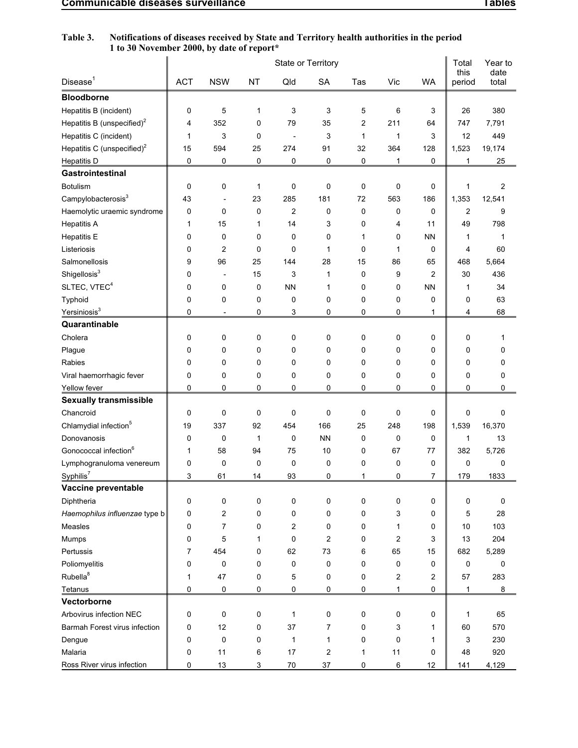| Table 3. | Notifications of diseases received by State and Territory health authorities in the period<br>1 to 30 November 2000, by date of report* |  |
|----------|-----------------------------------------------------------------------------------------------------------------------------------------|--|
|          |                                                                                                                                         |  |

|                                          |            |                                    |                  |                               | State or Territory |                |                   |                | Total          | Year to        |
|------------------------------------------|------------|------------------------------------|------------------|-------------------------------|--------------------|----------------|-------------------|----------------|----------------|----------------|
| Disease <sup>1</sup>                     | <b>ACT</b> | <b>NSW</b>                         | <b>NT</b>        | Qld                           | <b>SA</b>          | Tas            | Vic               | <b>WA</b>      | this<br>period | date<br>total  |
| <b>Bloodborne</b>                        |            |                                    |                  |                               |                    |                |                   |                |                |                |
| Hepatitis B (incident)                   | 0          | 5                                  | 1                | 3                             | 3                  | 5              | 6                 | 3              | 26             | 380            |
| Hepatitis B (unspecified) <sup>2</sup>   | 4          | 352                                | 0                | 79                            | 35                 | $\overline{2}$ | 211               | 64             | 747            | 7,791          |
| Hepatitis C (incident)                   | 1          | 3                                  | 0                |                               | 3                  | 1              | 1                 | 3              | 12             | 449            |
| Hepatitis C (unspecified) <sup>2</sup>   | 15         | 594                                | 25               | 274                           | 91                 | 32             | 364               | 128            | 1,523          | 19,174         |
| <b>Hepatitis D</b>                       | 0          | 0                                  | 0                | 0                             | 0                  | 0              | $\mathbf{1}$      | 0              | 1              | 25             |
| Gastrointestinal                         |            |                                    |                  |                               |                    |                |                   |                |                |                |
| <b>Botulism</b>                          | 0          | 0                                  | $\mathbf{1}$     | 0                             | 0                  | $\mathbf 0$    | 0                 | 0              | 1              | $\overline{2}$ |
| Campylobacterosis <sup>3</sup>           | 43         |                                    | 23               | 285                           | 181                | 72             | 563               | 186            | 1,353          | 12,541         |
| Haemolytic uraemic syndrome              | 0          | 0                                  | 0                | $\overline{c}$                | 0                  | 0              | 0                 | 0              | $\overline{2}$ | 9              |
| <b>Hepatitis A</b>                       | 1          | 15                                 | 1                | 14                            | 3                  | 0              | 4                 | 11             | 49             | 798            |
| <b>Hepatitis E</b>                       | 0          | 0                                  | 0                | 0                             | 0                  | 1              | 0                 | <b>NN</b>      | 1              | 1              |
| Listeriosis                              | 0          | 2                                  | 0                | 0                             | 1                  | 0              | 1                 | 0              | 4              | 60             |
| Salmonellosis                            | 9          | 96                                 | 25               | 144                           | 28                 | 15             | 86                | 65             | 468            | 5,664          |
| Shigellosis <sup>3</sup>                 | 0          | $\overline{a}$                     | 15               | 3                             | 1                  | 0              | 9                 | $\overline{2}$ | 30             | 436            |
| SLTEC, VTEC <sup>4</sup>                 | 0          | 0                                  | 0                | <b>NN</b>                     | 1                  | 0              | 0                 | <b>NN</b>      | 1              | 34             |
| Typhoid                                  | 0          | 0                                  | 0                | 0                             | 0                  | 0              | 0                 | 0              | 0              | 63             |
| Yersiniosis <sup>3</sup>                 | 0          |                                    | 0                | 3                             | 0                  | 0              | 0                 | 1              | 4              | 68             |
| Quarantinable                            |            |                                    |                  |                               |                    |                |                   |                |                |                |
| Cholera                                  | 0          | 0                                  | 0                | 0                             | 0                  | 0              | 0                 | 0              | 0              | 1              |
| Plague                                   | 0          | 0                                  | 0                | 0                             | 0                  | 0              | 0                 | 0              | 0              | 0              |
| Rabies                                   | 0          | 0                                  | 0                | 0                             | 0                  | 0              | 0                 | 0              | 0              | 0              |
| Viral haemorrhagic fever                 | 0          | 0                                  | 0                | 0                             | 0                  | 0              | 0                 | 0              | 0              | 0              |
| Yellow fever                             | 0          | 0                                  | $\mathbf 0$      | 0                             | 0                  | 0              | 0                 | 0              | 0              | 0              |
| <b>Sexually transmissible</b>            |            |                                    |                  |                               |                    |                |                   |                |                |                |
| Chancroid                                | 0          | 0                                  | 0                | 0                             | 0                  | $\mathbf 0$    | 0                 | 0              | 0              | 0              |
| Chlamydial infection <sup>5</sup>        | 19         | 337                                | 92               | 454                           | 166                | 25             | 248               | 198            | 1,539          | 16,370         |
| Donovanosis                              | 0          | $\mathbf 0$                        | 1                | 0                             | <b>NN</b>          | 0              | 0                 | 0              | 1              | 13             |
| Gonococcal infection <sup>6</sup>        | 1          | 58                                 | 94               | 75                            | 10                 | 0              | 67                | 77             | 382            | 5,726          |
| Lymphogranuloma venereum                 | 0          | 0                                  | 0                | 0                             | 0                  | 0              | 0                 | 0              | 0              | 0              |
| Syphilis <sup>7</sup>                    | 3          | 61                                 | 14               | 93                            | 0                  | 1              | 0                 | $\overline{I}$ | 179            | 1833           |
| Vaccine preventable                      |            |                                    |                  |                               |                    |                |                   |                |                |                |
| Diphtheria                               | 0          | $\pmb{0}$                          | 0                | $\pmb{0}$                     | 0                  | 0              | 0                 | 0              | 0              | 0              |
| Haemophilus influenzae type b<br>Measles | 0<br>0     | $\boldsymbol{2}$<br>$\overline{7}$ | $\mathbf 0$<br>0 | $\pmb{0}$<br>$\boldsymbol{2}$ | 0<br>0             | 0<br>0         | 3<br>$\mathbf{1}$ | 0<br>0         | 5<br>10        | 28<br>103      |
| Mumps                                    | 0          | 5                                  | 1                | $\pmb{0}$                     | $\sqrt{2}$         | 0              | $\overline{c}$    | 3              | 13             | 204            |
| Pertussis                                | 7          | 454                                | 0                | 62                            | 73                 | 6              | 65                | 15             | 682            | 5,289          |
| Poliomyelitis                            | 0          | 0                                  | 0                | $\pmb{0}$                     | 0                  | 0              | 0                 | 0              | 0              | 0              |
| Rubella <sup>8</sup>                     | 1          | 47                                 | 0                | 5                             | 0                  | 0              | $\boldsymbol{2}$  | $\overline{2}$ | 57             | 283            |
| Tetanus                                  | 0          | 0                                  | 0                | $\mathsf 0$                   | $\mathsf 0$        | 0              | $\mathbf{1}$      | 0              | 1              | 8              |
| Vectorborne                              |            |                                    |                  |                               |                    |                |                   |                |                |                |
| Arbovirus infection NEC                  | 0          | $\mathbf 0$                        | 0                | $\mathbf 1$                   | 0                  | 0              | 0                 | 0              | 1              | 65             |
| Barmah Forest virus infection            | 0          | 12                                 | $\pmb{0}$        | 37                            | 7                  | 0              | 3                 | 1              | 60             | 570            |
| Dengue                                   | 0          | $\mathbf 0$                        | $\pmb{0}$        | $\mathbf 1$                   | $\mathbf{1}$       | 0              | 0                 | 1              | 3              | 230            |
| Malaria                                  | 0          | 11                                 | 6                | 17                            | $\sqrt{2}$         | $\mathbf 1$    | 11                | 0              | 48             | 920            |
| Ross River virus infection               | 0          | 13                                 | 3                | $70\,$                        | $37\,$             | 0              | 6                 | 12             | 141            | 4,129          |
|                                          |            |                                    |                  |                               |                    |                |                   |                |                |                |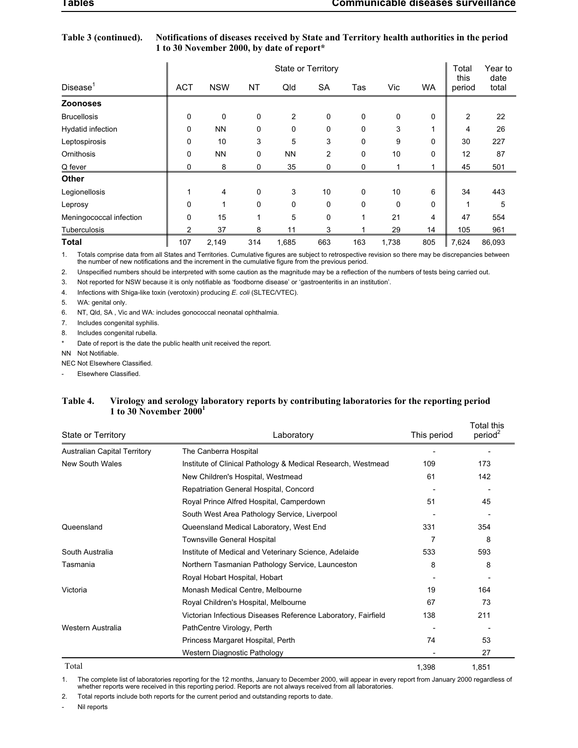| Table 3 (continued). | Notifications of diseases received by State and Territory health authorities in the period |
|----------------------|--------------------------------------------------------------------------------------------|
|                      | 1 to 30 November 2000, by date of report*                                                  |

|                         |                | <b>State or Territory</b> |             |                |           |              |          |           |                |               |  |  |  |
|-------------------------|----------------|---------------------------|-------------|----------------|-----------|--------------|----------|-----------|----------------|---------------|--|--|--|
| Disease <sup>1</sup>    | <b>ACT</b>     | <b>NSW</b>                | NT          | Qld            | <b>SA</b> | Tas          | Vic      | <b>WA</b> | this<br>period | date<br>total |  |  |  |
| <b>Zoonoses</b>         |                |                           |             |                |           |              |          |           |                |               |  |  |  |
| <b>Brucellosis</b>      | 0              | 0                         | $\mathbf 0$ | $\overline{2}$ | 0         | 0            | 0        | 0         | 2              | 22            |  |  |  |
| Hydatid infection       | 0              | <b>NN</b>                 | $\mathbf 0$ | 0              | 0         | 0            | 3        |           | 4              | 26            |  |  |  |
| Leptospirosis           | 0              | 10                        | 3           | 5              | 3         | $\Omega$     | 9        | $\Omega$  | 30             | 227           |  |  |  |
| Ornithosis              | 0              | <b>NN</b>                 | 0           | <b>NN</b>      | 2         | 0            | 10       | 0         | 12             | 87            |  |  |  |
| Q fever                 | 0              | 8                         | 0           | 35             | 0         | 0            |          |           | 45             | 501           |  |  |  |
| <b>Other</b>            |                |                           |             |                |           |              |          |           |                |               |  |  |  |
| Legionellosis           |                | 4                         | $\mathbf 0$ | 3              | 10        | $\mathbf{0}$ | 10       | 6         | 34             | 443           |  |  |  |
| Leprosy                 | 0              | 1                         | $\mathbf 0$ | 0              | 0         | 0            | $\Omega$ | 0         |                | 5             |  |  |  |
| Meningococcal infection | 0              | 15                        | 1           | 5              | 0         |              | 21       | 4         | 47             | 554           |  |  |  |
| Tuberculosis            | $\overline{2}$ | 37                        | 8           | 11             | 3         |              | 29       | 14        | 105            | 961           |  |  |  |
| <b>Total</b>            | 107            | 2,149                     | 314         | 1,685          | 663       | 163          | 1,738    | 805       | 7,624          | 86,093        |  |  |  |

1. Totals comprise data from all States and Territories. Cumulative figures are subject to retrospective revision so there may be discrepancies between<br>the number of new notifications and the increment in the cumulative fi

2. Unspecified numbers should be interpreted with some caution as the magnitude may be a reflection of the numbers of tests being carried out.

3. Not reported for NSW because it is only notifiable as 'foodborne disease' or 'gastroenteritis in an institution'.

4. Infections with Shiga-like toxin (verotoxin) producing *E. coli* (SLTEC/VTEC).

5. WA: genital only.

6. NT, Qld, SA , Vic and WA: includes gonococcal neonatal ophthalmia.

7. Includes congenital syphilis.

8. Includes congenital rubella.

Date of report is the date the public health unit received the report.

NN Not Notifiable.

NEC Not Elsewhere Classified.

Elsewhere Classified.

### **Table 4. Virology and serology laboratory reports by contributing laboratories for the reporting period 1 to 30 November 2000<sup>1</sup>**

| <b>State or Territory</b>           | Laboratory                                                    | This period | Total this<br>period <sup>2</sup> |
|-------------------------------------|---------------------------------------------------------------|-------------|-----------------------------------|
| <b>Australian Capital Territory</b> | The Canberra Hospital                                         |             |                                   |
| New South Wales                     | Institute of Clinical Pathology & Medical Research, Westmead  | 109         | 173                               |
|                                     | New Children's Hospital, Westmead                             | 61          | 142                               |
|                                     | Repatriation General Hospital, Concord                        |             |                                   |
|                                     | Royal Prince Alfred Hospital, Camperdown                      | 51          | 45                                |
|                                     | South West Area Pathology Service, Liverpool                  |             |                                   |
| Queensland                          | Queensland Medical Laboratory, West End                       | 331         | 354                               |
|                                     | Townsville General Hospital                                   | 7           | 8                                 |
| South Australia                     | Institute of Medical and Veterinary Science, Adelaide         | 533         | 593                               |
| Tasmania                            | Northern Tasmanian Pathology Service, Launceston              | 8           | 8                                 |
|                                     | Royal Hobart Hospital, Hobart                                 |             |                                   |
| Victoria                            | Monash Medical Centre, Melbourne                              | 19          | 164                               |
|                                     | Royal Children's Hospital, Melbourne                          | 67          | 73                                |
|                                     | Victorian Infectious Diseases Reference Laboratory, Fairfield | 138         | 211                               |
| Western Australia                   | PathCentre Virology, Perth                                    |             |                                   |
|                                     | Princess Margaret Hospital, Perth                             | 74          | 53                                |
|                                     | Western Diagnostic Pathology                                  |             | 27                                |
| Total                               |                                                               | 1,398       | 1,851                             |

1. The complete list of laboratories reporting for the 12 months, January to December 2000, will appear in every report from January 2000 regardless of whether reports were received in this reporting period. Reports are not always received from all laboratories.

2. Total reports include both reports for the current period and outstanding reports to date.

Nil reports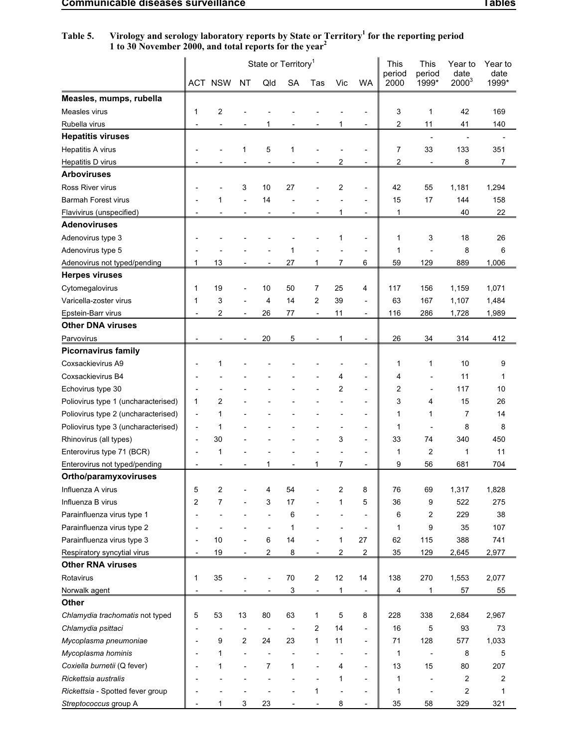|                                     |                              | ACT NSW        | <b>NT</b>                    | Qld            | State or Territory <sup>1</sup><br><b>SA</b> | Tas                      | Vic                      | <b>WA</b>                | This<br>period<br>2000 | This<br>period<br>1999* | Year to<br>date<br>$2000^3$ | Year to<br>date<br>1999* |
|-------------------------------------|------------------------------|----------------|------------------------------|----------------|----------------------------------------------|--------------------------|--------------------------|--------------------------|------------------------|-------------------------|-----------------------------|--------------------------|
| Measles, mumps, rubella             |                              |                |                              |                |                                              |                          |                          |                          |                        |                         |                             |                          |
| Measles virus                       | 1                            | $\overline{c}$ |                              |                |                                              |                          |                          |                          | 3                      | 1                       | 42                          | 169                      |
| Rubella virus                       |                              |                |                              |                |                                              |                          |                          | $\blacksquare$           | 2                      | 11                      | 41                          | 140                      |
| <b>Hepatitis viruses</b>            |                              |                |                              |                |                                              |                          |                          |                          |                        | $\blacksquare$          |                             |                          |
| Hepatitis A virus                   |                              |                | 1                            | 5              | 1                                            |                          |                          | L,                       | 7                      | 33                      | 133                         | 351                      |
| <b>Hepatitis D virus</b>            |                              |                |                              |                |                                              |                          | 2                        | $\blacksquare$           | 2                      |                         | 8                           | 7                        |
| <b>Arboviruses</b>                  |                              |                |                              |                |                                              |                          |                          |                          |                        |                         |                             |                          |
| Ross River virus                    |                              |                | 3                            | 10             | 27                                           |                          | 2                        | $\overline{\phantom{a}}$ | 42                     | 55                      | 1,181                       | 1,294                    |
| <b>Barmah Forest virus</b>          |                              | 1              |                              | 14             |                                              |                          |                          |                          | 15                     | 17                      | 144                         | 158                      |
| Flavivirus (unspecified)            |                              |                |                              | $\overline{a}$ |                                              |                          | 1                        | $\overline{\phantom{a}}$ | 1                      |                         | 40                          | 22                       |
| <b>Adenoviruses</b>                 |                              |                |                              |                |                                              |                          |                          |                          |                        |                         |                             |                          |
| Adenovirus type 3                   |                              |                |                              |                |                                              |                          | 1                        | $\overline{\phantom{0}}$ | $\mathbf{1}$           | 3                       | 18                          | 26                       |
| Adenovirus type 5                   |                              |                |                              |                | 1                                            |                          |                          | $\blacksquare$           | 1                      |                         | 8                           | 6                        |
| Adenovirus not typed/pending        | 1                            | 13             |                              |                | 27                                           | 1                        | 7                        | 6                        | 59                     | 129                     | 889                         | 1,006                    |
| <b>Herpes viruses</b>               |                              |                |                              |                |                                              |                          |                          |                          |                        |                         |                             |                          |
| Cytomegalovirus                     | 1                            | 19             |                              | 10             | 50                                           | 7                        | 25                       | 4                        | 117                    | 156                     | 1,159                       | 1,071                    |
| Varicella-zoster virus              | 1                            | 3              |                              | 4              | 14                                           | 2                        | 39                       | $\overline{\phantom{a}}$ | 63                     | 167                     | 1,107                       | 1,484                    |
| Epstein-Barr virus                  |                              | $\overline{2}$ | $\qquad \qquad \blacksquare$ | 26             | 77                                           | $\overline{\phantom{0}}$ | 11                       | $\overline{\phantom{a}}$ | 116                    | 286                     | 1,728                       | 1,989                    |
| <b>Other DNA viruses</b>            |                              |                |                              |                |                                              |                          |                          |                          |                        |                         |                             |                          |
| Parvovirus                          |                              |                |                              | 20             | 5                                            |                          | 1                        | $\overline{\phantom{a}}$ | 26                     | 34                      | 314                         | 412                      |
| <b>Picornavirus family</b>          |                              |                |                              |                |                                              |                          |                          |                          |                        |                         |                             |                          |
| Coxsackievirus A9                   |                              | 1              |                              |                |                                              |                          |                          |                          | 1                      | 1                       | 10                          | 9                        |
| Coxsackievirus B4                   |                              |                |                              |                |                                              |                          | 4                        | ٠                        | 4                      |                         | 11                          | 1                        |
| Echovirus type 30                   |                              |                |                              |                |                                              |                          | 2                        | $\blacksquare$           | 2                      |                         | 117                         | 10                       |
| Poliovirus type 1 (uncharacterised) | 1                            | 2              |                              |                |                                              |                          |                          |                          | 3                      | 4                       | 15                          | 26                       |
| Poliovirus type 2 (uncharacterised) | ٠                            | 1              |                              |                |                                              |                          |                          | $\blacksquare$           | 1                      | 1                       | 7                           | 14                       |
| Poliovirus type 3 (uncharacterised) | $\qquad \qquad \blacksquare$ | 1              |                              |                |                                              |                          |                          | $\overline{\phantom{a}}$ | 1                      | $\overline{a}$          | 8                           | 8                        |
| Rhinovirus (all types)              | $\overline{a}$               | 30             |                              |                |                                              |                          | 3                        | $\overline{\phantom{a}}$ | 33                     | 74                      | 340                         | 450                      |
| Enterovirus type 71 (BCR)           |                              | 1              |                              |                |                                              |                          |                          | $\blacksquare$           | 1                      | 2                       | 1                           | 11                       |
| Enterovirus not typed/pending       |                              |                |                              |                |                                              |                          | 7                        | $\overline{\phantom{a}}$ | 9                      | 56                      | 681                         | 704                      |
| Ortho/paramyxoviruses               |                              |                |                              |                |                                              |                          |                          |                          |                        |                         |                             |                          |
| Influenza A virus                   | 5                            | 2              |                              | 4              | 54                                           |                          | 2                        | 8                        | 76                     | 69                      | 1,317                       | 1,828                    |
| Influenza B virus                   | 2                            | $\overline{7}$ |                              | 3              | 17                                           |                          | 1                        | 5                        | 36                     | 9                       | 522                         | 275                      |
| Parainfluenza virus type 1          | $\overline{a}$               |                |                              | $\frac{1}{2}$  | 6                                            |                          | $\overline{a}$           | $\overline{\phantom{a}}$ | 6                      | 2                       | 229                         | 38                       |
| Parainfluenza virus type 2          |                              |                |                              | L,             | 1                                            |                          | $\overline{\phantom{a}}$ | $\overline{\phantom{a}}$ | 1                      | 9                       | 35                          | 107                      |
| Parainfluenza virus type 3          | $\overline{\phantom{a}}$     | 10             |                              | 6              | 14                                           |                          | 1                        | 27                       | 62                     | 115                     | 388                         | 741                      |
| Respiratory syncytial virus         | $\overline{\phantom{a}}$     | 19             | $\overline{\phantom{a}}$     | $\overline{2}$ | 8                                            | $\overline{\phantom{a}}$ | 2                        | 2                        | 35                     | 129                     | 2,645                       | 2,977                    |
| <b>Other RNA viruses</b>            |                              |                |                              |                |                                              |                          |                          |                          |                        |                         |                             |                          |
| Rotavirus                           | 1                            | 35             |                              |                | 70                                           | 2                        | 12                       | 14                       | 138                    | 270                     | 1,553                       | 2,077                    |
| Norwalk agent                       | $\overline{a}$               |                |                              |                | $\overline{3}$                               | $\overline{a}$           | 1                        | $\overline{\phantom{a}}$ | 4                      | 1                       | 57                          | 55                       |
| Other                               |                              |                |                              |                |                                              |                          |                          |                          |                        |                         |                             |                          |
| Chlamydia trachomatis not typed     | 5                            | 53             | 13                           | 80             | 63                                           | 1                        | 5                        | 8                        | 228                    | 338                     | 2,684                       | 2,967                    |
| Chlamydia psittaci                  | $\overline{a}$               |                | $\overline{a}$               |                | $\overline{\phantom{a}}$                     | 2                        | 14                       | $\overline{\phantom{a}}$ | 16                     | 5                       | 93                          | 73                       |
| Mycoplasma pneumoniae               | $\blacksquare$               | 9              | 2                            | 24             | 23                                           | 1                        | 11                       | $\overline{\phantom{a}}$ | 71                     | 128                     | 577                         | 1,033                    |
| Mycoplasma hominis                  | $\blacksquare$               | 1              |                              |                |                                              |                          | $\overline{a}$           | $\overline{\phantom{a}}$ | $\mathbf{1}$           | $\overline{a}$          | 8                           | 5                        |
| Coxiella burnetii (Q fever)         | $\overline{\phantom{a}}$     | 1              |                              | 7              | 1                                            | $\overline{a}$           | 4                        | $\overline{\phantom{a}}$ | 13                     | 15                      | 80                          | 207                      |
| Rickettsia australis                |                              |                |                              |                |                                              |                          | 1                        | $\overline{\phantom{a}}$ | 1                      | $\overline{a}$          | 2                           | 2                        |
| Rickettsia - Spotted fever group    |                              |                |                              |                |                                              | 1                        | $\overline{\phantom{a}}$ | $\blacksquare$           | 1                      |                         | 2                           | 1                        |
| Streptococcus group A               |                              | 1              | 3                            | 23             |                                              |                          | 8                        | ä,                       | 35                     | 58                      | 329                         | 321                      |

**Table 5. Virology and serology laboratory reports by State or Territory<sup>1</sup> for the reporting period 1 to 30 November 2000, and total reports for the year<sup>2</sup>**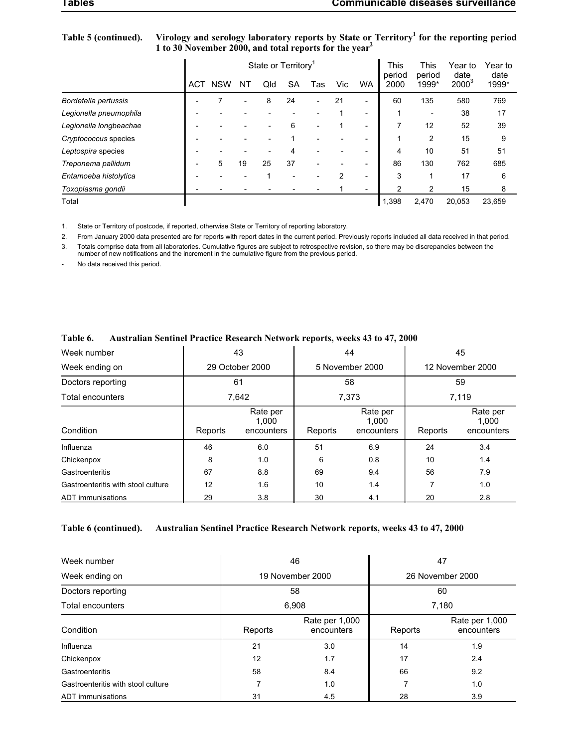| Table 5 (continued). Virology and serology laboratory reports by State or Territory <sup>1</sup> for the reporting period |
|---------------------------------------------------------------------------------------------------------------------------|
| 1 to 30 November 2000, and total reports for the year <sup>2</sup>                                                        |

|                        |            |            |    | State or Territory <sup>1</sup> |    | This<br>period | <b>This</b><br>period | Year to<br>date          | Year to<br>date |       |          |        |
|------------------------|------------|------------|----|---------------------------------|----|----------------|-----------------------|--------------------------|-----------------|-------|----------|--------|
|                        | <b>ACT</b> | <b>NSW</b> | ΝT | Qld                             | SA | Tas            | Vic                   | <b>WA</b>                | 2000            | 1999* | $2000^3$ | 1999*  |
| Bordetella pertussis   |            |            |    | 8                               | 24 |                | 21                    |                          | 60              | 135   | 580      | 769    |
| Legionella pneumophila |            |            |    |                                 |    |                |                       | $\overline{\phantom{0}}$ |                 |       | 38       | 17     |
| Legionella longbeachae |            |            |    |                                 | 6  |                |                       | $\overline{\phantom{0}}$ |                 | 12    | 52       | 39     |
| Cryptococcus species   |            |            |    |                                 |    |                |                       |                          |                 | 2     | 15       | 9      |
| Leptospira species     |            |            |    |                                 | 4  |                |                       |                          | 4               | 10    | 51       | 51     |
| Treponema pallidum     |            | 5          | 19 | 25                              | 37 |                |                       |                          | 86              | 130   | 762      | 685    |
| Entamoeba histolytica  |            |            |    |                                 |    |                | 2                     |                          | 3               |       | 17       | 6      |
| Toxoplasma gondii      |            |            |    |                                 |    |                |                       | -                        | 2               | 2     | 15       | 8      |
| Total                  |            |            |    |                                 |    |                |                       |                          | 1,398           | 2,470 | 20.053   | 23.659 |

1. State or Territory of postcode, if reported, otherwise State or Territory of reporting laboratory.

2. From January 2000 data presented are for reports with report dates in the current period. Previously reports included all data received in that period.

3. Totals comprise data from all laboratories. Cumulative figures are subject to retrospective revision, so there may be discrepancies between the<br>number of new notifications and the increment in the cumulative figure from

No data received this period.

| Week number                        |         | 43                              |         | 44                              | 45               |                                 |  |
|------------------------------------|---------|---------------------------------|---------|---------------------------------|------------------|---------------------------------|--|
| Week ending on                     |         | 29 October 2000                 |         | 5 November 2000                 | 12 November 2000 |                                 |  |
| Doctors reporting                  |         | 61                              |         | 58                              | 59               |                                 |  |
| Total encounters                   |         | 7,642                           | 7,373   |                                 | 7.119            |                                 |  |
| Condition                          | Reports | Rate per<br>1,000<br>encounters | Reports | Rate per<br>1,000<br>encounters | Reports          | Rate per<br>1.000<br>encounters |  |
| Influenza                          | 46      | 6.0                             | 51      | 6.9                             | 24               | 3.4                             |  |
| Chickenpox                         | 8       | 1.0                             | 6       | 0.8                             | 10               | 1.4                             |  |
| Gastroenteritis                    | 67      | 8.8                             | 69      | 9.4                             | 56               | 7.9                             |  |
| Gastroenteritis with stool culture | 12      | 1.6                             | 10      | 1.4                             | 7                | 1.0                             |  |
| ADT immunisations                  | 29      | 3.8                             | 30      | 4.1                             | 20               | 2.8                             |  |

## **Table 6. Australian Sentinel Practice Research Network reports, weeks 43 to 47, 2000**

### **Table 6 (continued). Australian Sentinel Practice Research Network reports, weeks 43 to 47, 2000**

| Week number                        |         | 46                           | 47               |                              |  |
|------------------------------------|---------|------------------------------|------------------|------------------------------|--|
| Week ending on                     |         | 19 November 2000             | 26 November 2000 |                              |  |
| Doctors reporting                  |         | 58                           | 60               |                              |  |
| Total encounters                   |         | 6,908                        | 7,180            |                              |  |
| Condition                          | Reports | Rate per 1,000<br>encounters | Reports          | Rate per 1,000<br>encounters |  |
| Influenza                          | 21      | 3.0                          | 14               | 1.9                          |  |
| Chickenpox                         | 12      | 1.7                          | 17               | 2.4                          |  |
| Gastroenteritis                    | 58      | 8.4                          | 66               | 9.2                          |  |
| Gastroenteritis with stool culture | 7       | 1.0                          |                  | 1.0                          |  |
| ADT immunisations                  | 31      | 4.5                          | 28               | 3.9                          |  |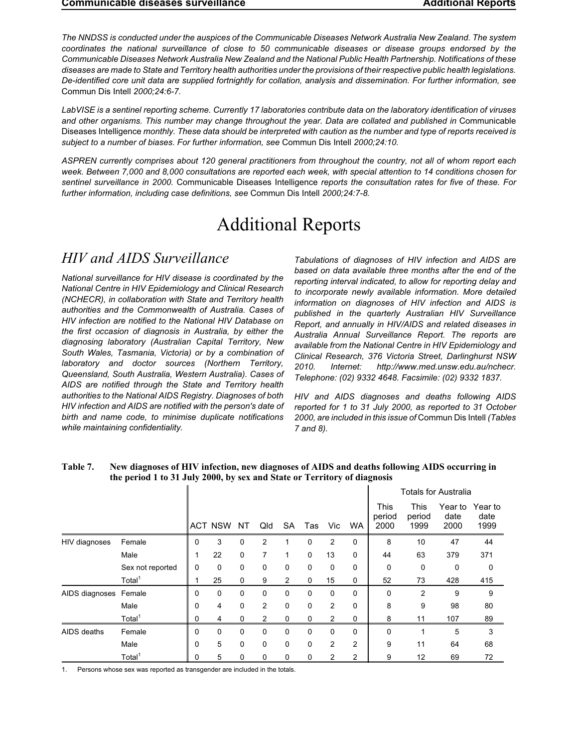*The NNDSS is conducted under the auspices of the Communicable Diseases Network Australia New Zealand. The system coordinates the national surveillance of close to 50 communicable diseases or disease groups endorsed by the Communicable Diseases Network Australia New Zealand and the National Public Health Partnership. Notifications of these diseases are made to State and Territory health authorities under the provisions of their respective public health legislations. De-identified core unit data are supplied fortnightly for collation, analysis and dissemination. For further information, see* Commun Dis Intell *2000;24:6-7.*

*LabVISE is a sentinel reporting scheme. Currently 17 laboratories contribute data on the laboratory identification of viruses and other organisms. This number may change throughout the year. Data are collated and published in* Communicable Diseases Intelligence *monthly. These data should be interpreted with caution as the number and type of reports received is subject to a number of biases. For further information, see* Commun Dis Intell *2000;24:10.*

*ASPREN currently comprises about 120 general practitioners from throughout the country, not all of whom report each week. Between 7,000 and 8,000 consultations are reported each week, with special attention to 14 conditions chosen for sentinel surveillance in 2000.* Communicable Diseases Intelligence *reports the consultation rates for five of these. For further information, including case definitions, see* Commun Dis Intell *2000;24:7-8.*

# Additional Reports

# *HIV and AIDS Surveillance*

*National surveillance for HIV disease is coordinated by the National Centre in HIV Epidemiology and Clinical Research (NCHECR), in collaboration with State and Territory health authorities and the Commonwealth of Australia. Cases of HIV infection are notified to the National HIV Database on the first occasion of diagnosis in Australia, by either the diagnosing laboratory (Australian Capital Territory, New South Wales, Tasmania, Victoria) or by a combination of laboratory and doctor sources (Northern Territory, Queensland, South Australia, Western Australia). Cases of AIDS are notified through the State and Territory health authorities to the National AIDS Registry. Diagnoses of both HIV infection and AIDS are notified with the person's date of birth and name code, to minimise duplicate notifications while maintaining confidentiality.*

*Tabulations of diagnoses of HIV infection and AIDS are based on data available three months after the end of the reporting interval indicated, to allow for reporting delay and to incorporate newly available information. More detailed information on diagnoses of HIV infection and AIDS is published in the quarterly Australian HIV Surveillance Report, and annually in HIV/AIDS and related diseases in Australia Annual Surveillance Report. The reports are available from the National Centre in HIV Epidemiology and Clinical Research, 376 Victoria Street, Darlinghurst NSW 2010. Internet: http://www.med.unsw.edu.au/nchecr. Telephone: (02) 9332 4648. Facsimile: (02) 9332 1837.*

*HIV and AIDS diagnoses and deaths following AIDS reported for 1 to 31 July 2000, as reported to 31 October 2000, are included in this issue of* Commun Dis Intell *(Tables 7 and 8).*

|                       |                    |   |            |             |                |                |              |     |                |                               |                               | Totals for Australia    |                         |
|-----------------------|--------------------|---|------------|-------------|----------------|----------------|--------------|-----|----------------|-------------------------------|-------------------------------|-------------------------|-------------------------|
|                       |                    |   | ACT NSW NT |             | Qld            | <b>SA</b>      | Tas          | Vic | - WA           | <b>This</b><br>period<br>2000 | <b>This</b><br>period<br>1999 | Year to<br>date<br>2000 | Year to<br>date<br>1999 |
| HIV diagnoses         | Female             | 0 | 3          | $\mathbf 0$ | $\overline{2}$ |                | 0            | 2   | $\mathbf 0$    | 8                             | 10                            | 47                      | 44                      |
|                       | Male               |   | 22         | $\mathbf 0$ | 7              | 1              | $\mathbf{0}$ | 13  | 0              | 44                            | 63                            | 379                     | 371                     |
|                       | Sex not reported   | 0 | 0          | $\mathbf 0$ | 0              | 0              | $\mathbf 0$  | 0   | 0              | 0                             | 0                             | 0                       | 0                       |
|                       | Total <sup>1</sup> |   | 25         | 0           | 9              | $\overline{2}$ | $\mathbf 0$  | 15  | 0              | 52                            | 73                            | 428                     | 415                     |
| AIDS diagnoses Female |                    | 0 | 0          | $\mathbf 0$ | $\mathbf 0$    | 0              | 0            | 0   | $\Omega$       | $\Omega$                      | $\overline{2}$                | 9                       | 9                       |
|                       | Male               | 0 | 4          | $\mathbf 0$ | $\overline{2}$ | 0              | 0            | 2   | 0              | 8                             | 9                             | 98                      | 80                      |
|                       | Total <sup>1</sup> | 0 | 4          | 0           | 2              | 0              | 0            | 2   | 0              | 8                             | 11                            | 107                     | 89                      |
| AIDS deaths           | Female             | 0 | 0          | $\mathbf 0$ | $\mathbf 0$    | 0              | 0            | 0   | $\Omega$       | $\Omega$                      |                               | 5                       | 3                       |
|                       | Male               | 0 | 5          | $\mathbf 0$ | $\mathbf 0$    | 0              | $\mathbf 0$  | 2   | $\overline{2}$ | 9                             | 11                            | 64                      | 68                      |
|                       | Total <sup>1</sup> | 0 | 5          | 0           | 0              | 0              | 0            | 2   | $\overline{2}$ | 9                             | 12                            | 69                      | 72                      |

**Table 7. New diagnoses of HIV infection, new diagnoses of AIDS and deaths following AIDS occurring in the period 1 to 31 July 2000, by sex and State or Territory of diagnosis**

1. Persons whose sex was reported as transgender are included in the totals.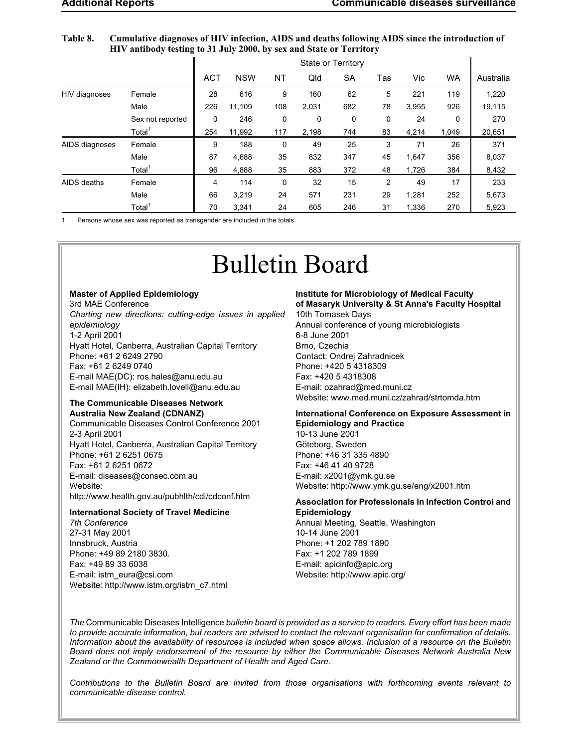#### <span id="page-40-0"></span>**Table 8. Cumulative diagnoses of HIV infection, AIDS and deaths following AIDS since the introduction of HIV antibody testing to 31 July 2000, by sex and State or Territory**

|                |                    | State or Territory |            |     |       |     |     |       |           |           |
|----------------|--------------------|--------------------|------------|-----|-------|-----|-----|-------|-----------|-----------|
|                |                    | <b>ACT</b>         | <b>NSW</b> | NT  | Qld   | SA  | Tas | Vic   | <b>WA</b> | Australia |
| HIV diagnoses  | Female             | 28                 | 616        | 9   | 160   | 62  | 5   | 221   | 119       | 1,220     |
|                | Male               | 226                | 11.109     | 108 | 2,031 | 682 | 78  | 3.955 | 926       | 19,115    |
|                | Sex not reported   | $\Omega$           | 246        | 0   | 0     | 0   | 0   | 24    | 0         | 270       |
|                | Total <sup>1</sup> | 254                | 11,992     | 117 | 2,198 | 744 | 83  | 4,214 | 1,049     | 20,651    |
| AIDS diagnoses | Female             | 9                  | 188        | 0   | 49    | 25  | 3   | 71    | 26        | 371       |
|                | Male               | 87                 | 4.688      | 35  | 832   | 347 | 45  | 1.647 | 356       | 8,037     |
|                | Total <sup>1</sup> | 96                 | 4,888      | 35  | 883   | 372 | 48  | 1,726 | 384       | 8,432     |
| AIDS deaths    | Female             | 4                  | 114        | 0   | 32    | 15  | 2   | 49    | 17        | 233       |
|                | Male               | 66                 | 3.219      | 24  | 571   | 231 | 29  | 1.281 | 252       | 5,673     |
|                | Total <sup>1</sup> | 70                 | 3.341      | 24  | 605   | 246 | 31  | 1.336 | 270       | 5,923     |

1. Persons whose sex was reported as transgender are included in the totals.

# Bulletin Board

#### **Master of Applied Epidemiology**

3rd MAE Conference *Charting new directions: cutting-edge issues in applied epidemiology* 1-2 April 2001 Hyatt Hotel, Canberra, Australian Capital Territory Phone: +61 2 6249 2790 Fax: +61 2 6249 0740 E-mail MAE(DC): ros.hales@anu.edu.au E-mail MAE(IH): elizabeth.lovell@anu.edu.au

## **The Communicable Diseases Network Australia New Zealand (CDNANZ)**

Communicable Diseases Control Conference 2001 2-3 April 2001 Hyatt Hotel, Canberra, Australian Capital Territory Phone: +61 2 6251 0675 Fax: +61 2 6251 0672 E-mail: diseases@consec.com.au Website: http://www.health.gov.au/pubhlth/cdi/cdconf.htm

#### **International Society of Travel Medicine**

*7th Conference* 27-31 May 2001 Innsbruck, Austria Phone: +49 89 2180 3830. Fax: +49 89 33 6038 E-mail: istm\_eura@csi.com Website: http://www.istm.org/istm\_c7.html **Institute for Microbiology of Medical Faculty of Masaryk University & St Anna's Faculty Hospital** 10th Tomasek Days Annual conference of young microbiologists 6-8 June 2001 Brno, Czechia Contact: Ondrej Zahradnicek Phone: +420 5 4318309 Fax: +420 5 4318308 E-mail: ozahrad@med.muni.cz Website: www.med.muni.cz/zahrad/strtomda.htm

### **International Conference on Exposure Assessment in Epidemiology and Practice**

10-13 June 2001 Göteborg, Sweden Phone: +46 31 335 4890 Fax: +46 41 40 9728 E-mail: x2001@ymk.gu.se Website: http://www.ymk.gu.se/eng/x2001.htm

#### **Association for Professionals in Infection Control and Epidemiology**

Annual Meeting, Seattle, Washington 10-14 June 2001 Phone: +1 202 789 1890 Fax: +1 202 789 1899 E-mail: apicinfo@apic.org Website: http://www.apic.org/

*The* Communicable Diseases Intelligence *bulletin board is provided as a service to readers. Every effort has been made to provide accurate information, but readers are advised to contact the relevant organisation for confirmation of details. Information about the availability of resources is included when space allows. Inclusion of a resource on the Bulletin Board does not imply endorsement of the resource by either the Communicable Diseases Network Australia New Zealand or the Commonwealth Department of Health and Aged Care.*

*Contributions to the Bulletin Board are invited from those organisations with forthcoming events relevant to communicable disease control.*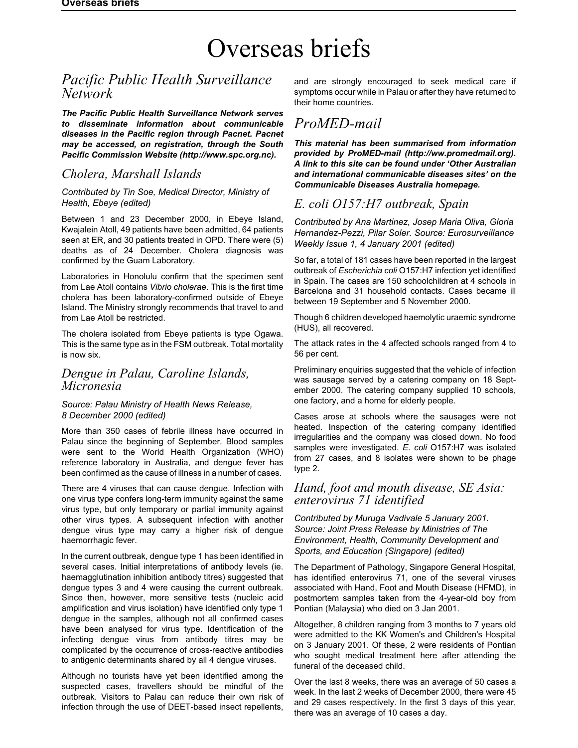# <span id="page-41-0"></span>Overseas briefs

# *Pacific Public Health Surveillance Network*

*The Pacific Public Health Surveillance Network serves to disseminate information about communicable diseases in the Pacific region through Pacnet. Pacnet may be accessed, on registration, through the South Pacific Commission Website (http://www.spc.org.nc).*

# *Cholera, Marshall Islands*

#### *Contributed by Tin Soe, Medical Director, Ministry of Health, Ebeye (edited)*

Between 1 and 23 December 2000, in Ebeye Island, Kwajalein Atoll, 49 patients have been admitted, 64 patients seen at ER, and 30 patients treated in OPD. There were (5) deaths as of 24 December. Cholera diagnosis was confirmed by the Guam Laboratory.

Laboratories in Honolulu confirm that the specimen sent from Lae Atoll contains *Vibrio cholerae*. This is the first time cholera has been laboratory-confirmed outside of Ebeye Island. The Ministry strongly recommends that travel to and from Lae Atoll be restricted.

The cholera isolated from Ebeye patients is type Ogawa. This is the same type as in the FSM outbreak. Total mortality is now six.

# *Dengue in Palau, Caroline Islands, Micronesia*

### *Source: Palau Ministry of Health News Release, 8 December 2000 (edited)*

More than 350 cases of febrile illness have occurred in Palau since the beginning of September. Blood samples were sent to the World Health Organization (WHO) reference laboratory in Australia, and dengue fever has been confirmed as the cause of illness in a number of cases.

There are 4 viruses that can cause dengue. Infection with one virus type confers long-term immunity against the same virus type, but only temporary or partial immunity against other virus types. A subsequent infection with another dengue virus type may carry a higher risk of dengue haemorrhagic fever.

In the current outbreak, dengue type 1 has been identified in several cases. Initial interpretations of antibody levels (ie. haemagglutination inhibition antibody titres) suggested that dengue types 3 and 4 were causing the current outbreak. Since then, however, more sensitive tests (nucleic acid amplification and virus isolation) have identified only type 1 dengue in the samples, although not all confirmed cases have been analysed for virus type. Identification of the infecting dengue virus from antibody titres may be complicated by the occurrence of cross-reactive antibodies to antigenic determinants shared by all 4 dengue viruses.

Although no tourists have yet been identified among the suspected cases, travellers should be mindful of the outbreak. Visitors to Palau can reduce their own risk of infection through the use of DEET-based insect repellents,

and are strongly encouraged to seek medical care if symptoms occur while in Palau or after they have returned to their home countries.

# *ProMED-mail*

*This material has been summarised from information provided by ProMED-mail (http://ww.promedmail.org). A link to this site can be found under 'Other Australian and international communicable diseases sites' on the Communicable Diseases Australia homepage.*

# *E. coli O157:H7 outbreak, Spain*

*Contributed by Ana Martinez, Josep Maria Oliva, Gloria Hernandez-Pezzi, Pilar Soler. Source: Eurosurveillance Weekly Issue 1, 4 January 2001 (edited)*

So far, a total of 181 cases have been reported in the largest outbreak of *Escherichia coli* O157:H7 infection yet identified in Spain. The cases are 150 schoolchildren at 4 schools in Barcelona and 31 household contacts. Cases became ill between 19 September and 5 November 2000.

Though 6 children developed haemolytic uraemic syndrome (HUS), all recovered.

The attack rates in the 4 affected schools ranged from 4 to 56 per cent.

Preliminary enquiries suggested that the vehicle of infection was sausage served by a catering company on 18 September 2000. The catering company supplied 10 schools, one factory, and a home for elderly people.

Cases arose at schools where the sausages were not heated. Inspection of the catering company identified irregularities and the company was closed down. No food samples were investigated. *E. coli* O157:H7 was isolated from 27 cases, and 8 isolates were shown to be phage type 2.

# *Hand, foot and mouth disease, SE Asia: enterovirus 71 identified*

*Contributed by Muruga Vadivale 5 January 2001. Source: Joint Press Release by Ministries of The Environment, Health, Community Development and Sports, and Education (Singapore) (edited)*

The Department of Pathology, Singapore General Hospital, has identified enterovirus 71, one of the several viruses associated with Hand, Foot and Mouth Disease (HFMD), in postmortem samples taken from the 4-year-old boy from Pontian (Malaysia) who died on 3 Jan 2001.

Altogether, 8 children ranging from 3 months to 7 years old were admitted to the KK Women's and Children's Hospital on 3 January 2001. Of these, 2 were residents of Pontian who sought medical treatment here after attending the funeral of the deceased child.

Over the last 8 weeks, there was an average of 50 cases a week. In the last 2 weeks of December 2000, there were 45 and 29 cases respectively. In the first 3 days of this year, there was an average of 10 cases a day.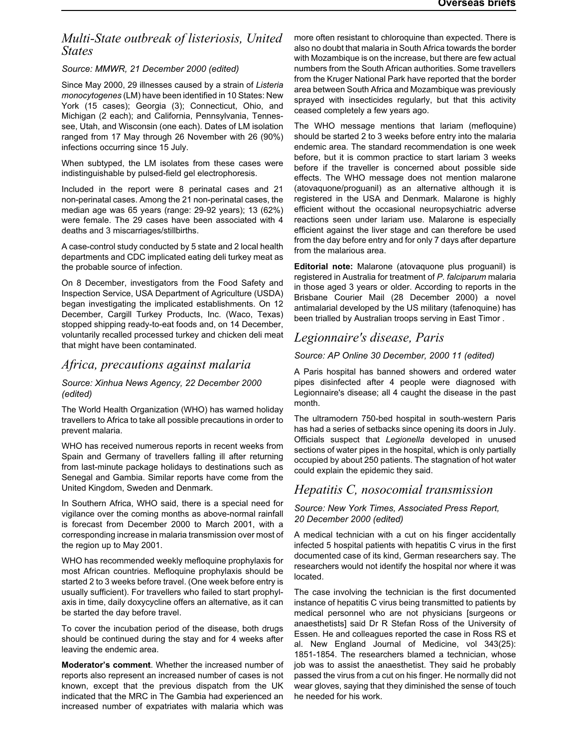# *Multi-State outbreak of listeriosis, United States*

*Source: MMWR, 21 December 2000 (edited)*

Since May 2000, 29 illnesses caused by a strain of *Listeria monocytogenes* (LM) have been identified in 10 States: New York (15 cases); Georgia (3); Connecticut, Ohio, and Michigan (2 each); and California, Pennsylvania, Tennessee, Utah, and Wisconsin (one each). Dates of LM isolation ranged from 17 May through 26 November with 26 (90%) infections occurring since 15 July.

When subtyped, the LM isolates from these cases were indistinguishable by pulsed-field gel electrophoresis.

Included in the report were 8 perinatal cases and 21 non-perinatal cases. Among the 21 non-perinatal cases, the median age was 65 years (range: 29-92 years); 13 (62%) were female. The 29 cases have been associated with 4 deaths and 3 miscarriages/stillbirths.

A case-control study conducted by 5 state and 2 local health departments and CDC implicated eating deli turkey meat as the probable source of infection.

On 8 December, investigators from the Food Safety and Inspection Service, USA Department of Agriculture (USDA) began investigating the implicated establishments. On 12 December, Cargill Turkey Products, Inc. (Waco, Texas) stopped shipping ready-to-eat foods and, on 14 December, voluntarily recalled processed turkey and chicken deli meat that might have been contaminated.

# *Africa, precautions against malaria*

#### *Source: Xinhua News Agency, 22 December 2000 (edited)*

The World Health Organization (WHO) has warned holiday travellers to Africa to take all possible precautions in order to prevent malaria.

WHO has received numerous reports in recent weeks from Spain and Germany of travellers falling ill after returning from last-minute package holidays to destinations such as Senegal and Gambia. Similar reports have come from the United Kingdom, Sweden and Denmark.

In Southern Africa, WHO said, there is a special need for vigilance over the coming months as above-normal rainfall is forecast from December 2000 to March 2001, with a corresponding increase in malaria transmission over most of the region up to May 2001.

WHO has recommended weekly mefloquine prophylaxis for most African countries. Mefloquine prophylaxis should be started 2 to 3 weeks before travel. (One week before entry is usually sufficient). For travellers who failed to start prophylaxis in time, daily doxycycline offers an alternative, as it can be started the day before travel.

To cover the incubation period of the disease, both drugs should be continued during the stay and for 4 weeks after leaving the endemic area.

**Moderator's comment**. Whether the increased number of reports also represent an increased number of cases is not known, except that the previous dispatch from the UK indicated that the MRC in The Gambia had experienced an increased number of expatriates with malaria which was

more often resistant to chloroquine than expected. There is also no doubt that malaria in South Africa towards the border with Mozambique is on the increase, but there are few actual numbers from the South African authorities. Some travellers from the Kruger National Park have reported that the border area between South Africa and Mozambique was previously sprayed with insecticides regularly, but that this activity ceased completely a few years ago.

The WHO message mentions that lariam (mefloquine) should be started 2 to 3 weeks before entry into the malaria endemic area. The standard recommendation is one week before, but it is common practice to start lariam 3 weeks before if the traveller is concerned about possible side effects. The WHO message does not mention malarone (atovaquone/proguanil) as an alternative although it is registered in the USA and Denmark. Malarone is highly efficient without the occasional neuropsychiatric adverse reactions seen under lariam use. Malarone is especially efficient against the liver stage and can therefore be used from the day before entry and for only 7 days after departure from the malarious area.

**Editorial note:** Malarone (atovaquone plus proguanil) is registered in Australia for treatment of *P. falciparum* malaria in those aged 3 years or older. According to reports in the Brisbane Courier Mail (28 December 2000) a novel antimalarial developed by the US military (tafenoquine) has been trialled by Australian troops serving in East Timor .

# *Legionnaire's disease, Paris*

*Source: AP Online 30 December, 2000 11 (edited)*

A Paris hospital has banned showers and ordered water pipes disinfected after 4 people were diagnosed with Legionnaire's disease; all 4 caught the disease in the past month.

The ultramodern 750-bed hospital in south-western Paris has had a series of setbacks since opening its doors in July. Officials suspect that *Legionella* developed in unused sections of water pipes in the hospital, which is only partially occupied by about 250 patients. The stagnation of hot water could explain the epidemic they said.

# *Hepatitis C, nosocomial transmission*

#### *Source: New York Times, Associated Press Report, 20 December 2000 (edited)*

A medical technician with a cut on his finger accidentally infected 5 hospital patients with hepatitis C virus in the first documented case of its kind, German researchers say. The researchers would not identify the hospital nor where it was located.

The case involving the technician is the first documented instance of hepatitis C virus being transmitted to patients by medical personnel who are not physicians [surgeons or anaesthetists] said Dr R Stefan Ross of the University of Essen. He and colleagues reported the case in Ross RS et al. New England Journal of Medicine, vol 343(25): 1851-1854. The researchers blamed a technician, whose job was to assist the anaesthetist. They said he probably passed the virus from a cut on his finger. He normally did not wear gloves, saying that they diminished the sense of touch he needed for his work.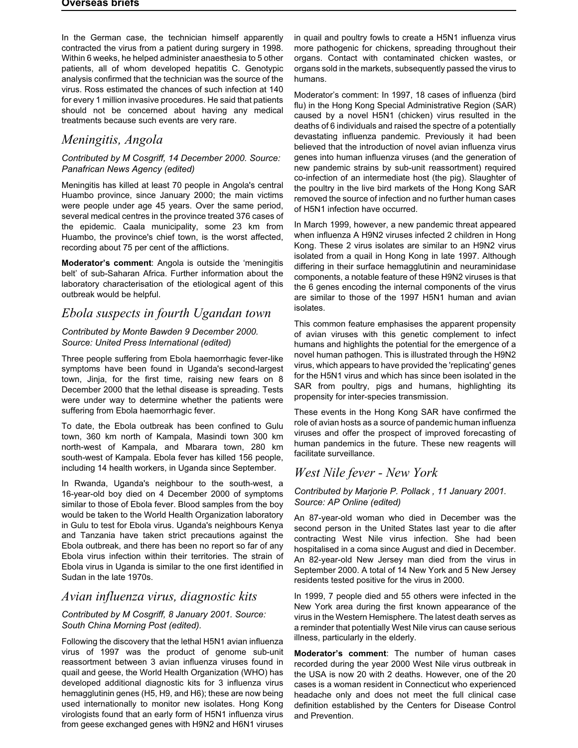In the German case, the technician himself apparently contracted the virus from a patient during surgery in 1998. Within 6 weeks, he helped administer anaesthesia to 5 other patients, all of whom developed hepatitis C. Genotypic analysis confirmed that the technician was the source of the virus. Ross estimated the chances of such infection at 140 for every 1 million invasive procedures. He said that patients should not be concerned about having any medical treatments because such events are very rare.

# *Meningitis, Angola*

### *Contributed by M Cosgriff, 14 December 2000. Source: Panafrican News Agency (edited)*

Meningitis has killed at least 70 people in Angola's central Huambo province, since January 2000; the main victims were people under age 45 years. Over the same period, several medical centres in the province treated 376 cases of the epidemic. Caala municipality, some 23 km from Huambo, the province's chief town, is the worst affected, recording about 75 per cent of the afflictions.

**Moderator's comment**: Angola is outside the 'meningitis belt' of sub-Saharan Africa. Further information about the laboratory characterisation of the etiological agent of this outbreak would be helpful.

# *Ebola suspects in fourth Ugandan town*

### *Contributed by Monte Bawden 9 December 2000. Source: United Press International (edited)*

Three people suffering from Ebola haemorrhagic fever-like symptoms have been found in Uganda's second-largest town, Jinja, for the first time, raising new fears on 8 December 2000 that the lethal disease is spreading. Tests were under way to determine whether the patients were suffering from Ebola haemorrhagic fever.

To date, the Ebola outbreak has been confined to Gulu town, 360 km north of Kampala, Masindi town 300 km north-west of Kampala, and Mbarara town, 280 km south-west of Kampala. Ebola fever has killed 156 people, including 14 health workers, in Uganda since September.

In Rwanda, Uganda's neighbour to the south-west, a 16-year-old boy died on 4 December 2000 of symptoms similar to those of Ebola fever. Blood samples from the boy would be taken to the World Health Organization laboratory in Gulu to test for Ebola virus. Uganda's neighbours Kenya and Tanzania have taken strict precautions against the Ebola outbreak, and there has been no report so far of any Ebola virus infection within their territories. The strain of Ebola virus in Uganda is similar to the one first identified in Sudan in the late 1970s.

# *Avian influenza virus, diagnostic kits*

### *Contributed by M Cosgriff, 8 January 2001. Source: South China Morning Post (edited).*

Following the discovery that the lethal H5N1 avian influenza virus of 1997 was the product of genome sub-unit reassortment between 3 avian influenza viruses found in quail and geese, the World Health Organization (WHO) has developed additional diagnostic kits for 3 influenza virus hemagglutinin genes (H5, H9, and H6); these are now being used internationally to monitor new isolates. Hong Kong virologists found that an early form of H5N1 influenza virus from geese exchanged genes with H9N2 and H6N1 viruses

in quail and poultry fowls to create a H5N1 influenza virus more pathogenic for chickens, spreading throughout their organs. Contact with contaminated chicken wastes, or organs sold in the markets, subsequently passed the virus to humans.

Moderator's comment: In 1997, 18 cases of influenza (bird flu) in the Hong Kong Special Administrative Region (SAR) caused by a novel H5N1 (chicken) virus resulted in the deaths of 6 individuals and raised the spectre of a potentially devastating influenza pandemic. Previously it had been believed that the introduction of novel avian influenza virus genes into human influenza viruses (and the generation of new pandemic strains by sub-unit reassortment) required co-infection of an intermediate host (the pig). Slaughter of the poultry in the live bird markets of the Hong Kong SAR removed the source of infection and no further human cases of H5N1 infection have occurred.

In March 1999, however, a new pandemic threat appeared when influenza A H9N2 viruses infected 2 children in Hong Kong. These 2 virus isolates are similar to an H9N2 virus isolated from a quail in Hong Kong in late 1997. Although differing in their surface hemagglutinin and neuraminidase components, a notable feature of these H9N2 viruses is that the 6 genes encoding the internal components of the virus are similar to those of the 1997 H5N1 human and avian isolates.

This common feature emphasises the apparent propensity of avian viruses with this genetic complement to infect humans and highlights the potential for the emergence of a novel human pathogen. This is illustrated through the H9N2 virus, which appears to have provided the 'replicating' genes for the H5N1 virus and which has since been isolated in the SAR from poultry, pigs and humans, highlighting its propensity for inter-species transmission.

These events in the Hong Kong SAR have confirmed the role of avian hosts as a source of pandemic human influenza viruses and offer the prospect of improved forecasting of human pandemics in the future. These new reagents will facilitate surveillance.

# *West Nile fever - New York*

### *Contributed by Marjorie P. Pollack , 11 January 2001. Source: AP Online (edited)*

An 87-year-old woman who died in December was the second person in the United States last year to die after contracting West Nile virus infection. She had been hospitalised in a coma since August and died in December. An 82-year-old New Jersey man died from the virus in September 2000. A total of 14 New York and 5 New Jersey residents tested positive for the virus in 2000.

In 1999, 7 people died and 55 others were infected in the New York area during the first known appearance of the virus in the Western Hemisphere. The latest death serves as a reminder that potentially West Nile virus can cause serious illness, particularly in the elderly.

**Moderator's comment**: The number of human cases recorded during the year 2000 West Nile virus outbreak in the USA is now 20 with 2 deaths. However, one of the 20 cases is a woman resident in Connecticut who experienced headache only and does not meet the full clinical case definition established by the Centers for Disease Control and Prevention.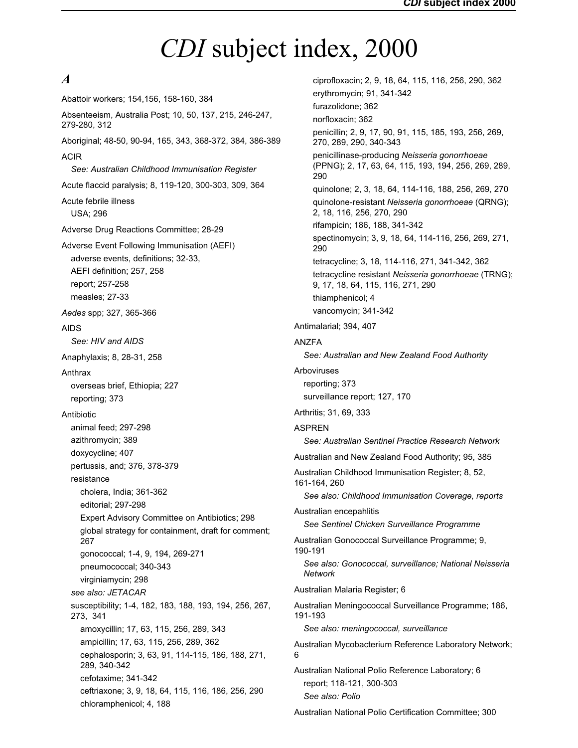# <span id="page-44-0"></span>*CDI* subject index, 2000

# *A*

Abattoir workers; 154,156, 158-160, 384 Absenteeism, Australia Post; 10, 50, 137, 215, 246-247, 279-280, 312 Aboriginal; 48-50, 90-94, 165, 343, 368-372, 384, 386-389 ACIR *See: Australian Childhood Immunisation Register* Acute flaccid paralysis; 8, 119-120, 300-303, 309, 364 Acute febrile illness USA; 296 Adverse Drug Reactions Committee; 28-29 Adverse Event Following Immunisation (AEFI) adverse events, definitions; 32-33, AEFI definition; 257, 258 report; 257-258 measles; 27-33 *Aedes* spp; 327, 365-366 AIDS *See: HIV and AIDS* Anaphylaxis; 8, 28-31, 258 Anthrax overseas brief, Ethiopia; 227 reporting; 373 Antibiotic animal feed; 297-298 azithromycin; 389 doxycycline; 407 pertussis, and; 376, 378-379 resistance cholera, India; 361-362 editorial; 297-298 Expert Advisory Committee on Antibiotics; 298 global strategy for containment, draft for comment; 267 gonococcal; 1-4, 9, 194, 269-271 pneumococcal; 340-343 virginiamycin; 298 *see also: JETACAR* susceptibility; 1-4, 182, 183, 188, 193, 194, 256, 267, 273, 341 amoxycillin; 17, 63, 115, 256, 289, 343 ampicillin; 17, 63, 115, 256, 289, 362 cephalosporin; 3, 63, 91, 114-115, 186, 188, 271, 289, 340-342 cefotaxime; 341-342 ceftriaxone; 3, 9, 18, 64, 115, 116, 186, 256, 290 chloramphenicol; 4, 188

ciprofloxacin; 2, 9, 18, 64, 115, 116, 256, 290, 362 erythromycin; 91, 341-342 furazolidone; 362 norfloxacin; 362 penicillin; 2, 9, 17, 90, 91, 115, 185, 193, 256, 269, 270, 289, 290, 340-343 penicillinase-producing *Neisseria gonorrhoeae* (PPNG); 2, 17, 63, 64, 115, 193, 194, 256, 269, 289, 290 quinolone; 2, 3, 18, 64, 114-116, 188, 256, 269, 270 quinolone-resistant *Neisseria gonorrhoeae* (QRNG); 2, 18, 116, 256, 270, 290 rifampicin; 186, 188, 341-342 spectinomycin; 3, 9, 18, 64, 114-116, 256, 269, 271, 290 tetracycline; 3, 18, 114-116, 271, 341-342, 362 tetracycline resistant *Neisseria gonorrhoeae* (TRNG); 9, 17, 18, 64, 115, 116, 271, 290 thiamphenicol; 4 vancomycin; 341-342 Antimalarial; 394, 407 ANZFA *See: Australian and New Zealand Food Authority* Arboviruses reporting; 373 surveillance report; 127, 170 Arthritis; 31, 69, 333 ASPREN *See: Australian Sentinel Practice Research Network* Australian and New Zealand Food Authority; 95, 385 Australian Childhood Immunisation Register; 8, 52, 161-164, 260 *See also: Childhood Immunisation Coverage, reports* Australian encepahlitis *See Sentinel Chicken Surveillance Programme* Australian Gonococcal Surveillance Programme; 9, 190-191 *See also: Gonococcal, surveillance; National Neisseria Network* Australian Malaria Register; 6 Australian Meningococcal Surveillance Programme; 186, 191-193 *See also: meningococcal, surveillance* Australian Mycobacterium Reference Laboratory Network; Australian National Polio Reference Laboratory; 6 report; 118-121, 300-303 *See also: Polio*

Australian National Polio Certification Committee; 300

6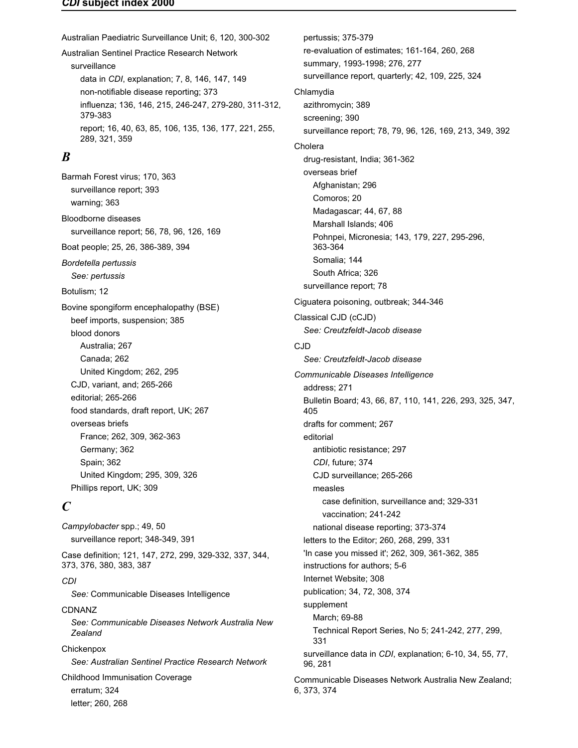#### *CDI* **subject index 2000**

Australian Paediatric Surveillance Unit; 6, 120, 300-302 Australian Sentinel Practice Research Network surveillance data in *CDI*, explanation; 7, 8, 146, 147, 149 non-notifiable disease reporting; 373 influenza; 136, 146, 215, 246-247, 279-280, 311-312, 379-383 report; 16, 40, 63, 85, 106, 135, 136, 177, 221, 255, 289, 321, 359

# *B*

Barmah Forest virus; 170, 363 surveillance report; 393 warning; 363 Bloodborne diseases surveillance report; 56, 78, 96, 126, 169 Boat people; 25, 26, 386-389, 394 *Bordetella pertussis See: pertussis* Botulism; 12 Bovine spongiform encephalopathy (BSE) beef imports, suspension; 385 blood donors Australia; 267 Canada; 262 United Kingdom; 262, 295 CJD, variant, and; 265-266 editorial; 265-266 food standards, draft report, UK; 267 overseas briefs France; 262, 309, 362-363 Germany; 362 Spain; 362 United Kingdom; 295, 309, 326 Phillips report, UK; 309

# *C*

*Campylobacter* spp.; 49, 50 surveillance report; 348-349, 391 Case definition; 121, 147, 272, 299, 329-332, 337, 344, 373, 376, 380, 383, 387 *CDI See:* Communicable Diseases Intelligence CDNANZ *See: Communicable Diseases Network Australia New Zealand* **Chickenpox** *See: Australian Sentinel Practice Research Network* Childhood Immunisation Coverage erratum; 324 letter; 260, 268

re-evaluation of estimates; 161-164, 260, 268 summary, 1993-1998; 276, 277 surveillance report, quarterly; 42, 109, 225, 324 Chlamydia azithromycin; 389 screening; 390 surveillance report; 78, 79, 96, 126, 169, 213, 349, 392 Cholera drug-resistant, India; 361-362 overseas brief Afghanistan; 296 Comoros; 20 Madagascar; 44, 67, 88 Marshall Islands; 406 Pohnpei, Micronesia; 143, 179, 227, 295-296, 363-364 Somalia; 144 South Africa; 326 surveillance report; 78 Ciguatera poisoning, outbreak; 344-346 Classical CJD (cCJD) *See: Creutzfeldt-Jacob disease* CJD *See: Creutzfeldt-Jacob disease Communicable Diseases Intelligence* address; 271 Bulletin Board; 43, 66, 87, 110, 141, 226, 293, 325, 347, 405 drafts for comment; 267 editorial antibiotic resistance; 297 *CDI*, future; 374 CJD surveillance; 265-266 measles case definition, surveillance and; 329-331 vaccination; 241-242 national disease reporting; 373-374 letters to the Editor; 260, 268, 299, 331 'In case you missed it'; 262, 309, 361-362, 385 instructions for authors; 5-6 Internet Website; 308 publication; 34, 72, 308, 374 supplement March; 69-88 Technical Report Series, No 5; 241-242, 277, 299, 331 surveillance data in *CDI*, explanation; 6-10, 34, 55, 77, 96, 281 Communicable Diseases Network Australia New Zealand; 6, 373, 374

pertussis; 375-379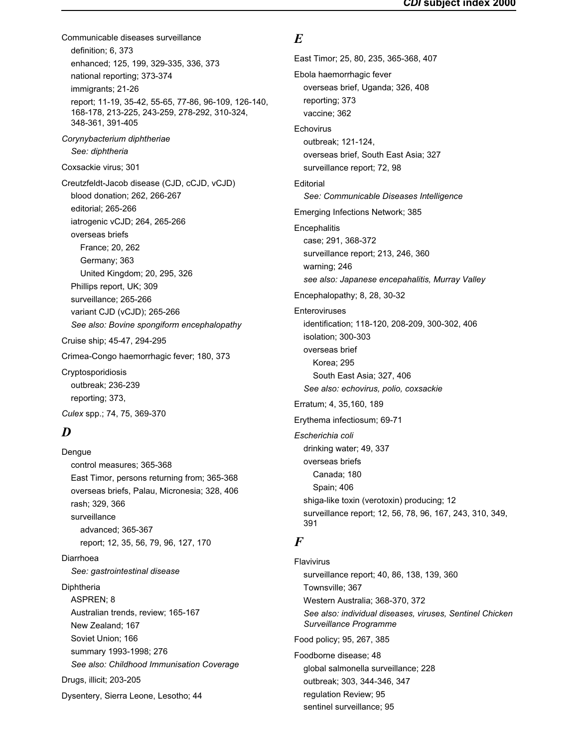Communicable diseases surveillance definition; 6, 373 enhanced; 125, 199, 329-335, 336, 373 national reporting; 373-374 immigrants; 21-26 report; 11-19, 35-42, 55-65, 77-86, 96-109, 126-140, 168-178, 213-225, 243-259, 278-292, 310-324, 348-361, 391-405 *Corynybacterium diphtheriae See: diphtheria* Coxsackie virus; 301 Creutzfeldt-Jacob disease (CJD, cCJD, vCJD) blood donation; 262, 266-267 editorial; 265-266 iatrogenic vCJD; 264, 265-266 overseas briefs France; 20, 262 Germany; 363 United Kingdom; 20, 295, 326 Phillips report, UK; 309 surveillance; 265-266 variant CJD (vCJD); 265-266 *See also: Bovine spongiform encephalopathy* Cruise ship; 45-47, 294-295 Crimea-Congo haemorrhagic fever; 180, 373 Cryptosporidiosis outbreak; 236-239 reporting; 373, *Culex* spp.; 74, 75, 369-370

# *D*

Dengue control measures; 365-368 East Timor, persons returning from; 365-368 overseas briefs, Palau, Micronesia; 328, 406 rash; 329, 366 surveillance advanced; 365-367 report; 12, 35, 56, 79, 96, 127, 170 Diarrhoea *See: gastrointestinal disease* Diphtheria ASPREN; 8 Australian trends, review; 165-167 New Zealand; 167 Soviet Union; 166 summary 1993-1998; 276 *See also: Childhood Immunisation Coverage* Drugs, illicit; 203-205 Dysentery, Sierra Leone, Lesotho; 44

# *E*

East Timor; 25, 80, 235, 365-368, 407 Ebola haemorrhagic fever overseas brief, Uganda; 326, 408 reporting; 373 vaccine; 362 **Echovirus** outbreak; 121-124, overseas brief, South East Asia; 327 surveillance report; 72, 98 **Editorial** *See: Communicable Diseases Intelligence* Emerging Infections Network; 385 **Encephalitis** case; 291, 368-372 surveillance report; 213, 246, 360 warning; 246 *see also: Japanese encepahalitis, Murray Valley* Encephalopathy; 8, 28, 30-32 Enteroviruses identification; 118-120, 208-209, 300-302, 406 isolation; 300-303 overseas brief Korea; 295 South East Asia; 327, 406 *See also: echovirus, polio, coxsackie* Erratum; 4, 35,160, 189 Erythema infectiosum; 69-71 *Escherichia coli* drinking water; 49, 337 overseas briefs Canada; 180 Spain; 406 shiga-like toxin (verotoxin) producing; 12 surveillance report; 12, 56, 78, 96, 167, 243, 310, 349, 391 *F* Flavivirus

surveillance report; 40, 86, 138, 139, 360 Townsville; 367 Western Australia; 368-370, 372 *See also: individual diseases, viruses, Sentinel Chicken Surveillance Programme* Food policy; 95, 267, 385 Foodborne disease; 48 global salmonella surveillance; 228 outbreak; 303, 344-346, 347 regulation Review; 95 sentinel surveillance; 95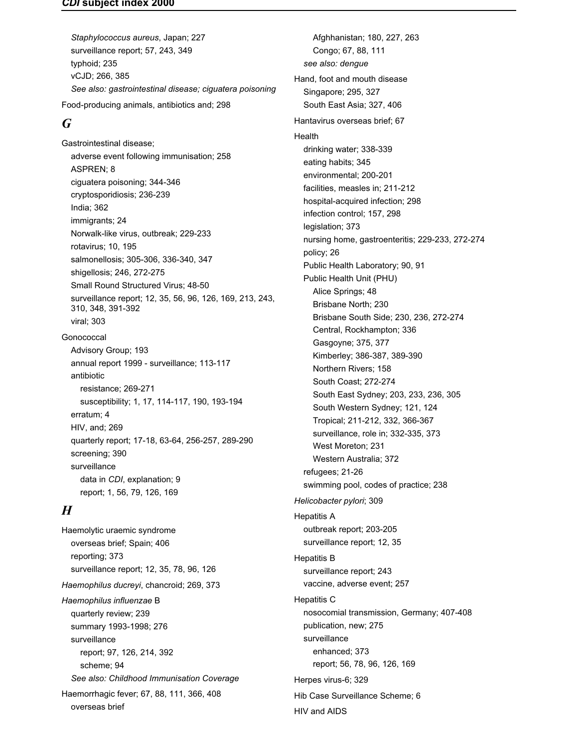#### *CDI* **subject index 2000**

*Staphylococcus aureus*, Japan; 227 surveillance report; 57, 243, 349 typhoid; 235 vCJD; 266, 385 *See also: gastrointestinal disease; ciguatera poisoning* Food-producing animals, antibiotics and; 298

# *G*

Gastrointestinal disease; adverse event following immunisation; 258 ASPREN; 8 ciguatera poisoning; 344-346 cryptosporidiosis; 236-239 India; 362 immigrants; 24 Norwalk-like virus, outbreak; 229-233 rotavirus; 10, 195 salmonellosis; 305-306, 336-340, 347 shigellosis; 246, 272-275 Small Round Structured Virus; 48-50 surveillance report; 12, 35, 56, 96, 126, 169, 213, 243, 310, 348, 391-392 viral; 303 Gonococcal Advisory Group; 193 annual report 1999 - surveillance; 113-117 antibiotic resistance; 269-271 susceptibility; 1, 17, 114-117, 190, 193-194 erratum; 4 HIV, and; 269 quarterly report; 17-18, 63-64, 256-257, 289-290 screening; 390 surveillance

data in *CDI*, explanation; 9 report; 1, 56, 79, 126, 169

# *H*

Haemolytic uraemic syndrome overseas brief; Spain; 406 reporting; 373 surveillance report; 12, 35, 78, 96, 126 *Haemophilus ducreyi*, chancroid; 269, 373 *Haemophilus influenzae* B quarterly review; 239 summary 1993-1998; 276 surveillance report; 97, 126, 214, 392 scheme; 94 *See also: Childhood Immunisation Coverage* Haemorrhagic fever; 67, 88, 111, 366, 408 overseas brief

Afghhanistan; 180, 227, 263 Congo; 67, 88, 111 *see also: dengue* Hand, foot and mouth disease Singapore; 295, 327 South East Asia; 327, 406 Hantavirus overseas brief; 67 Health drinking water; 338-339 eating habits; 345 environmental; 200-201 facilities, measles in; 211-212 hospital-acquired infection; 298 infection control; 157, 298 legislation; 373 nursing home, gastroenteritis; 229-233, 272-274 policy; 26 Public Health Laboratory; 90, 91 Public Health Unit (PHU) Alice Springs; 48 Brisbane North; 230 Brisbane South Side; 230, 236, 272-274 Central, Rockhampton; 336 Gasgoyne; 375, 377 Kimberley; 386-387, 389-390 Northern Rivers; 158 South Coast; 272-274 South East Sydney; 203, 233, 236, 305 South Western Sydney; 121, 124 Tropical; 211-212, 332, 366-367 surveillance, role in; 332-335, 373 West Moreton; 231 Western Australia; 372 refugees; 21-26 swimming pool, codes of practice; 238 *Helicobacter pylori*; 309 Hepatitis A outbreak report; 203-205 surveillance report; 12, 35 Hepatitis B surveillance report; 243 vaccine, adverse event; 257 Hepatitis C nosocomial transmission, Germany; 407-408 publication, new; 275 surveillance enhanced; 373 report; 56, 78, 96, 126, 169 Herpes virus-6; 329 Hib Case Surveillance Scheme; 6 HIV and AIDS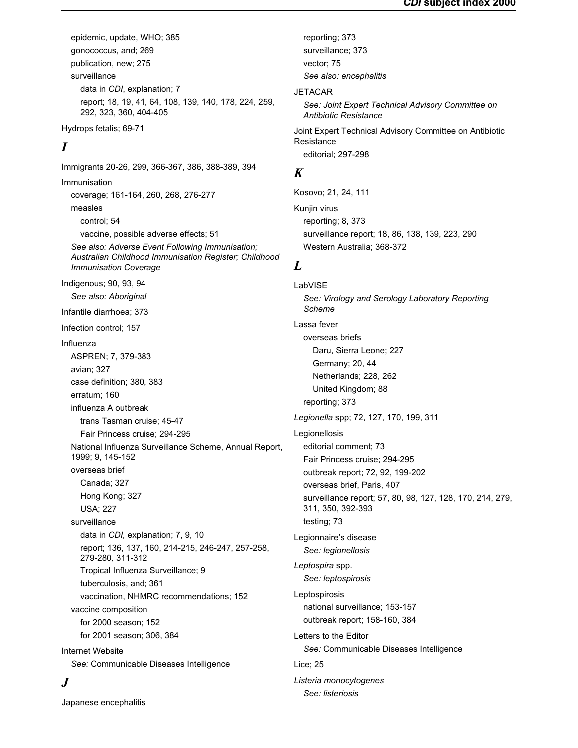epidemic, update, WHO; 385 gonococcus, and; 269 publication, new; 275 surveillance data in *CDI*, explanation; 7 report; 18, 19, 41, 64, 108, 139, 140, 178, 224, 259, 292, 323, 360, 404-405

Hydrops fetalis; 69-71

# *I*

Immigrants 20-26, 299, 366-367, 386, 388-389, 394 Immunisation coverage; 161-164, 260, 268, 276-277 measles control; 54 vaccine, possible adverse effects; 51 *See also: Adverse Event Following Immunisation; Australian Childhood Immunisation Register; Childhood Immunisation Coverage* Indigenous; 90, 93, 94 *See also: Aboriginal* Infantile diarrhoea; 373 Infection control; 157 Influenza ASPREN; 7, 379-383 avian; 327 case definition; 380, 383 erratum; 160 influenza A outbreak trans Tasman cruise; 45-47 Fair Princess cruise; 294-295 National Influenza Surveillance Scheme, Annual Report, 1999; 9, 145-152 overseas brief Canada; 327 Hong Kong; 327 USA; 227 surveillance data in *CDI,* explanation; 7, 9, 10 report; 136, 137, 160, 214-215, 246-247, 257-258, 279-280, 311-312 Tropical Influenza Surveillance; 9 tuberculosis, and; 361 vaccination, NHMRC recommendations; 152 vaccine composition for 2000 season; 152 for 2001 season; 306, 384 Internet Website *See:* Communicable Diseases Intelligence

# *J*

Japanese encephalitis

reporting; 373 surveillance; 373 vector; 75 *See also: encephalitis* **JETACAR** *See: Joint Expert Technical Advisory Committee on Antibiotic Resistance* Joint Expert Technical Advisory Committee on Antibiotic **Resistance** editorial; 297-298

# *K*

Kosovo; 21, 24, 111 Kunjin virus reporting; 8, 373 surveillance report; 18, 86, 138, 139, 223, 290 Western Australia; 368-372

# *L*

LabVISE *See: Virology and Serology Laboratory Reporting Scheme* Lassa fever overseas briefs Daru, Sierra Leone; 227 Germany; 20, 44 Netherlands; 228, 262 United Kingdom; 88 reporting; 373 *Legionella* spp; 72, 127, 170, 199, 311 Legionellosis editorial comment; 73 Fair Princess cruise; 294-295 outbreak report; 72, 92, 199-202 overseas brief, Paris, 407 surveillance report; 57, 80, 98, 127, 128, 170, 214, 279, 311, 350, 392-393 testing; 73 Legionnaire's disease *See: legionellosis Leptospira* spp. *See: leptospirosis* Leptospirosis national surveillance; 153-157 outbreak report; 158-160, 384 Letters to the Editor *See:* Communicable Diseases Intelligence Lice; 25 *Listeria monocytogenes See: listeriosis*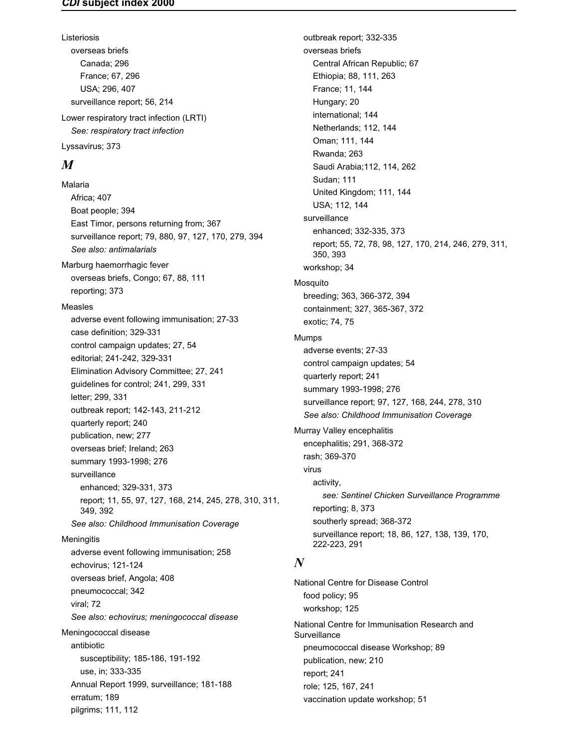Listeriosis overseas briefs Canada; 296 France; 67, 296 USA; 296, 407 surveillance report; 56, 214 Lower respiratory tract infection (LRTI) *See: respiratory tract infection*

Lyssavirus; 373

# *M*

Malaria Africa; 407 Boat people; 394 East Timor, persons returning from; 367 surveillance report; 79, 880, 97, 127, 170, 279, 394 *See also: antimalarials* Marburg haemorrhagic fever overseas briefs, Congo; 67, 88, 111 reporting; 373 Measles adverse event following immunisation; 27-33 case definition; 329-331 control campaign updates; 27, 54 editorial; 241-242, 329-331 Elimination Advisory Committee; 27, 241 guidelines for control; 241, 299, 331 letter; 299, 331 outbreak report; 142-143, 211-212 quarterly report; 240 publication, new; 277 overseas brief; Ireland; 263 summary 1993-1998; 276 surveillance enhanced; 329-331, 373 report; 11, 55, 97, 127, 168, 214, 245, 278, 310, 311, 349, 392 *See also: Childhood Immunisation Coverage* **Meningitis** adverse event following immunisation; 258 echovirus; 121-124 overseas brief, Angola; 408 pneumococcal; 342 viral; 72 *See also: echovirus; meningococcal disease* Meningococcal disease antibiotic susceptibility; 185-186, 191-192 use, in; 333-335 Annual Report 1999, surveillance; 181-188 erratum; 189

pilgrims; 111, 112

outbreak report; 332-335 overseas briefs Central African Republic; 67 Ethiopia; 88, 111, 263 France; 11, 144 Hungary; 20 international; 144 Netherlands; 112, 144 Oman; 111, 144 Rwanda; 263 Saudi Arabia;112, 114, 262 Sudan; 111 United Kingdom; 111, 144 USA; 112, 144 surveillance enhanced; 332-335, 373 report; 55, 72, 78, 98, 127, 170, 214, 246, 279, 311, 350, 393 workshop; 34 Mosquito breeding; 363, 366-372, 394 containment; 327, 365-367, 372 exotic; 74, 75 Mumps adverse events; 27-33 control campaign updates; 54 quarterly report; 241 summary 1993-1998; 276 surveillance report; 97, 127, 168, 244, 278, 310 *See also: Childhood Immunisation Coverage* Murray Valley encephalitis encephalitis; 291, 368-372 rash; 369-370 virus activity, *see: Sentinel Chicken Surveillance Programme* reporting; 8, 373 southerly spread; 368-372 surveillance report; 18, 86, 127, 138, 139, 170, 222-223, 291

# *N*

National Centre for Disease Control food policy; 95 workshop; 125 National Centre for Immunisation Research and **Surveillance** pneumococcal disease Workshop; 89 publication, new; 210 report; 241 role; 125, 167, 241 vaccination update workshop; 51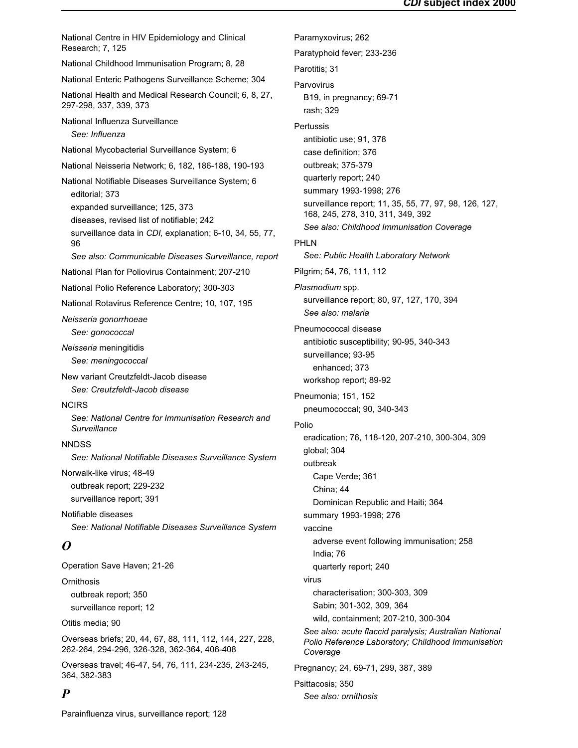National Centre in HIV Epidemiology and Clinical Research; 7, 125 National Childhood Immunisation Program; 8, 28 National Enteric Pathogens Surveillance Scheme; 304 National Health and Medical Research Council; 6, 8, 27, 297-298, 337, 339, 373 National Influenza Surveillance *See: Influenza* National Mycobacterial Surveillance System; 6 National Neisseria Network; 6, 182, 186-188, 190-193 National Notifiable Diseases Surveillance System; 6 editorial; 373 expanded surveillance; 125, 373 diseases, revised list of notifiable; 242 surveillance data in *CDI,* explanation; 6-10, 34, 55, 77, 96 *See also: Communicable Diseases Surveillance, report* National Plan for Poliovirus Containment; 207-210 National Polio Reference Laboratory; 300-303 National Rotavirus Reference Centre; 10, 107, 195 *Neisseria gonorrhoeae See: gonococcal Neisseria* meningitidis *See: meningococcal* New variant Creutzfeldt-Jacob disease *See: Creutzfeldt-Jacob disease* **NCIRS** *See: National Centre for Immunisation Research and Surveillance* **NNDSS** *See: National Notifiable Diseases Surveillance System* Norwalk-like virus; 48-49 outbreak report; 229-232 surveillance report; 391 Notifiable diseases *See: National Notifiable Diseases Surveillance System O* Operation Save Haven; 21-26 **Ornithosis** outbreak report; 350 surveillance report; 12 Otitis media; 90 Overseas briefs; 20, 44, 67, 88, 111, 112, 144, 227, 228, 262-264, 294-296, 326-328, 362-364, 406-408 Overseas travel; 46-47, 54, 76, 111, 234-235, 243-245, 364, 382-383 Paramyxovirus; 262 Paratyphoid fever; 233-236 Parotitis; 31 **Parvovirus** B19, in pregnancy; 69-71 rash; 329 **Pertussis** antibiotic use; 91, 378 case definition; 376 outbreak; 375-379 quarterly report; 240 summary 1993-1998; 276 surveillance report; 11, 35, 55, 77, 97, 98, 126, 127, 168, 245, 278, 310, 311, 349, 392 *See also: Childhood Immunisation Coverage* PHLN *See: Public Health Laboratory Network* Pilgrim; 54, 76, 111, 112 *Plasmodium* spp. surveillance report; 80, 97, 127, 170, 394 *See also: malaria* Pneumococcal disease antibiotic susceptibility; 90-95, 340-343 surveillance; 93-95 enhanced; 373 workshop report; 89-92 Pneumonia; 151, 152 pneumococcal; 90, 340-343 Polio eradication; 76, 118-120, 207-210, 300-304, 309 global; 304 outbreak Cape Verde; 361 China; 44 Dominican Republic and Haiti; 364 summary 1993-1998; 276 vaccine adverse event following immunisation; 258 India; 76 quarterly report; 240 virus characterisation; 300-303, 309 Sabin; 301-302, 309, 364 wild, containment; 207-210, 300-304 *See also: acute flaccid paralysis; Australian National Polio Reference Laboratory; Childhood Immunisation Coverage* Pregnancy; 24, 69-71, 299, 387, 389 Psittacosis; 350

### *P*

Parainfluenza virus, surveillance report; 128

*See also: ornithosis*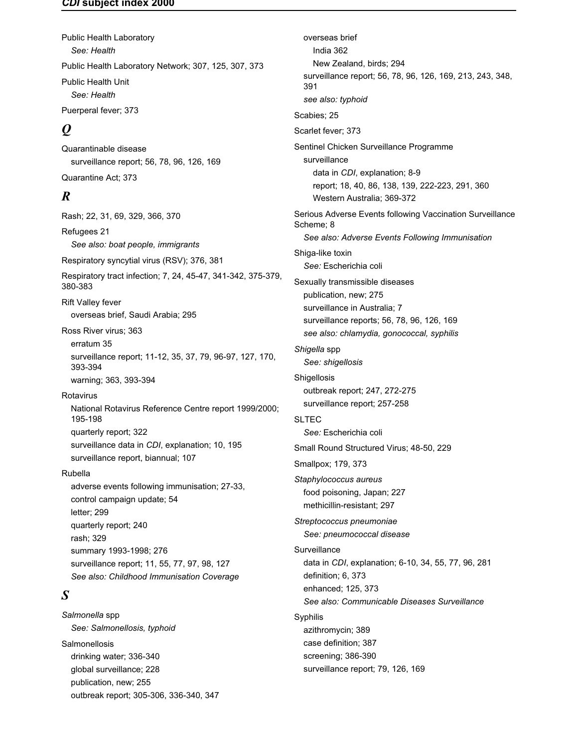#### *CDI* **subject index 2000**

Public Health Laboratory *See: Health* Public Health Laboratory Network; 307, 125, 307, 373 Public Health Unit *See: Health* Puerperal fever; 373

# *Q*

Quarantinable disease surveillance report; 56, 78, 96, 126, 169 Quarantine Act; 373

# *R*

Rash; 22, 31, 69, 329, 366, 370 Refugees 21 *See also: boat people, immigrants* Respiratory syncytial virus (RSV); 376, 381 Respiratory tract infection; 7, 24, 45-47, 341-342, 375-379, 380-383 Rift Valley fever overseas brief, Saudi Arabia; 295 Ross River virus; 363 erratum 35 surveillance report; 11-12, 35, 37, 79, 96-97, 127, 170, 393-394 warning; 363, 393-394 Rotavirus National Rotavirus Reference Centre report 1999/2000; 195-198 quarterly report; 322 surveillance data in *CDI*, explanation; 10, 195 surveillance report, biannual; 107 Rubella adverse events following immunisation; 27-33, control campaign update; 54 letter; 299 quarterly report; 240 rash; 329 summary 1993-1998; 276 surveillance report; 11, 55, 77, 97, 98, 127 *See also: Childhood Immunisation Coverage*

# *S*

*Salmonella* spp *See: Salmonellosis, typhoid* **Salmonellosis** drinking water; 336-340 global surveillance; 228 publication, new; 255 outbreak report; 305-306, 336-340, 347

overseas brief India 362 New Zealand, birds; 294 surveillance report; 56, 78, 96, 126, 169, 213, 243, 348, 391 *see also: typhoid* Scabies; 25 Scarlet fever; 373 Sentinel Chicken Surveillance Programme surveillance data in *CDI*, explanation; 8-9 report; 18, 40, 86, 138, 139, 222-223, 291, 360 Western Australia; 369-372 Serious Adverse Events following Vaccination Surveillance Scheme; 8 *See also: Adverse Events Following Immunisation* Shiga-like toxin *See:* Escherichia coli Sexually transmissible diseases publication, new; 275 surveillance in Australia; 7 surveillance reports; 56, 78, 96, 126, 169 *see also: chlamydia, gonococcal, syphilis Shigella* spp *See: shigellosis* **Shigellosis** outbreak report; 247, 272-275 surveillance report; 257-258 SLTEC *See:* Escherichia coli Small Round Structured Virus; 48-50, 229 Smallpox; 179, 373 *Staphylococcus aureus* food poisoning, Japan; 227 methicillin-resistant; 297 *Streptococcus pneumoniae See: pneumococcal disease* **Surveillance** data in *CDI*, explanation; 6-10, 34, 55, 77, 96, 281 definition; 6, 373 enhanced; 125, 373 *See also: Communicable Diseases Surveillance* Syphilis azithromycin; 389 case definition; 387 screening; 386-390 surveillance report; 79, 126, 169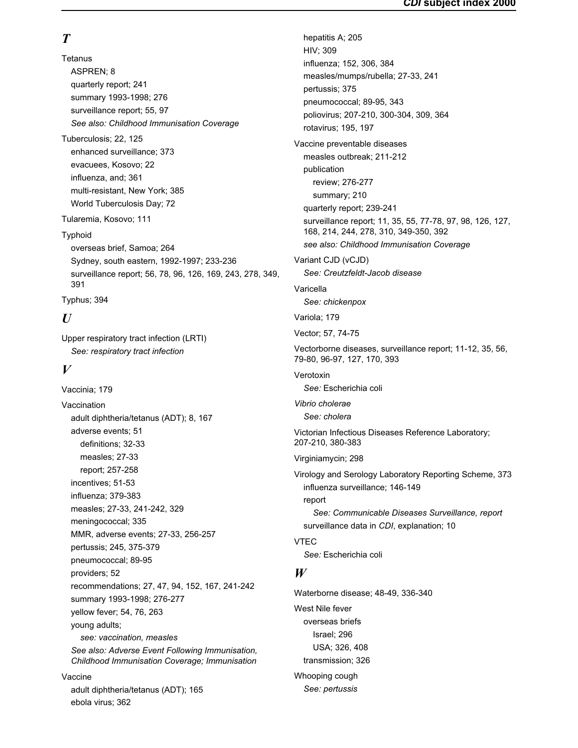# *T*

**Tetanus** ASPREN; 8 quarterly report; 241 summary 1993-1998; 276 surveillance report; 55, 97 *See also: Childhood Immunisation Coverage* Tuberculosis; 22, 125 enhanced surveillance; 373

evacuees, Kosovo; 22 influenza, and; 361 multi-resistant, New York; 385 World Tuberculosis Day; 72

Tularemia, Kosovo; 111

Typhoid

overseas brief, Samoa; 264 Sydney, south eastern, 1992-1997; 233-236 surveillance report; 56, 78, 96, 126, 169, 243, 278, 349, 391

Typhus; 394

# *U*

Upper respiratory tract infection (LRTI) *See: respiratory tract infection*

# $V$

Vaccinia; 179 Vaccination adult diphtheria/tetanus (ADT); 8, 167 adverse events; 51 definitions; 32-33 measles; 27-33 report; 257-258 incentives; 51-53 influenza; 379-383 measles; 27-33, 241-242, 329 meningococcal; 335 MMR, adverse events; 27-33, 256-257 pertussis; 245, 375-379 pneumococcal; 89-95 providers; 52 recommendations; 27, 47, 94, 152, 167, 241-242 summary 1993-1998; 276-277 yellow fever; 54, 76, 263 young adults; *see: vaccination, measles See also: Adverse Event Following Immunisation, Childhood Immunisation Coverage; Immunisation* Vaccine

adult diphtheria/tetanus (ADT); 165 ebola virus; 362

hepatitis A; 205 HIV; 309 influenza; 152, 306, 384 measles/mumps/rubella; 27-33, 241 pertussis; 375 pneumococcal; 89-95, 343 poliovirus; 207-210, 300-304, 309, 364 rotavirus; 195, 197 Vaccine preventable diseases measles outbreak; 211-212 publication review; 276-277 summary; 210 quarterly report; 239-241 surveillance report; 11, 35, 55, 77-78, 97, 98, 126, 127, 168, 214, 244, 278, 310, 349-350, 392 *see also: Childhood Immunisation Coverage* Variant CJD (vCJD) *See: Creutzfeldt-Jacob disease* Varicella *See: chickenpox* Variola; 179 Vector; 57, 74-75 Vectorborne diseases, surveillance report; 11-12, 35, 56, 79-80, 96-97, 127, 170, 393 Verotoxin *See:* Escherichia coli *Vibrio cholerae See: cholera* Victorian Infectious Diseases Reference Laboratory; 207-210, 380-383 Virginiamycin; 298 Virology and Serology Laboratory Reporting Scheme, 373 influenza surveillance; 146-149 report *See: Communicable Diseases Surveillance, report* surveillance data in *CDI*, explanation; 10 VTEC *See:* Escherichia coli *W* Waterborne disease; 48-49, 336-340 West Nile fever

overseas briefs Israel; 296 USA; 326, 408 transmission; 326

Whooping cough *See: pertussis*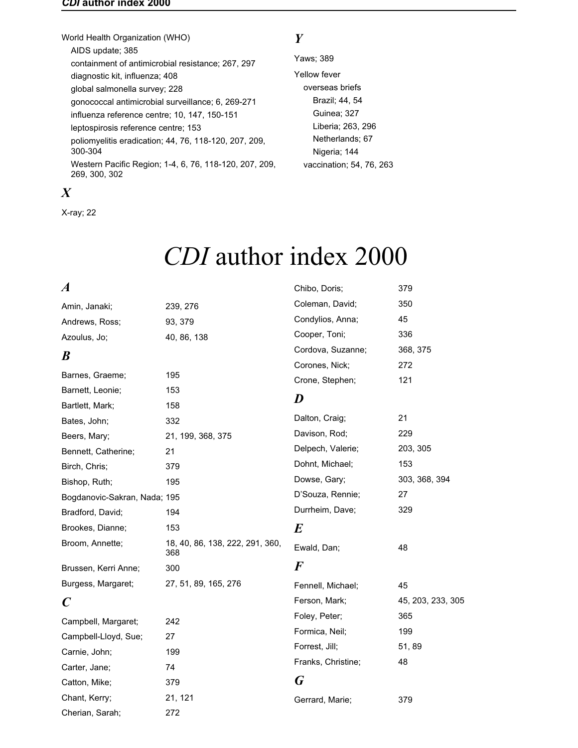#### <span id="page-53-0"></span>*CDI* **author index 2000**

World Health Organization (WHO) AIDS update; 385 containment of antimicrobial resistance; 267, 297 diagnostic kit, influenza; 408 global salmonella survey; 228 gonococcal antimicrobial surveillance; 6, 269-271 influenza reference centre; 10, 147, 150-151 leptospirosis reference centre; 153 poliomyelitis eradication; 44, 76, 118-120, 207, 209, 300-304 Western Pacific Region; 1-4, 6, 76, 118-120, 207, 209, 269, 300, 302

# *X*

X-ray; 22

# *Y*

Yaws; 389 Yellow fever overseas briefs Brazil; 44, 54 Guinea; 327 Liberia; 263, 296 Netherlands; 67 Nigeria; 144 vaccination; 54, 76, 263

# *CDI* author index 2000

| $\boldsymbol{A}$             |                                        | Chibo, Doris;      | 379               |
|------------------------------|----------------------------------------|--------------------|-------------------|
| Amin, Janaki;                | 239, 276                               | Coleman, David;    | 350               |
| Andrews, Ross;               | 93, 379                                | Condylios, Anna;   | 45                |
| Azoulus, Jo;                 | 40, 86, 138                            | Cooper, Toni;      | 336               |
| B                            |                                        | Cordova, Suzanne;  | 368, 375          |
|                              |                                        | Corones, Nick;     | 272               |
| Barnes, Graeme;              | 195                                    | Crone, Stephen;    | 121               |
| Barnett, Leonie;             | 153                                    | D                  |                   |
| Bartlett, Mark;              | 158                                    |                    |                   |
| Bates, John;                 | 332                                    | Dalton, Craig;     | 21                |
| Beers, Mary;                 | 21, 199, 368, 375                      | Davison, Rod;      | 229               |
| Bennett, Catherine;          | 21                                     | Delpech, Valerie;  | 203, 305          |
| Birch, Chris;                | 379                                    | Dohnt, Michael;    | 153               |
| Bishop, Ruth;                | 195                                    | Dowse, Gary;       | 303, 368, 394     |
| Bogdanovic-Sakran, Nada; 195 |                                        | D'Souza, Rennie;   | 27                |
| Bradford, David;             | 194                                    | Durrheim, Dave;    | 329               |
| Brookes, Dianne;             | 153                                    | $\bm{E}$           |                   |
| Broom, Annette;              | 18, 40, 86, 138, 222, 291, 360,<br>368 | Ewald, Dan;        | 48                |
| Brussen, Kerri Anne;         | 300                                    | $\bm{F}$           |                   |
| Burgess, Margaret;           | 27, 51, 89, 165, 276                   | Fennell, Michael;  | 45                |
| $\boldsymbol{C}$             |                                        | Ferson, Mark;      | 45, 203, 233, 305 |
| Campbell, Margaret;          | 242                                    | Foley, Peter;      | 365               |
| Campbell-Lloyd, Sue;         | 27                                     | Formica, Neil;     | 199               |
| Carnie, John;                | 199                                    | Forrest, Jill;     | 51,89             |
| Carter, Jane;                | 74                                     | Franks, Christine; | 48                |
| Catton, Mike;                | 379                                    | G                  |                   |
| Chant, Kerry;                | 21, 121                                | Gerrard, Marie;    | 379               |
| Cherian, Sarah;              | 272                                    |                    |                   |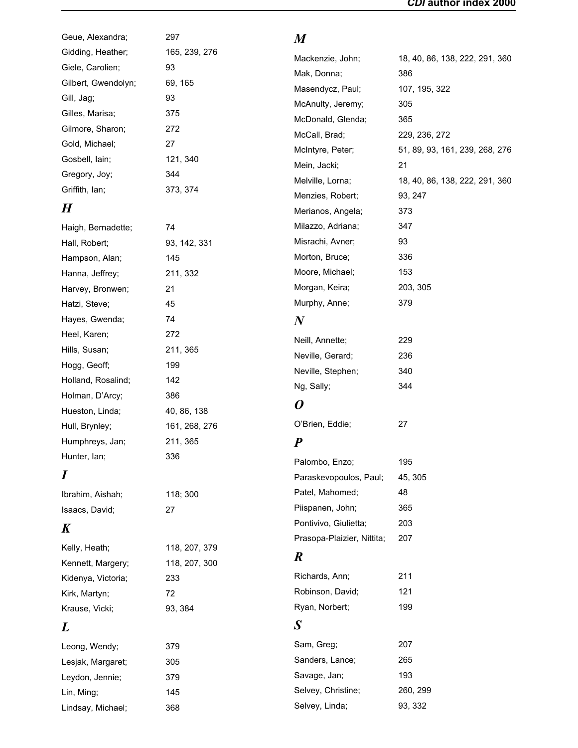| Geue, Alexandra;    | 297           | $\boldsymbol{M}$           |                                |
|---------------------|---------------|----------------------------|--------------------------------|
| Gidding, Heather;   | 165, 239, 276 | Mackenzie, John;           | 18, 40, 86, 138, 222, 291, 360 |
| Giele, Carolien;    | 93            | Mak, Donna;                | 386                            |
| Gilbert, Gwendolyn; | 69, 165       | Masendycz, Paul;           | 107, 195, 322                  |
| Gill, Jag;          | 93            | McAnulty, Jeremy;          | 305                            |
| Gilles, Marisa;     | 375           | McDonald, Glenda;          | 365                            |
| Gilmore, Sharon;    | 272           | McCall, Brad;              | 229, 236, 272                  |
| Gold, Michael;      | 27            | McIntyre, Peter;           | 51, 89, 93, 161, 239, 268, 276 |
| Gosbell, lain;      | 121, 340      | Mein, Jacki;               | 21                             |
| Gregory, Joy;       | 344           | Melville, Lorna;           | 18, 40, 86, 138, 222, 291, 360 |
| Griffith, Ian;      | 373, 374      | Menzies, Robert;           | 93, 247                        |
| $\boldsymbol{H}$    |               | Merianos, Angela;          | 373                            |
| Haigh, Bernadette;  | 74            | Milazzo, Adriana;          | 347                            |
| Hall, Robert;       | 93, 142, 331  | Misrachi, Avner;           | 93                             |
| Hampson, Alan;      | 145           | Morton, Bruce;             | 336                            |
| Hanna, Jeffrey;     | 211, 332      | Moore, Michael;            | 153                            |
| Harvey, Bronwen;    | 21            | Morgan, Keira;             | 203, 305                       |
| Hatzi, Steve;       | 45            | Murphy, Anne;              | 379                            |
| Hayes, Gwenda;      | 74            | $\bm{N}$                   |                                |
| Heel, Karen;        | 272           |                            |                                |
| Hills, Susan;       | 211, 365      | Neill, Annette;            | 229                            |
| Hogg, Geoff;        | 199           | Neville, Gerard;           | 236                            |
| Holland, Rosalind;  | 142           | Neville, Stephen;          | 340                            |
| Holman, D'Arcy;     | 386           | Ng, Sally;                 | 344                            |
| Hueston, Linda;     | 40, 86, 138   | 0                          |                                |
| Hull, Brynley;      | 161, 268, 276 | O'Brien, Eddie;            | 27                             |
| Humphreys, Jan;     | 211, 365      | $\boldsymbol{P}$           |                                |
| Hunter, lan;        | 336           | Palombo, Enzo;             | 195                            |
| $\boldsymbol{I}$    |               | Paraskevopoulos, Paul;     | 45, 305                        |
|                     |               | Patel, Mahomed;            | 48                             |
| Ibrahim, Aishah;    | 118; 300      | Piispanen, John;           | 365                            |
| Isaacs, David;      | 27            | Pontivivo, Giulietta;      | 203                            |
| $\boldsymbol{K}$    |               | Prasopa-Plaizier, Nittita; | 207                            |
| Kelly, Heath;       | 118, 207, 379 |                            |                                |
| Kennett, Margery;   | 118, 207, 300 | $\boldsymbol{R}$           |                                |
| Kidenya, Victoria;  | 233           | Richards, Ann;             | 211                            |
| Kirk, Martyn;       | 72            | Robinson, David;           | 121                            |
| Krause, Vicki;      | 93, 384       | Ryan, Norbert;             | 199                            |
| L                   |               | $\boldsymbol{S}$           |                                |
| Leong, Wendy;       | 379           | Sam, Greg;                 | 207                            |
| Lesjak, Margaret;   | 305           | Sanders, Lance;            | 265                            |
| Leydon, Jennie;     | 379           | Savage, Jan;               | 193                            |
| Lin, Ming;          | 145           | Selvey, Christine;         | 260, 299                       |
| Lindsay, Michael;   | 368           | Selvey, Linda;             | 93, 332                        |